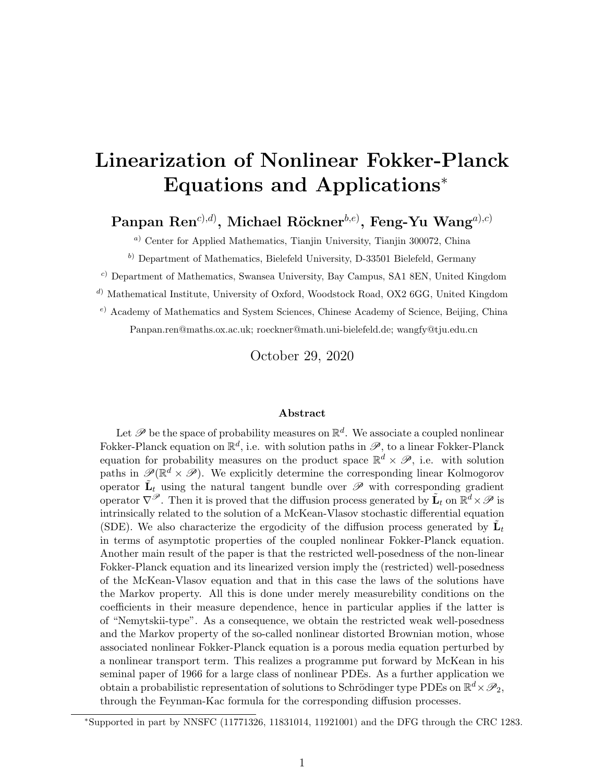# Linearization of Nonlinear Fokker-Planck Equations and Applications<sup>∗</sup>

 $\mathbf{P}$ anpan  $\mathbf{Ren}^{c),d)}$ , Michael  $\mathbf{R\"okner}^{b,e)}$ ,  $\mathbf{Feng\text{-}Yu\ } \mathbf{Wang}^{a),c)}$ 

<sup>a</sup>) Center for Applied Mathematics, Tianjin University, Tianjin 300072, China

 $b)$  Department of Mathematics, Bielefeld University, D-33501 Bielefeld, Germany

<sup>c</sup>) Department of Mathematics, Swansea University, Bay Campus, SA1 8EN, United Kingdom

<sup>d</sup>) Mathematical Institute, University of Oxford, Woodstock Road, OX2 6GG, United Kingdom

 $e)$  Academy of Mathematics and System Sciences, Chinese Academy of Science, Beijing, China

Panpan.ren@maths.ox.ac.uk; roeckner@math.uni-bielefeld.de; wangfy@tju.edu.cn

October 29, 2020

#### Abstract

Let  $\mathscr P$  be the space of probability measures on  $\mathbb R^d$ . We associate a coupled nonlinear Fokker-Planck equation on  $\mathbb{R}^d$ , i.e. with solution paths in  $\mathscr{P}$ , to a linear Fokker-Planck equation for probability measures on the product space  $\mathbb{R}^d \times \mathscr{P}$ , i.e. with solution paths in  $\mathscr{P}(\mathbb{R}^d \times \mathscr{P})$ . We explicitly determine the corresponding linear Kolmogorov operator  $\tilde{\mathbf{L}}_t$  using the natural tangent bundle over  $\mathscr P$  with corresponding gradient operator  $\nabla^{\mathscr{P}}$ . Then it is proved that the diffusion process generated by  $\tilde{\mathbf{L}}_t$  on  $\mathbb{R}^d \times \mathscr{P}$  is intrinsically related to the solution of a McKean-Vlasov stochastic differential equation (SDE). We also characterize the ergodicity of the diffusion process generated by  $\tilde{\mathbf{L}}_t$ in terms of asymptotic properties of the coupled nonlinear Fokker-Planck equation. Another main result of the paper is that the restricted well-posedness of the non-linear Fokker-Planck equation and its linearized version imply the (restricted) well-posedness of the McKean-Vlasov equation and that in this case the laws of the solutions have the Markov property. All this is done under merely measurebility conditions on the coefficients in their measure dependence, hence in particular applies if the latter is of "Nemytskii-type". As a consequence, we obtain the restricted weak well-posedness and the Markov property of the so-called nonlinear distorted Brownian motion, whose associated nonlinear Fokker-Planck equation is a porous media equation perturbed by a nonlinear transport term. This realizes a programme put forward by McKean in his seminal paper of 1966 for a large class of nonlinear PDEs. As a further application we obtain a probabilistic representation of solutions to Schrödinger type PDEs on  $\mathbb{R}^d \times \mathscr{P}_2$ , through the Feynman-Kac formula for the corresponding diffusion processes.

<sup>∗</sup>Supported in part by NNSFC (11771326, 11831014, 11921001) and the DFG through the CRC 1283.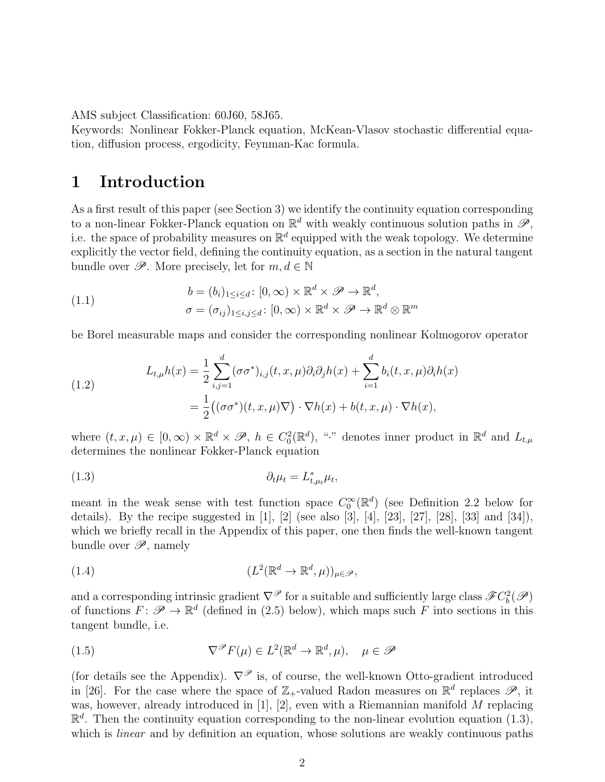AMS subject Classification: 60J60, 58J65.

Keywords: Nonlinear Fokker-Planck equation, McKean-Vlasov stochastic differential equation, diffusion process, ergodicity, Feynman-Kac formula.

# 1 Introduction

As a first result of this paper (see Section 3) we identify the continuity equation corresponding to a non-linear Fokker-Planck equation on  $\mathbb{R}^d$  with weakly continuous solution paths in  $\mathscr{P}$ , i.e. the space of probability measures on  $\mathbb{R}^d$  equipped with the weak topology. We determine explicitly the vector field, defining the continuity equation, as a section in the natural tangent bundle over  $\mathscr{P}$ . More precisely, let for  $m, d \in \mathbb{N}$ 

(1.1) 
$$
b = (b_i)_{1 \leq i \leq d} : [0, \infty) \times \mathbb{R}^d \times \mathcal{P} \to \mathbb{R}^d, \sigma = (\sigma_{ij})_{1 \leq i,j \leq d} : [0, \infty) \times \mathbb{R}^d \times \mathcal{P} \to \mathbb{R}^d \otimes \mathbb{R}^m
$$

be Borel measurable maps and consider the corresponding nonlinear Kolmogorov operator

(1.2) 
$$
L_{t,\mu}h(x) = \frac{1}{2} \sum_{i,j=1}^{d} (\sigma \sigma^*)_{i,j}(t, x, \mu) \partial_i \partial_j h(x) + \sum_{i=1}^{d} b_i(t, x, \mu) \partial_i h(x)
$$

$$
= \frac{1}{2} ((\sigma \sigma^*)(t, x, \mu) \nabla) \cdot \nabla h(x) + b(t, x, \mu) \cdot \nabla h(x),
$$

where  $(t, x, \mu) \in [0, \infty) \times \mathbb{R}^d \times \mathcal{P}, h \in C_0^2(\mathbb{R}^d)$ , "." denotes inner product in  $\mathbb{R}^d$  and  $L_{t,\mu}$ determines the nonlinear Fokker-Planck equation

$$
(1.3) \t\t \t\t \partial_t \mu_t = L_{t,\mu_t}^* \mu_t,
$$

meant in the weak sense with test function space  $C_0^{\infty}(\mathbb{R}^d)$  (see Definition 2.2 below for details). By the recipe suggested in  $[1]$ ,  $[2]$  (see also  $[3]$ ,  $[4]$ ,  $[23]$ ,  $[27]$ ,  $[28]$ ,  $[33]$  and  $[34]$ ), which we briefly recall in the Appendix of this paper, one then finds the well-known tangent bundle over  $\mathscr{P}$ , namely

(1.4) 
$$
(L^2(\mathbb{R}^d \to \mathbb{R}^d, \mu))_{\mu \in \mathscr{P}},
$$

and a corresponding intrinsic gradient  $\nabla^{\mathscr{P}}$  for a suitable and sufficiently large class  $\mathscr{F}C_b^2(\mathscr{P})$ of functions  $F: \mathscr{P} \to \mathbb{R}^d$  (defined in (2.5) below), which maps such F into sections in this tangent bundle, i.e.

(1.5) 
$$
\nabla^{\mathscr{P}} F(\mu) \in L^{2}(\mathbb{R}^{d} \to \mathbb{R}^{d}, \mu), \quad \mu \in \mathscr{P}
$$

(for details see the Appendix).  $\nabla^{\mathscr{P}}$  is, of course, the well-known Otto-gradient introduced in [26]. For the case where the space of  $\mathbb{Z}_+$ -valued Radon measures on  $\mathbb{R}^d$  replaces  $\mathscr{P}$ , it was, however, already introduced in [1], [2], even with a Riemannian manifold M replacing  $\mathbb{R}^d$ . Then the continuity equation corresponding to the non-linear evolution equation (1.3), which is *linear* and by definition an equation, whose solutions are weakly continuous paths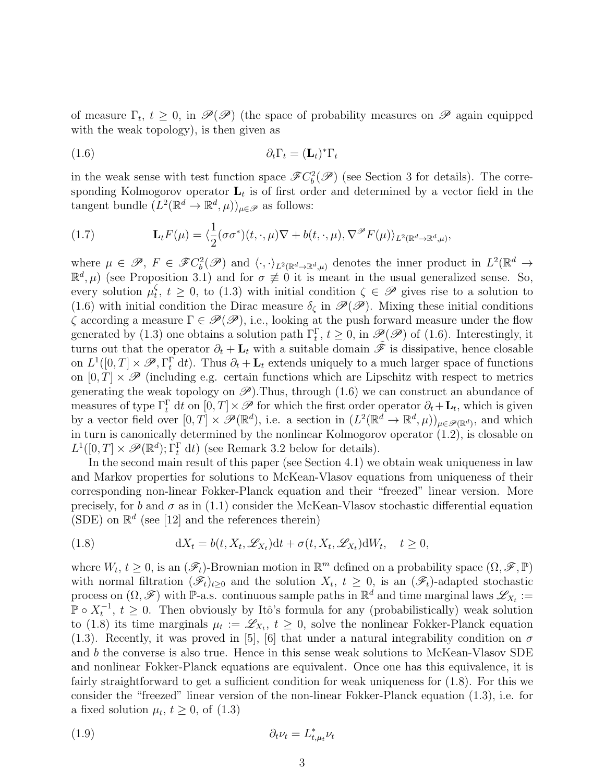of measure  $\Gamma_t$ ,  $t \geq 0$ , in  $\mathscr{P}(\mathscr{P})$  (the space of probability measures on  $\mathscr{P}$  again equipped with the weak topology), is then given as

$$
(1.6) \t\t \t\t \partial_t \Gamma_t = (\mathbf{L}_t)^* \Gamma_t
$$

in the weak sense with test function space  $\mathscr{F}C_b^2(\mathscr{P})$  (see Section 3 for details). The corresponding Kolmogorov operator  $\mathbf{L}_t$  is of first order and determined by a vector field in the tangent bundle  $(L^2(\mathbb{R}^d \to \mathbb{R}^d, \mu))_{\mu \in \mathscr{P}}$  as follows:

(1.7) 
$$
\mathbf{L}_t F(\mu) = \langle \frac{1}{2} (\sigma \sigma^*)(t, \cdot, \mu) \nabla + b(t, \cdot, \mu), \nabla^{\mathscr{P}} F(\mu) \rangle_{L^2(\mathbb{R}^d \to \mathbb{R}^d, \mu)},
$$

where  $\mu \in \mathscr{P}, F \in \mathscr{F}C_b^2(\mathscr{P})$  and  $\langle \cdot, \cdot \rangle_{L^2(\mathbb{R}^d \to \mathbb{R}^d, \mu)}$  denotes the inner product in  $L^2(\mathbb{R}^d \to$  $\mathbb{R}^d, \mu$  (see Proposition 3.1) and for  $\sigma \neq 0$  it is meant in the usual generalized sense. So, every solution  $\mu_t^{\zeta}$  $t<sub>t</sub>$ ,  $t \geq 0$ , to (1.3) with initial condition  $\zeta \in \mathscr{P}$  gives rise to a solution to (1.6) with initial condition the Dirac measure  $\delta_{\zeta}$  in  $\mathscr{P}(\mathscr{P})$ . Mixing these initial conditions  $\zeta$  according a measure  $\Gamma \in \mathscr{P}(\mathscr{P})$ , i.e., looking at the push forward measure under the flow generated by (1.3) one obtains a solution path  $\Gamma_t^{\Gamma}$ ,  $t \ge 0$ , in  $\mathscr{P}(\mathscr{P})$  of (1.6). Interestingly, it turns out that the operator  $\partial_t + \mathbf{L}_t$  with a suitable domain  $\tilde{\mathscr{F}}$  is dissipative, hence closable on  $L^1([0,T] \times \mathscr{P}, \Gamma_t^{\Gamma} dt)$ . Thus  $\partial_t + \mathbf{L}_t$  extends uniquely to a much larger space of functions on  $[0, T] \times \mathscr{P}$  (including e.g. certain functions which are Lipschitz with respect to metrics generating the weak topology on  $\mathscr{P}$ ). Thus, through (1.6) we can construct an abundance of measures of type  $\Gamma_t^{\Gamma}$  dt on  $[0, T] \times \mathscr{P}$  for which the first order operator  $\partial_t + \mathbf{L}_t$ , which is given by a vector field over  $[0, T] \times \mathscr{P}(\mathbb{R}^d)$ , i.e. a section in  $(L^2(\mathbb{R}^d \to \mathbb{R}^d, \mu))_{\mu \in \mathscr{P}(\mathbb{R}^d)}$ , and which in turn is canonically determined by the nonlinear Kolmogorov operator (1.2), is closable on  $L^1([0,T] \times \mathscr{P}(\mathbb{R}^d); \Gamma_t^{\Gamma} dt)$  (see Remark 3.2 below for details).

In the second main result of this paper (see Section 4.1) we obtain weak uniqueness in law and Markov properties for solutions to McKean-Vlasov equations from uniqueness of their corresponding non-linear Fokker-Planck equation and their "freezed" linear version. More precisely, for b and  $\sigma$  as in (1.1) consider the McKean-Vlasov stochastic differential equation (SDE) on  $\mathbb{R}^d$  (see [12] and the references therein)

(1.8) 
$$
dX_t = b(t, X_t, \mathcal{L}_{X_t})dt + \sigma(t, X_t, \mathcal{L}_{X_t})dW_t, \quad t \ge 0,
$$

where  $W_t, t \geq 0$ , is an  $(\mathscr{F}_t)$ -Brownian motion in  $\mathbb{R}^m$  defined on a probability space  $(\Omega, \mathscr{F}, \mathbb{P})$ with normal filtration  $(\mathscr{F}_t)_{t\geq0}$  and the solution  $X_t, t\geq0$ , is an  $(\mathscr{F}_t)$ -adapted stochastic process on  $(\Omega, \mathscr{F})$  with P-a.s. continuous sample paths in  $\mathbb{R}^d$  and time marginal laws  $\mathscr{L}_{X_t} :=$  $\mathbb{P} \circ X_t^{-1}$ ,  $t \geq 0$ . Then obviously by Itô's formula for any (probabilistically) weak solution to (1.8) its time marginals  $\mu_t := \mathscr{L}_{X_t}, t \geq 0$ , solve the nonlinear Fokker-Planck equation (1.3). Recently, it was proved in [5], [6] that under a natural integrability condition on  $\sigma$ and b the converse is also true. Hence in this sense weak solutions to McKean-Vlasov SDE and nonlinear Fokker-Planck equations are equivalent. Once one has this equivalence, it is fairly straightforward to get a sufficient condition for weak uniqueness for  $(1.8)$ . For this we consider the "freezed" linear version of the non-linear Fokker-Planck equation (1.3), i.e. for a fixed solution  $\mu_t$ ,  $t \geq 0$ , of  $(1.3)$ 

$$
(1.9) \t\t \t\t \partial_t \nu_t = L_{t,\mu_t}^* \nu_t
$$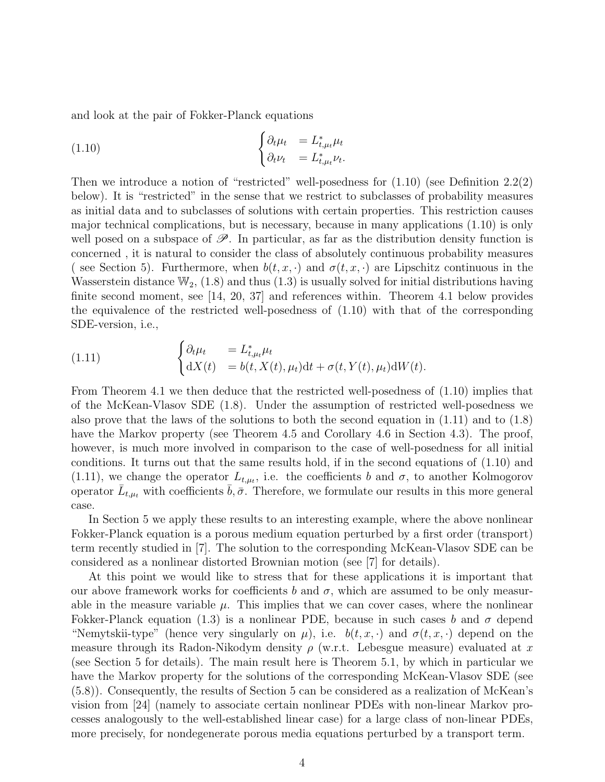and look at the pair of Fokker-Planck equations

(1.10) 
$$
\begin{cases} \partial_t \mu_t &= L_{t,\mu_t}^* \mu_t \\ \partial_t \nu_t &= L_{t,\mu_t}^* \nu_t. \end{cases}
$$

Then we introduce a notion of "restricted" well-posedness for  $(1.10)$  (see Definition 2.2(2) below). It is "restricted" in the sense that we restrict to subclasses of probability measures as initial data and to subclasses of solutions with certain properties. This restriction causes major technical complications, but is necessary, because in many applications (1.10) is only well posed on a subspace of  $\mathscr{P}$ . In particular, as far as the distribution density function is concerned , it is natural to consider the class of absolutely continuous probability measures ( see Section 5). Furthermore, when  $b(t, x, \cdot)$  and  $\sigma(t, x, \cdot)$  are Lipschitz continuous in the Wasserstein distance  $\mathbb{W}_2$ , (1.8) and thus (1.3) is usually solved for initial distributions having finite second moment, see [14, 20, 37] and references within. Theorem 4.1 below provides the equivalence of the restricted well-posedness of (1.10) with that of the corresponding SDE-version, i.e.,

(1.11) 
$$
\begin{cases} \partial_t \mu_t &= L_{t,\mu_t}^* \mu_t \\ dX(t) &= b(t, X(t), \mu_t) dt + \sigma(t, Y(t), \mu_t) dW(t). \end{cases}
$$

From Theorem 4.1 we then deduce that the restricted well-posedness of (1.10) implies that of the McKean-Vlasov SDE (1.8). Under the assumption of restricted well-posedness we also prove that the laws of the solutions to both the second equation in (1.11) and to (1.8) have the Markov property (see Theorem 4.5 and Corollary 4.6 in Section 4.3). The proof, however, is much more involved in comparison to the case of well-posedness for all initial conditions. It turns out that the same results hold, if in the second equations of (1.10) and (1.11), we change the operator  $L_{t,\mu_t}$ , i.e. the coefficients b and  $\sigma$ , to another Kolmogorov operator  $\bar{L}_{t,\mu_t}$  with coefficients  $\bar{b}, \bar{\sigma}$ . Therefore, we formulate our results in this more general case.

In Section 5 we apply these results to an interesting example, where the above nonlinear Fokker-Planck equation is a porous medium equation perturbed by a first order (transport) term recently studied in [7]. The solution to the corresponding McKean-Vlasov SDE can be considered as a nonlinear distorted Brownian motion (see [7] for details).

At this point we would like to stress that for these applications it is important that our above framework works for coefficients b and  $\sigma$ , which are assumed to be only measurable in the measure variable  $\mu$ . This implies that we can cover cases, where the nonlinear Fokker-Planck equation (1.3) is a nonlinear PDE, because in such cases b and  $\sigma$  depend "Nemytskii-type" (hence very singularly on  $\mu$ ), i.e.  $b(t, x, \cdot)$  and  $\sigma(t, x, \cdot)$  depend on the measure through its Radon-Nikodym density  $\rho$  (w.r.t. Lebesgue measure) evaluated at x (see Section 5 for details). The main result here is Theorem 5.1, by which in particular we have the Markov property for the solutions of the corresponding McKean-Vlasov SDE (see (5.8)). Consequently, the results of Section 5 can be considered as a realization of McKean's vision from [24] (namely to associate certain nonlinear PDEs with non-linear Markov processes analogously to the well-established linear case) for a large class of non-linear PDEs, more precisely, for nondegenerate porous media equations perturbed by a transport term.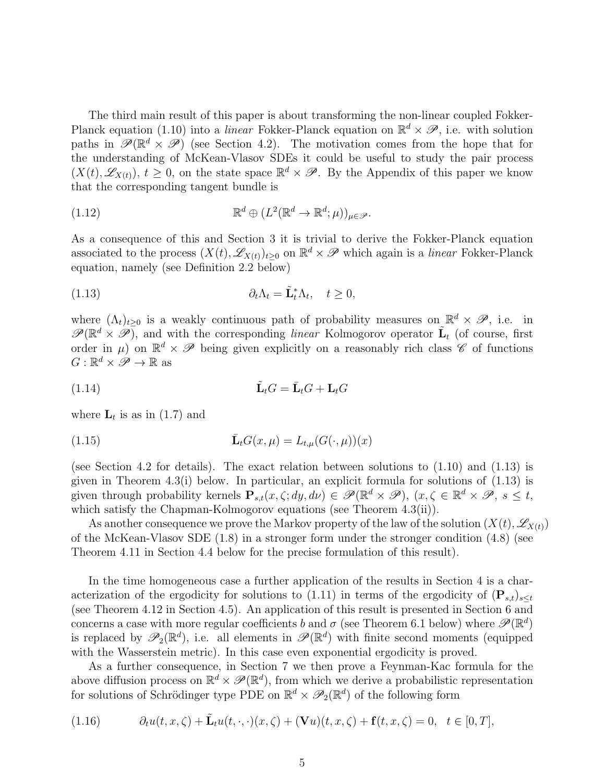The third main result of this paper is about transforming the non-linear coupled Fokker-Planck equation (1.10) into a *linear* Fokker-Planck equation on  $\mathbb{R}^d \times \mathscr{P}$ , i.e. with solution paths in  $\mathscr{P}(\mathbb{R}^d \times \mathscr{P})$  (see Section 4.2). The motivation comes from the hope that for the understanding of McKean-Vlasov SDEs it could be useful to study the pair process  $(X(t), \mathscr{L}_{X(t)})$ ,  $t \geq 0$ , on the state space  $\mathbb{R}^d \times \mathscr{P}$ . By the Appendix of this paper we know that the corresponding tangent bundle is

(1.12) 
$$
\mathbb{R}^d \oplus (L^2(\mathbb{R}^d \to \mathbb{R}^d; \mu))_{\mu \in \mathscr{P}}.
$$

As a consequence of this and Section 3 it is trivial to derive the Fokker-Planck equation associated to the process  $(X(t), \mathscr{L}_{X(t)})_{t \geq 0}$  on  $\mathbb{R}^d \times \mathscr{P}$  which again is a *linear* Fokker-Planck equation, namely (see Definition 2.2 below)

(1.13) 
$$
\partial_t \Lambda_t = \tilde{\mathbf{L}}_t^* \Lambda_t, \quad t \geq 0,
$$

where  $(\Lambda_t)_{t\geq 0}$  is a weakly continuous path of probability measures on  $\mathbb{R}^d \times \mathscr{P}$ , i.e. in  $\mathscr{P}(\mathbb{R}^d \times \mathscr{P})$ , and with the corresponding linear Kolmogorov operator  $\tilde{\mathbf{L}}_t$  (of course, first order in  $\mu$ ) on  $\mathbb{R}^d \times \mathscr{P}$  being given explicitly on a reasonably rich class  $\mathscr{C}$  of functions  $G: \mathbb{R}^d \times \mathscr{P} \to \mathbb{R}$  as

$$
(1.14) \qquad \tilde{\mathbf{L}}_t G = \bar{\mathbf{L}}_t G + \mathbf{L}_t G
$$

where  $\mathbf{L}_t$  is as in (1.7) and

(1.15) 
$$
\bar{\mathbf{L}}_t G(x,\mu) = L_{t,\mu}(G(\cdot,\mu))(x)
$$

(see Section 4.2 for details). The exact relation between solutions to (1.10) and (1.13) is given in Theorem 4.3(i) below. In particular, an explicit formula for solutions of (1.13) is given through probability kernels  $\mathbf{P}_{s,t}(x,\zeta;dy,d\nu) \in \mathscr{P}(\mathbb{R}^d \times \mathscr{P}), (x,\zeta \in \mathbb{R}^d \times \mathscr{P}, s \leq t,$ which satisfy the Chapman-Kolmogorov equations (see Theorem 4.3(ii)).

As another consequence we prove the Markov property of the law of the solution  $(X(t), \mathscr{L}_{X(t)})$ of the McKean-Vlasov SDE (1.8) in a stronger form under the stronger condition (4.8) (see Theorem 4.11 in Section 4.4 below for the precise formulation of this result).

In the time homogeneous case a further application of the results in Section 4 is a characterization of the ergodicity for solutions to (1.11) in terms of the ergodicity of  $(P_{s,t})_{s\leq t}$ (see Theorem 4.12 in Section 4.5). An application of this result is presented in Section 6 and concerns a case with more regular coefficients b and  $\sigma$  (see Theorem 6.1 below) where  $\mathscr{P}(\mathbb{R}^d)$ is replaced by  $\mathscr{P}_2(\mathbb{R}^d)$ , i.e. all elements in  $\mathscr{P}(\mathbb{R}^d)$  with finite second moments (equipped with the Wasserstein metric). In this case even exponential ergodicity is proved.

As a further consequence, in Section 7 we then prove a Feynman-Kac formula for the above diffusion process on  $\mathbb{R}^d \times \mathscr{P}(\mathbb{R}^d)$ , from which we derive a probabilistic representation for solutions of Schrödinger type PDE on  $\mathbb{R}^d \times \mathscr{P}_2(\mathbb{R}^d)$  of the following form

(1.16) 
$$
\partial_t u(t, x, \zeta) + \tilde{\mathbf{L}}_t u(t, \cdot, \cdot)(x, \zeta) + (\mathbf{V}u)(t, x, \zeta) + \mathbf{f}(t, x, \zeta) = 0, \quad t \in [0, T],
$$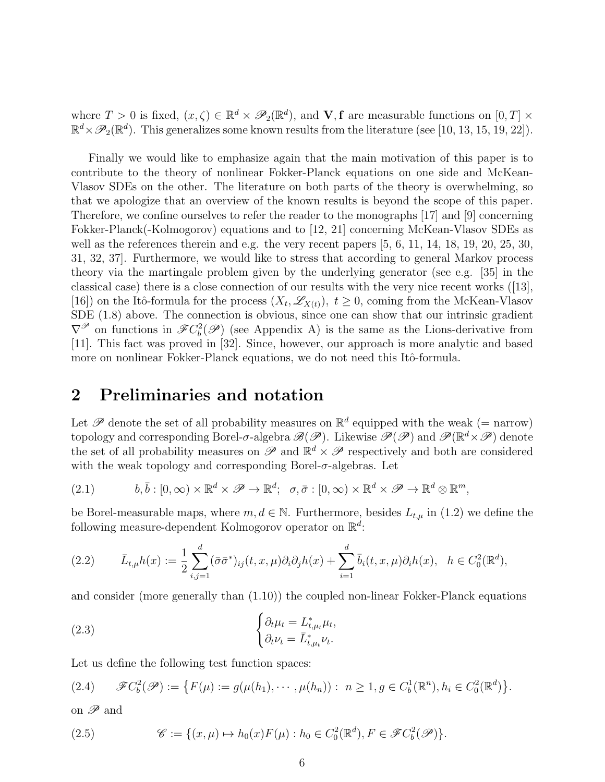where  $T > 0$  is fixed,  $(x, \zeta) \in \mathbb{R}^d \times \mathcal{P}_2(\mathbb{R}^d)$ , and  $\mathbf{V}, \mathbf{f}$  are measurable functions on  $[0, T] \times$  $\mathbb{R}^d \times \mathscr{P}_2(\mathbb{R}^d)$ . This generalizes some known results from the literature (see [10, 13, 15, 19, 22]).

Finally we would like to emphasize again that the main motivation of this paper is to contribute to the theory of nonlinear Fokker-Planck equations on one side and McKean-Vlasov SDEs on the other. The literature on both parts of the theory is overwhelming, so that we apologize that an overview of the known results is beyond the scope of this paper. Therefore, we confine ourselves to refer the reader to the monographs [17] and [9] concerning Fokker-Planck(-Kolmogorov) equations and to [12, 21] concerning McKean-Vlasov SDEs as well as the references therein and e.g. the very recent papers [5, 6, 11, 14, 18, 19, 20, 25, 30, 31, 32, 37]. Furthermore, we would like to stress that according to general Markov process theory via the martingale problem given by the underlying generator (see e.g. [35] in the classical case) there is a close connection of our results with the very nice recent works ([13], [16]) on the Itô-formula for the process  $(X_t, \mathscr{L}_{X(t)})$ ,  $t \geq 0$ , coming from the McKean-Vlasov SDE (1.8) above. The connection is obvious, since one can show that our intrinsic gradient  $\nabla^{\mathscr{P}}$  on functions in  $\mathscr{F}C_b^2(\mathscr{P})$  (see Appendix A) is the same as the Lions-derivative from [11]. This fact was proved in [32]. Since, however, our approach is more analytic and based more on nonlinear Fokker-Planck equations, we do not need this Itô-formula.

# 2 Preliminaries and notation

Let  $\mathscr P$  denote the set of all probability measures on  $\mathbb R^d$  equipped with the weak (= narrow) topology and corresponding Borel- $\sigma$ -algebra  $\mathscr{B}(\mathscr{P})$ . Likewise  $\mathscr{P}(\mathscr{P})$  and  $\mathscr{P}(\mathbb{R}^d \times \mathscr{P})$  denote the set of all probability measures on  $\mathscr{P}$  and  $\mathbb{R}^d \times \mathscr{P}$  respectively and both are considered with the weak topology and corresponding Borel- $\sigma$ -algebras. Let

(2.1) 
$$
b, \bar{b} : [0, \infty) \times \mathbb{R}^d \times \mathscr{P} \to \mathbb{R}^d; \quad \sigma, \bar{\sigma} : [0, \infty) \times \mathbb{R}^d \times \mathscr{P} \to \mathbb{R}^d \otimes \mathbb{R}^m,
$$

be Borel-measurable maps, where  $m, d \in \mathbb{N}$ . Furthermore, besides  $L_{t,\mu}$  in (1.2) we define the following measure-dependent Kolmogorov operator on  $\mathbb{R}^d$ :

$$
(2.2) \qquad \bar{L}_{t,\mu}h(x) := \frac{1}{2}\sum_{i,j=1}^d (\bar{\sigma}\bar{\sigma}^*)_{ij}(t,x,\mu)\partial_i\partial_j h(x) + \sum_{i=1}^d \bar{b}_i(t,x,\mu)\partial_i h(x), \quad h \in C_0^2(\mathbb{R}^d),
$$

and consider (more generally than (1.10)) the coupled non-linear Fokker-Planck equations

(2.3) 
$$
\begin{cases} \partial_t \mu_t = L_{t,\mu_t}^* \mu_t, \\ \partial_t \nu_t = \bar{L}_{t,\mu_t}^* \nu_t. \end{cases}
$$

Let us define the following test function spaces:

$$
(2.4) \qquad \mathscr{F}C_b^2(\mathscr{P}) := \{ F(\mu) := g(\mu(h_1), \cdots, \mu(h_n)) : n \ge 1, g \in C_b^1(\mathbb{R}^n), h_i \in C_0^2(\mathbb{R}^d) \}.
$$

on  $\mathscr P$  and

(2.5) 
$$
\mathscr{C} := \{ (x,\mu) \mapsto h_0(x) F(\mu) : h_0 \in C_0^2(\mathbb{R}^d), F \in \mathscr{F}C_b^2(\mathscr{P}) \}.
$$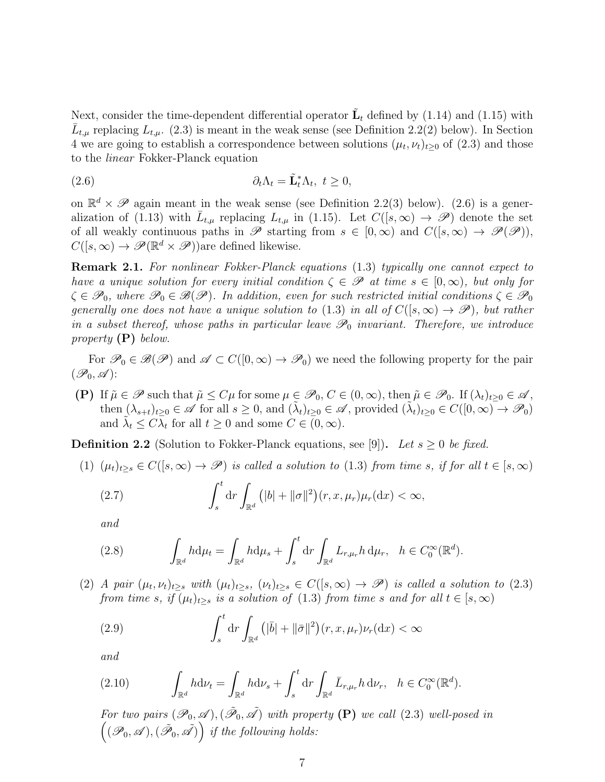Next, consider the time-dependent differential operator  $\tilde{\mathbf{L}}_t$  defined by (1.14) and (1.15) with  $\bar{L}_{t,\mu}$  replacing  $L_{t,\mu}$ . (2.3) is meant in the weak sense (see Definition 2.2(2) below). In Section 4 we are going to establish a correspondence between solutions  $(\mu_t, \nu_t)_{t\geq 0}$  of  $(2.3)$  and those to the linear Fokker-Planck equation

(2.6) 
$$
\partial_t \Lambda_t = \tilde{\mathbf{L}}_t^* \Lambda_t, \ t \geq 0,
$$

on  $\mathbb{R}^d \times \mathscr{P}$  again meant in the weak sense (see Definition 2.2(3) below). (2.6) is a generalization of (1.13) with  $\bar{L}_{t,\mu}$  replacing  $L_{t,\mu}$  in (1.15). Let  $C([s,\infty) \to \mathscr{P})$  denote the set of all weakly continuous paths in  $\mathscr P$  starting from  $s \in [0,\infty)$  and  $C([s,\infty) \to \mathscr P(\mathscr P)),$  $C([s,\infty) \to \mathscr{P}(\mathbb{R}^d \times \mathscr{P}))$ are defined likewise.

Remark 2.1. For nonlinear Fokker-Planck equations (1.3) typically one cannot expect to have a unique solution for every initial condition  $\zeta \in \mathscr{P}$  at time  $s \in [0,\infty)$ , but only for  $\zeta \in \mathscr{P}_0$ , where  $\mathscr{P}_0 \in \mathscr{B}(\mathscr{P})$ . In addition, even for such restricted initial conditions  $\zeta \in \mathscr{P}_0$ generally one does not have a unique solution to (1.3) in all of  $C([s,\infty) \to \mathscr{P})$ , but rather in a subset thereof, whose paths in particular leave  $\mathscr{P}_0$  invariant. Therefore, we introduce property  $(P)$  below.

For  $\mathscr{P}_0 \in \mathscr{B}(\mathscr{P})$  and  $\mathscr{A} \subset C([0,\infty) \to \mathscr{P}_0)$  we need the following property for the pair  $(\mathscr{P}_0, \mathscr{A})$ :

(P) If  $\tilde{\mu} \in \mathscr{P}$  such that  $\tilde{\mu} \leq C\mu$  for some  $\mu \in \mathscr{P}_0$ ,  $C \in (0,\infty)$ , then  $\tilde{\mu} \in \mathscr{P}_0$ . If  $(\lambda_t)_{t\geq 0} \in \mathscr{A}$ , then  $(\lambda_{s+t})_{t\geq0} \in \mathscr{A}$  for all  $s \geq 0$ , and  $(\tilde{\lambda}_t)_{t\geq0} \in \mathscr{A}$ , provided  $(\tilde{\lambda}_t)_{t\geq0} \in C([0,\infty) \to \mathscr{P}_0)$ and  $\tilde{\lambda}_t \leq C \lambda_t$  for all  $t \geq 0$  and some  $C \in (0, \infty)$ .

**Definition 2.2** (Solution to Fokker-Planck equations, see [9]). Let  $s \geq 0$  be fixed.

(1) 
$$
(\mu_t)_{t\geq s} \in C([s,\infty) \to \mathscr{P})
$$
 is called a solution to (1.3) from time s, if for all  $t \in [s,\infty)$ 

(2.7) 
$$
\int_s^t \mathrm{d}r \int_{\mathbb{R}^d} \left( |b| + ||\sigma||^2 \right) (r, x, \mu_r) \mu_r(\mathrm{d}x) < \infty,
$$

and

(2.8) 
$$
\int_{\mathbb{R}^d} h \mathrm{d} \mu_t = \int_{\mathbb{R}^d} h \mathrm{d} \mu_s + \int_s^t \mathrm{d} r \int_{\mathbb{R}^d} L_{r,\mu_r} h \, \mathrm{d} \mu_r, \quad h \in C_0^{\infty}(\mathbb{R}^d).
$$

(2) A pair  $(\mu_t, \nu_t)_{t\geq s}$  with  $(\mu_t)_{t\geq s}$ ,  $(\nu_t)_{t\geq s} \in C([s,\infty) \to \mathscr{P})$  is called a solution to (2.3) from time s, if  $(\mu_t)_{t\geq s}$  is a solution of (1.3) from time s and for all  $t \in [s,\infty)$ 

(2.9) 
$$
\int_{s}^{t} dr \int_{\mathbb{R}^{d}} \left( |\overline{b}| + ||\overline{\sigma}||^{2} \right) (r, x, \mu_{r}) \nu_{r}(\mathrm{d}x) < \infty
$$

and

(2.10) 
$$
\int_{\mathbb{R}^d} h \mathrm{d} \nu_t = \int_{\mathbb{R}^d} h \mathrm{d} \nu_s + \int_s^t \mathrm{d} r \int_{\mathbb{R}^d} \bar{L}_{r,\mu_r} h \, \mathrm{d} \nu_r, \quad h \in C_0^{\infty}(\mathbb{R}^d).
$$

For two pairs  $(\mathscr{P}_0, \mathscr{A}), (\tilde{\mathscr{P}}_0, \tilde{\mathscr{A}})$  with property  $(P)$  we call (2.3) well-posed in  $((\mathscr{P}_0, \mathscr{A}), (\tilde{\mathscr{P}}_0, \tilde{\mathscr{A}}))$  if the following holds: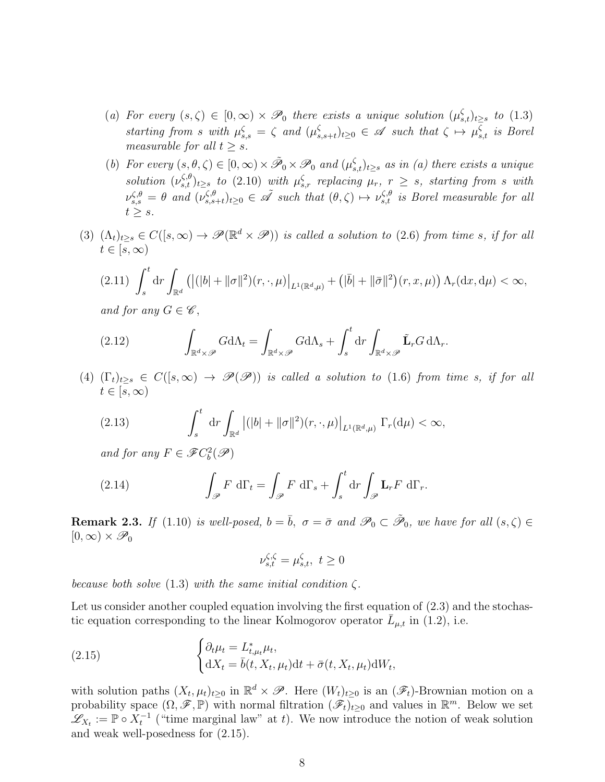- (a) For every  $(s,\zeta) \in [0,\infty) \times \mathcal{P}_0$  there exists a unique solution  $(\mu_{s,t}^{\zeta})_{t\geq s}$  to  $(1.3)$ starting from s with  $\mu_{s,s}^{\zeta} = \zeta$  and  $(\mu_s^{\zeta})$  $\zeta_{s,s+t}$ <sub>b</sub><sub>20</sub>  $\in \mathscr{A}$  such that  $\zeta \mapsto \mu_{s,t}^{\zeta}$  is Borel measurable for all  $t > s$ .
- (b) For every  $(s, \theta, \zeta) \in [0, \infty) \times \tilde{\mathcal{P}}_0 \times \mathcal{P}_0$  and  $(\mu_{s,t}^{\zeta})_{t \geq s}$  as in (a) there exists a unique solution  $(\nu_{s,t}^{\zeta,\theta})_{t\geq s}$  to (2.10) with  $\mu_{s,r}^{\zeta}$  replacing  $\mu_r$ ,  $r \geq s$ , starting from s with  $\nu_{s,s}^{\zeta,\theta} = \theta$  and  $(\nu_{s,s}^{\zeta,\theta})$  $\zeta_{s,s+t}^{(\zeta,\theta)}(t)_{t\geq0}\in\tilde{\mathscr{A}}$  such that  $(\theta,\zeta)\mapsto\nu_{s,t}^{\zeta,\theta}$  is Borel measurable for all  $t \geq s$ .
- (3)  $(\Lambda_t)_{t\geq s} \in C([s,\infty) \to \mathscr{P}(\mathbb{R}^d \times \mathscr{P}))$  is called a solution to (2.6) from time s, if for all  $t \in [s, \infty)$

$$
(2.11)\ \int_s^t \mathrm{d}r \int_{\mathbb{R}^d} \left( |(|b| + ||\sigma||^2)(r, \cdot, \mu) \Big|_{L^1(\mathbb{R}^d, \mu)} + \left( |\bar{b}| + ||\bar{\sigma}||^2 \right)(r, x, \mu) \right) \Lambda_r(\mathrm{d}x, \mathrm{d}\mu) < \infty,
$$

and for any  $G \in \mathscr{C}$ ,

(2.12) 
$$
\int_{\mathbb{R}^d \times \mathscr{P}} G \mathrm{d} \Lambda_t = \int_{\mathbb{R}^d \times \mathscr{P}} G \mathrm{d} \Lambda_s + \int_s^t \mathrm{d} r \int_{\mathbb{R}^d \times \mathscr{P}} \tilde{\mathbf{L}}_r G \, \mathrm{d} \Lambda_r.
$$

(4)  $(\Gamma_t)_{t\geq s} \in C([s,\infty) \to \mathscr{P}(\mathscr{P}))$  is called a solution to (1.6) from time s, if for all  $t\in [s,\infty)$ 

(2.13) 
$$
\int_s^t \mathrm{d}r \int_{\mathbb{R}^d} |(|b| + ||\sigma||^2)(r,\cdot,\mu)|_{L^1(\mathbb{R}^d,\mu)} \Gamma_r(\mathrm{d}\mu) < \infty,
$$

and for any  $F \in \mathscr{F}C_b^2(\mathscr{P})$ 

(2.14) 
$$
\int_{\mathscr{P}} F \, d\Gamma_t = \int_{\mathscr{P}} F \, d\Gamma_s + \int_s^t dr \int_{\mathscr{P}} \mathbf{L}_r F \, d\Gamma_r.
$$

**Remark 2.3.** If (1.10) is well-posed,  $b = \overline{b}$ ,  $\sigma = \overline{\sigma}$  and  $\mathscr{P}_0 \subset \tilde{\mathscr{P}}_0$ , we have for all  $(s,\zeta) \in$  $[0,\infty)\times \mathscr{P}_0$ 

$$
\nu_{s,t}^{\zeta,\zeta} = \mu_{s,t}^{\zeta}, \ t \ge 0
$$

because both solve (1.3) with the same initial condition  $\zeta$ .

Let us consider another coupled equation involving the first equation of  $(2.3)$  and the stochastic equation corresponding to the linear Kolmogorov operator  $\bar{L}_{\mu,t}$  in (1.2), i.e.

(2.15) 
$$
\begin{cases} \partial_t \mu_t = L_{t,\mu_t}^* \mu_t, \\ dX_t = \bar{b}(t, X_t, \mu_t) dt + \bar{\sigma}(t, X_t, \mu_t) dW_t, \end{cases}
$$

with solution paths  $(X_t, \mu_t)_{t\geq 0}$  in  $\mathbb{R}^d \times \mathscr{P}$ . Here  $(W_t)_{t\geq 0}$  is an  $(\mathscr{F}_t)$ -Brownian motion on a probability space  $(\Omega, \mathscr{F}, \mathbb{P})$  with normal filtration  $(\mathscr{F}_t)_{t\geq 0}$  and values in  $\mathbb{R}^m$ . Below we set  $\mathscr{L}_{X_t} := \mathbb{P} \circ X_t^{-1}$  ("time marginal law" at t). We now introduce the notion of weak solution and weak well-posedness for (2.15).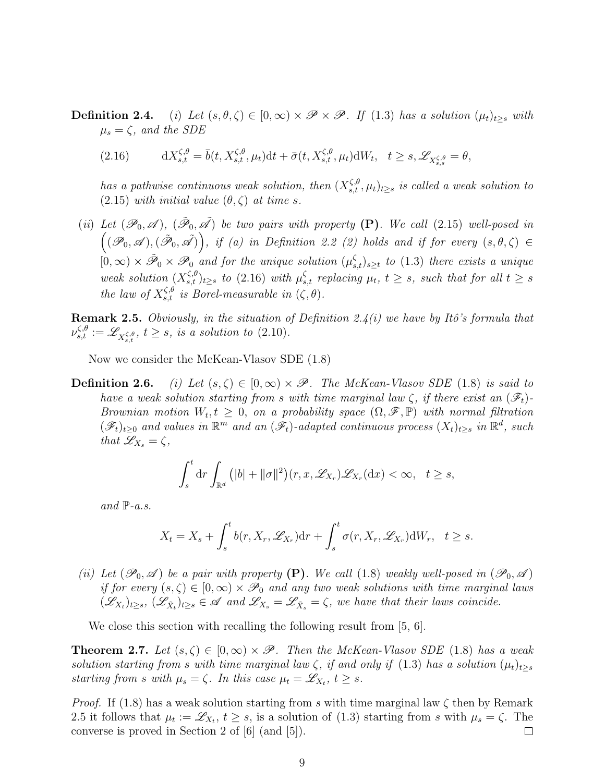### **Definition 2.4.** (i) Let  $(s, \theta, \zeta) \in [0, \infty) \times \mathscr{P} \times \mathscr{P}$ . If (1.3) has a solution  $(\mu_t)_{t>s}$  with  $\mu_s = \zeta$ , and the SDE

(2.16) 
$$
dX_{s,t}^{\zeta,\theta} = \bar{b}(t, X_{s,t}^{\zeta,\theta}, \mu_t)dt + \bar{\sigma}(t, X_{s,t}^{\zeta,\theta}, \mu_t)dW_t, \quad t \geq s, \mathscr{L}_{X_{s,s}^{\zeta,\theta}} = \theta,
$$

has a pathwise continuous weak solution, then  $(X^{\zeta,\theta}_{s,t}, \mu_t)_{t\geq s}$  is called a weak solution to  $(2.15)$  with initial value  $(\theta, \zeta)$  at time s.

(ii) Let  $(\mathscr{P}_0, \mathscr{A})$ ,  $(\tilde{\mathscr{P}}_0, \tilde{\mathscr{A}})$  be two pairs with property (P). We call (2.15) well-posed in  $((\mathscr{P}_0, \mathscr{A}),(\tilde{\mathscr{P}}_0, \tilde{\mathscr{A}})),$  if (a) in Definition 2.2 (2) holds and if for every  $(s, \theta, \zeta) \in$  $[0, \infty) \times \tilde{\mathscr{P}}_0 \times \mathscr{P}_0$  and for the unique solution  $(\mu_{s,t}^{\zeta})_{s \geq t}$  to (1.3) there exists a unique weak solution  $(X_{s,t}^{\zeta,\theta})_{t\geq s}$  to (2.16) with  $\mu_{s,t}^{\zeta}$  replacing  $\mu_t$ ,  $t\geq s$ , such that for all  $t\geq s$ the law of  $X_{s,t}^{\zeta,\theta}$  is Borel-measurable in  $(\zeta,\theta)$ .

**Remark 2.5.** Obviously, in the situation of Definition 2.4(i) we have by Itô's formula that  $\nu_{s,t}^{\zeta,\theta} := \mathscr{L}_{X_{s,t}^{\zeta,\theta}}, t \geq s$ , is a solution to (2.10).

Now we consider the McKean-Vlasov SDE (1.8)

**Definition 2.6.** (i) Let  $(s, \zeta) \in [0, \infty) \times \mathcal{P}$ . The McKean-Vlasov SDE (1.8) is said to have a weak solution starting from s with time marginal law  $\zeta$ , if there exist an  $(\mathscr{F}_t)$ -Brownian motion  $W_t, t \geq 0$ , on a probability space  $(\Omega, \mathscr{F}, \mathbb{P})$  with normal filtration  $(\mathscr{F}_t)_{t\geq0}$  and values in  $\mathbb{R}^m$  and an  $(\mathscr{F}_t)$ -adapted continuous process  $(X_t)_{t\geq s}$  in  $\mathbb{R}^d$ , such that  $\mathscr{L}_{X_s} = \zeta$ ,

$$
\int_s^t \mathrm{d}r \int_{\mathbb{R}^d} \big( |b| + \|\sigma\|^2 \big)(r, x, \mathscr{L}_{X_r}) \mathscr{L}_{X_r}(\mathrm{d}x) < \infty, \quad t \ge s,
$$

and  $\mathbb{P}\text{-}a.s.$ 

$$
X_t = X_s + \int_s^t b(r, X_r, \mathscr{L}_{X_r}) dr + \int_s^t \sigma(r, X_r, \mathscr{L}_{X_r}) dW_r, \quad t \geq s.
$$

(ii) Let  $(\mathscr{P}_0, \mathscr{A})$  be a pair with property (P). We call (1.8) weakly well-posed in  $(\mathscr{P}_0, \mathscr{A})$ if for every  $(s,\zeta) \in [0,\infty) \times \mathscr{P}_0$  and any two weak solutions with time marginal laws  $(\mathscr{L}_{X_t})_{t\geq s},$   $(\mathscr{L}_{\tilde{X}_t})_{t\geq s} \in \mathscr{A}$  and  $\mathscr{L}_{X_s} = \mathscr{L}_{\tilde{X}_s} = \zeta$ , we have that their laws coincide.

We close this section with recalling the following result from [5, 6].

**Theorem 2.7.** Let  $(s, \zeta) \in [0, \infty) \times \mathcal{P}$ . Then the McKean-Vlasov SDE (1.8) has a weak solution starting from s with time marginal law  $\zeta$ , if and only if (1.3) has a solution  $(\mu_t)_{t\geq s}$ starting from s with  $\mu_s = \zeta$ . In this case  $\mu_t = \mathscr{L}_{X_t}, t \geq s$ .

*Proof.* If (1.8) has a weak solution starting from s with time marginal law  $\zeta$  then by Remark 2.5 it follows that  $\mu_t := \mathscr{L}_{X_t}, t \geq s$ , is a solution of (1.3) starting from s with  $\mu_s = \zeta$ . The converse is proved in Section 2 of [6] (and [5]).  $\Box$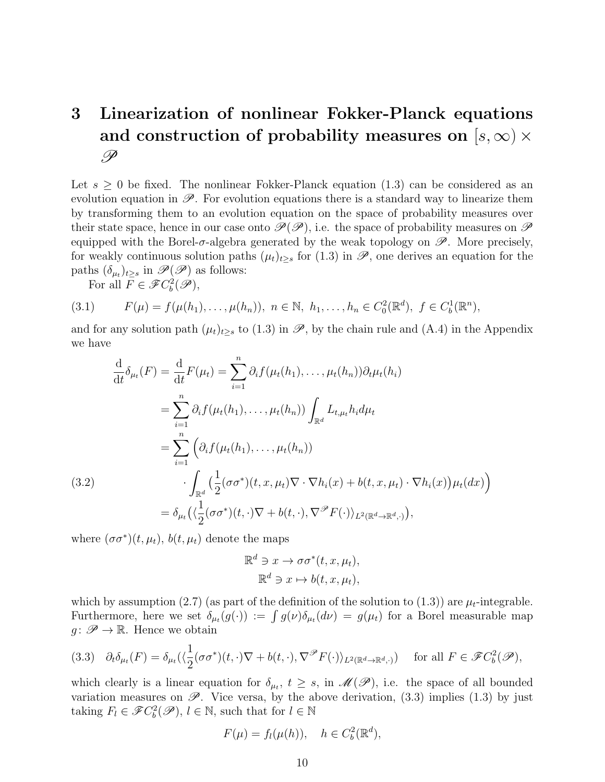# 3 Linearization of nonlinear Fokker-Planck equations and construction of probability measures on  $[s,\infty) \times$ P

Let  $s \geq 0$  be fixed. The nonlinear Fokker-Planck equation (1.3) can be considered as an evolution equation in  $\mathscr{P}$ . For evolution equations there is a standard way to linearize them by transforming them to an evolution equation on the space of probability measures over their state space, hence in our case onto  $\mathscr{P}(\mathscr{P})$ , i.e. the space of probability measures on  $\mathscr{P}$ equipped with the Borel- $\sigma$ -algebra generated by the weak topology on  $\mathscr{P}$ . More precisely, for weakly continuous solution paths  $(\mu_t)_{t\geq s}$  for  $(1.3)$  in  $\mathscr{P}$ , one derives an equation for the paths  $(\delta_{\mu_t})_{t\geq s}$  in  $\mathscr{P}(\mathscr{P})$  as follows:

For all  $F \in \mathscr{F}C_b^2(\mathscr{P}),$ 

$$
(3.1) \tF(\mu) = f(\mu(h_1), \ldots, \mu(h_n)), \ n \in \mathbb{N}, \ h_1, \ldots, h_n \in C_0^2(\mathbb{R}^d), \ f \in C_b^1(\mathbb{R}^n),
$$

and for any solution path  $(\mu_t)_{t\geq s}$  to  $(1.3)$  in  $\mathscr{P}$ , by the chain rule and  $(A.4)$  in the Appendix we have

$$
\frac{d}{dt}\delta_{\mu_t}(F) = \frac{d}{dt}F(\mu_t) = \sum_{i=1}^n \partial_i f(\mu_t(h_1), \dots, \mu_t(h_n))\partial_t \mu_t(h_i)
$$
\n
$$
= \sum_{i=1}^n \partial_i f(\mu_t(h_1), \dots, \mu_t(h_n)) \int_{\mathbb{R}^d} L_{t, \mu_t} h_i d\mu_t
$$
\n
$$
= \sum_{i=1}^n \left( \partial_i f(\mu_t(h_1), \dots, \mu_t(h_n)) \right)
$$
\n(3.2)\n
$$
\cdot \int_{\mathbb{R}^d} \left( \frac{1}{2} (\sigma \sigma^*)(t, x, \mu_t) \nabla \cdot \nabla h_i(x) + b(t, x, \mu_t) \cdot \nabla h_i(x) \right) \mu_t(dx) \right)
$$
\n
$$
= \delta_{\mu_t} \left( \langle \frac{1}{2} (\sigma \sigma^*)(t, \cdot) \nabla + b(t, \cdot), \nabla^{\mathscr{P}} F(\cdot) \rangle_{L^2(\mathbb{R}^d \to \mathbb{R}^d, \cdot)} \right),
$$

where  $(\sigma \sigma^*)(t, \mu_t)$ ,  $b(t, \mu_t)$  denote the maps

$$
\mathbb{R}^d \ni x \to \sigma \sigma^*(t, x, \mu_t),
$$
  

$$
\mathbb{R}^d \ni x \mapsto b(t, x, \mu_t),
$$

which by assumption (2.7) (as part of the definition of the solution to (1.3)) are  $\mu_t$ -integrable. Furthermore, here we set  $\delta_{\mu_t}(g(\cdot)) := \int g(\nu) \delta_{\mu_t}(d\nu) = g(\mu_t)$  for a Borel measurable map  $g: \mathscr{P} \to \mathbb{R}$ . Hence we obtain

$$
(3.3) \quad \partial_t \delta_{\mu_t}(F) = \delta_{\mu_t} (\langle \frac{1}{2} (\sigma \sigma^*)(t, \cdot) \nabla + b(t, \cdot), \nabla^{\mathscr{P}} F(\cdot) \rangle_{L^2(\mathbb{R}^d \to \mathbb{R}^d, \cdot)}) \quad \text{for all } F \in \mathscr{F}C_b^2(\mathscr{P}),
$$

which clearly is a linear equation for  $\delta_{\mu_t}$ ,  $t \geq s$ , in  $\mathscr{M}(\mathscr{P})$ , i.e. the space of all bounded variation measures on  $\mathscr{P}$ . Vice versa, by the above derivation, (3.3) implies (1.3) by just taking  $F_l \in \mathscr{F}C_b^2(\mathscr{P}), l \in \mathbb{N}$ , such that for  $l \in \mathbb{N}$ 

$$
F(\mu) = f_l(\mu(h)), \quad h \in C_b^2(\mathbb{R}^d),
$$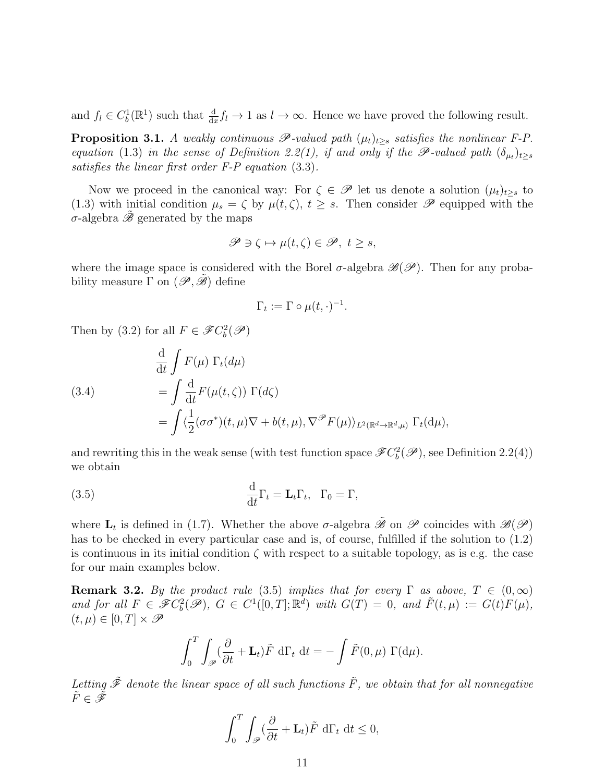and  $f_l \in C_b^1(\mathbb{R}^1)$  such that  $\frac{d}{dx} f_l \to 1$  as  $l \to \infty$ . Hence we have proved the following result.

**Proposition 3.1.** A weakly continuous  $\mathscr{P}$ -valued path  $(\mu_t)_{t>s}$  satisfies the nonlinear F-P. equation (1.3) in the sense of Definition 2.2(1), if and only if the  $\mathscr{P}\text{-valued path } (\delta_{\mu_t})_{t\geq s}$ satisfies the linear first order F-P equation (3.3).

Now we proceed in the canonical way: For  $\zeta \in \mathscr{P}$  let us denote a solution  $(\mu_t)_{t\geq s}$  to (1.3) with initial condition  $\mu_s = \zeta$  by  $\mu(t, \zeta)$ ,  $t \geq s$ . Then consider  $\mathscr P$  equipped with the σ-algebra  $\hat{\mathscr{B}}$  generated by the maps

$$
\mathscr{P} \ni \zeta \mapsto \mu(t,\zeta) \in \mathscr{P}, \ t \geq s,
$$

where the image space is considered with the Borel  $\sigma$ -algebra  $\mathscr{B}(\mathscr{P})$ . Then for any probability measure  $\Gamma$  on  $(\mathscr{P}, \mathscr{B})$  define

$$
\Gamma_t := \Gamma \circ \mu(t, \cdot)^{-1}.
$$

Then by (3.2) for all  $F \in \mathscr{F}C_b^2(\mathscr{P})$ 

(3.4)  
\n
$$
\frac{d}{dt} \int F(\mu) \Gamma_t(d\mu)
$$
\n
$$
= \int \frac{d}{dt} F(\mu(t,\zeta)) \Gamma(d\zeta)
$$
\n
$$
= \int \langle \frac{1}{2} (\sigma \sigma^*)(t,\mu) \nabla + b(t,\mu), \nabla^{\mathscr{P}} F(\mu) \rangle_{L^2(\mathbb{R}^d \to \mathbb{R}^d, \mu)} \Gamma_t(d\mu),
$$

and rewriting this in the weak sense (with test function space  $\mathscr{F}C_b^2(\mathscr{P})$ , see Definition 2.2(4)) we obtain

(3.5) 
$$
\frac{\mathrm{d}}{\mathrm{d}t}\Gamma_t = \mathbf{L}_t\Gamma_t, \quad \Gamma_0 = \Gamma,
$$

where  $\mathbf{L}_t$  is defined in (1.7). Whether the above  $\sigma$ -algebra  $\tilde{\mathscr{B}}$  on  $\mathscr{P}$  coincides with  $\mathscr{B}(\mathscr{P})$ has to be checked in every particular case and is, of course, fulfilled if the solution to (1.2) is continuous in its initial condition  $\zeta$  with respect to a suitable topology, as is e.g. the case for our main examples below.

**Remark 3.2.** By the product rule (3.5) implies that for every  $\Gamma$  as above,  $T \in (0,\infty)$ and for all  $F \in \mathscr{F}C_b^2(\mathscr{P})$ ,  $G \in C^1([0,T];\mathbb{R}^d)$  with  $G(T) = 0$ , and  $\tilde{F}(t,\mu) := G(t)F(\mu)$ ,  $(t, \mu) \in [0, T] \times \mathscr{P}$ 

$$
\int_0^T \int_{\mathscr{P}} (\frac{\partial}{\partial t} + \mathbf{L}_t) \tilde{F} d\Gamma_t dt = - \int \tilde{F}(0, \mu) \Gamma(d\mu).
$$

Letting  $\tilde{\mathscr{F}}$  denote the linear space of all such functions  $\tilde{F}$ , we obtain that for all nonnegative  $\tilde{F} \in \tilde{\mathscr{F}}$ 

$$
\int_0^T \int_{\mathscr{P}} (\frac{\partial}{\partial t} + \mathbf{L}_t) \tilde{F} d\Gamma_t dt \le 0,
$$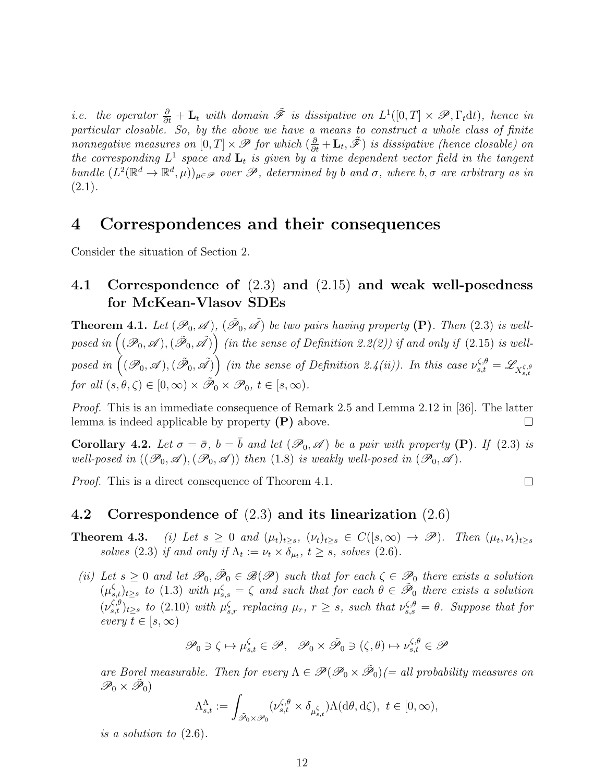*i.e.* the operator  $\frac{\partial}{\partial t} + \mathbf{L}_t$  with domain  $\tilde{\mathcal{F}}$  is dissipative on  $L^1([0,T] \times \mathcal{P}, \Gamma_t dt)$ , hence in particular closable. So, by the above we have a means to construct a whole class of finite nonnegative measures on  $[0,T] \times \mathscr{P}$  for which  $(\frac{\partial}{\partial t} + \mathbf{L}_t, \tilde{\mathscr{F}})$  is dissipative (hence closable) on the corresponding  $L^1$  space and  $\mathbf{L}_t$  is given by a time dependent vector field in the tangent bundle  $(L^2(\mathbb{R}^d \to \mathbb{R}^d, \mu))_{\mu \in \mathscr{P}}$  over  $\mathscr{P}$ , determined by b and  $\sigma$ , where  $b, \sigma$  are arbitrary as in  $(2.1).$ 

# 4 Correspondences and their consequences

Consider the situation of Section 2.

### 4.1 Correspondence of (2.3) and (2.15) and weak well-posedness for McKean-Vlasov SDEs

**Theorem 4.1.** Let  $(\mathscr{P}_0, \mathscr{A}), (\tilde{\mathscr{P}}_0, \tilde{\mathscr{A}})$  be two pairs having property (P). Then (2.3) is wellposed in  $\big((\mathscr{P}_0,\mathscr{A}),(\tilde{\mathscr{P}}_0,\tilde{\mathscr{A}})\big)$  (in the sense of Definition 2.2(2)) if and only if (2.15) is wellposed in  $((\mathscr{P}_0, \mathscr{A}), (\tilde{\mathscr{P}}_0, \tilde{\mathscr{A}}))$  (in the sense of Definition 2.4(ii)). In this case  $\nu_{s,t}^{\zeta,\theta} = \mathscr{L}_{X_{s,t}^{\zeta,\theta}}$ for all  $(s, \theta, \zeta) \in [0, \infty) \times \tilde{\mathscr{P}}_0 \times \mathscr{P}_0, t \in [s, \infty)$ .

Proof. This is an immediate consequence of Remark 2.5 and Lemma 2.12 in [36]. The latter lemma is indeed applicable by property  $(P)$  above.  $\Box$ 

Corollary 4.2. Let  $\sigma = \bar{\sigma}$ ,  $b = \bar{b}$  and let  $(\mathscr{P}_0, \mathscr{A})$  be a pair with property (P). If (2.3) is well-posed in  $((\mathscr{P}_0, \mathscr{A}),(\mathscr{P}_0, \mathscr{A}))$  then (1.8) is weakly well-posed in  $(\mathscr{P}_0, \mathscr{A})$ .

 $\Box$ 

*Proof.* This is a direct consequence of Theorem 4.1.

#### 4.2 Correspondence of (2.3) and its linearization (2.6)

- **Theorem 4.3.** (i) Let  $s \geq 0$  and  $(\mu_t)_{t \geq s}$ ,  $(\nu_t)_{t \geq s} \in C([s,\infty) \to \mathscr{P})$ . Then  $(\mu_t, \nu_t)_{t \geq s}$ solves (2.3) if and only if  $\Lambda_t := \nu_t \times \delta_{\mu_t}$ ,  $t \geq s$ , solves (2.6).
- (ii) Let  $s \geq 0$  and let  $\mathscr{P}_0$ ,  $\tilde{\mathscr{P}}_0 \in \mathscr{B}(\mathscr{P})$  such that for each  $\zeta \in \mathscr{P}_0$  there exists a solution  $(\mu_{s,t}^{\zeta})_{t\geq s}$  to (1.3) with  $\mu_{s,s}^{\zeta} = \zeta$  and such that for each  $\theta \in \tilde{\mathscr{P}}_0$  there exists a solution  $(\nu_{s,t}^{\zeta,\theta})_{t\geq s}$  to (2.10) with  $\mu_{s,r}^{\zeta}$  replacing  $\mu_r$ ,  $r\geq s$ , such that  $\nu_{s,s}^{\zeta,\theta}=\theta$ . Suppose that for every  $t \in [s, \infty)$

$$
\mathscr{P}_0 \ni \zeta \mapsto \mu_{s,t}^{\zeta} \in \mathscr{P}, \quad \mathscr{P}_0 \times \tilde{\mathscr{P}}_0 \ni (\zeta, \theta) \mapsto \nu_{s,t}^{\zeta, \theta} \in \mathscr{P}
$$

are Borel measurable. Then for every  $\Lambda \in \mathscr{P}(\mathscr{P}_0 \times \tilde{\mathscr{P}}_0) (= all \text{ probability measures on } \mathscr{P}$  $\mathscr{P}_0\times\tilde{\mathscr{P}}_0)$ 

$$
\Lambda_{s,t}^{\Lambda} := \int_{\tilde{\mathscr{P}}_0 \times \mathscr{P}_0} (\nu_{s,t}^{\zeta,\theta} \times \delta_{\mu_{s,t}^{\zeta}}) \Lambda(\mathrm{d}\theta,\mathrm{d}\zeta), \ t \in [0,\infty),
$$

is a solution to (2.6).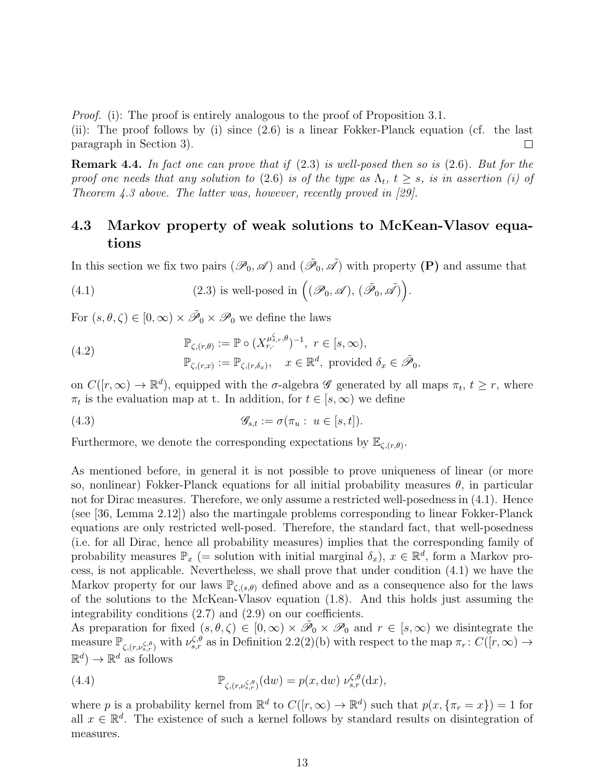*Proof.* (i): The proof is entirely analogous to the proof of Proposition 3.1.

(ii): The proof follows by (i) since (2.6) is a linear Fokker-Planck equation (cf. the last paragraph in Section 3).  $\Box$ 

Remark 4.4. In fact one can prove that if (2.3) is well-posed then so is (2.6). But for the proof one needs that any solution to (2.6) is of the type as  $\Lambda_t$ ,  $t \geq s$ , is in assertion (i) of Theorem 4.3 above. The latter was, however, recently proved in  $[29]$ .

### 4.3 Markov property of weak solutions to McKean-Vlasov equations

In this section we fix two pairs  $(\mathscr{P}_0, \mathscr{A})$  and  $(\tilde{\mathscr{P}}_0, \tilde{\mathscr{A}})$  with property  $(P)$  and assume that

.

(4.1) (2.3) is well-posed in 
$$
((\mathscr{P}_0, \mathscr{A}), (\tilde{\mathscr{P}}_0, \tilde{\mathscr{A}}))
$$

For  $(s, \theta, \zeta) \in [0, \infty) \times \tilde{\mathscr{P}}_0 \times \mathscr{P}_0$  we define the laws

(4.2) 
$$
\mathbb{P}_{\zeta,(r,\theta)} := \mathbb{P} \circ (X_{r,\cdot}^{\mu_{s,r}^{\zeta},\theta})^{-1}, r \in [s,\infty),
$$

$$
\mathbb{P}_{\zeta,(r,x)} := \mathbb{P}_{\zeta,(r,\delta_x)}, x \in \mathbb{R}^d, \text{ provided } \delta_x \in \tilde{\mathscr{P}}_0,
$$

on  $C([r,\infty) \to \mathbb{R}^d)$ , equipped with the  $\sigma$ -algebra  $\mathscr G$  generated by all maps  $\pi_t$ ,  $t \geq r$ , where  $\pi_t$  is the evaluation map at t. In addition, for  $t \in [s, \infty)$  we define

(4.3) 
$$
\mathscr{G}_{s,t} := \sigma(\pi_u : u \in [s,t]).
$$

Furthermore, we denote the corresponding expectations by  $\mathbb{E}_{\zeta,(r,\theta)}$ .

As mentioned before, in general it is not possible to prove uniqueness of linear (or more so, nonlinear) Fokker-Planck equations for all initial probability measures  $\theta$ , in particular not for Dirac measures. Therefore, we only assume a restricted well-posedness in (4.1). Hence (see [36, Lemma 2.12]) also the martingale problems corresponding to linear Fokker-Planck equations are only restricted well-posed. Therefore, the standard fact, that well-posedness (i.e. for all Dirac, hence all probability measures) implies that the corresponding family of probability measures  $\mathbb{P}_x$  (= solution with initial marginal  $\delta_x$ ),  $x \in \mathbb{R}^d$ , form a Markov process, is not applicable. Nevertheless, we shall prove that under condition (4.1) we have the Markov property for our laws  $\mathbb{P}_{\zeta,(s,\theta)}$  defined above and as a consequence also for the laws of the solutions to the McKean-Vlasov equation (1.8). And this holds just assuming the integrability conditions (2.7) and (2.9) on our coefficients.

As preparation for fixed  $(s, \theta, \zeta) \in [0, \infty) \times \tilde{\mathcal{P}}_0 \times \mathcal{P}_0$  and  $r \in [s, \infty)$  we disintegrate the measure  $\mathbb{P}_{\zeta,(r,\nu_{s,r}^{\zeta,\theta})}$  with  $\nu_{s,r}^{\zeta,\theta}$  as in Definition 2.2(2)(b) with respect to the map  $\pi_r: C([r,\infty) \to$  $\mathbb{R}^d$   $\rightarrow$   $\mathbb{R}^d$  as follows

(4.4) 
$$
\mathbb{P}_{\zeta,(r,\nu_{s,r}^{\zeta,\theta})}(\mathrm{d}w)=p(x,\mathrm{d}w)\,\nu_{s,r}^{\zeta,\theta}(\mathrm{d}x),
$$

where p is a probability kernel from  $\mathbb{R}^d$  to  $C([r,\infty) \to \mathbb{R}^d)$  such that  $p(x,\{\pi_r = x\}) = 1$  for all  $x \in \mathbb{R}^d$ . The existence of such a kernel follows by standard results on disintegration of measures.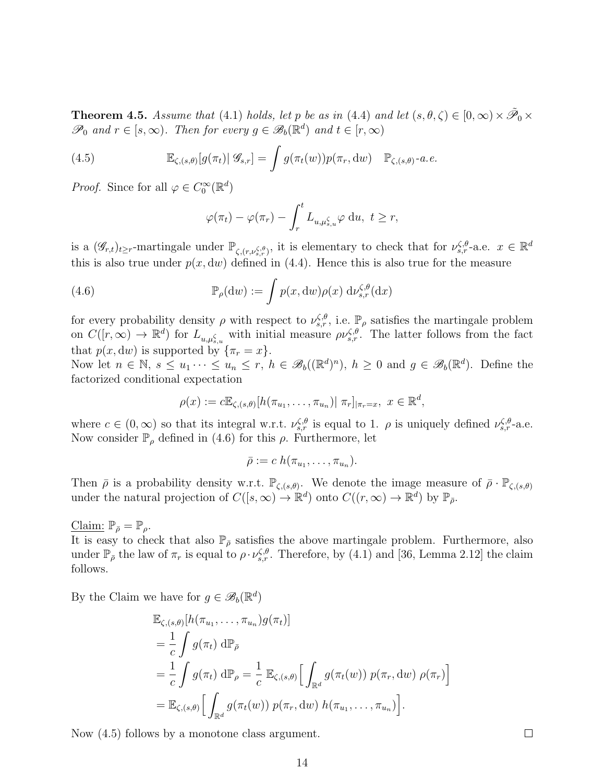**Theorem 4.5.** Assume that (4.1) holds, let p be as in (4.4) and let  $(s, \theta, \zeta) \in [0, \infty) \times \tilde{\mathcal{P}}_0 \times$  $\mathscr{P}_0$  and  $r \in [s, \infty)$ . Then for every  $g \in \mathscr{B}_b(\mathbb{R}^d)$  and  $t \in [r, \infty)$ 

(4.5) 
$$
\mathbb{E}_{\zeta,(s,\theta)}[g(\pi_t)|\mathcal{G}_{s,r}] = \int g(\pi_t(w))p(\pi_r, dw) \quad \mathbb{P}_{\zeta,(s,\theta)}\text{-}a.e.
$$

*Proof.* Since for all  $\varphi \in C_0^{\infty}(\mathbb{R}^d)$ 

$$
\varphi(\pi_t) - \varphi(\pi_r) - \int_r^t L_{u,\mu_{s,u}^\zeta} \varphi \, \mathrm{d}u, \ t \geq r,
$$

is a  $(\mathscr{G}_{r,t})_{t\geq r}$ -martingale under  $\mathbb{P}_{\zeta,(r,\nu_{s,r}^{\zeta,\theta})}$ , it is elementary to check that for  $\nu_{s,r}^{\zeta,\theta}$ -a.e.  $x \in \mathbb{R}^d$ this is also true under  $p(x, dw)$  defined in (4.4). Hence this is also true for the measure

(4.6) 
$$
\mathbb{P}_{\rho}(\mathrm{d}w) := \int p(x, \mathrm{d}w) \rho(x) \, \mathrm{d} \nu_{s,r}^{\zeta, \theta}(\mathrm{d}x)
$$

for every probability density  $\rho$  with respect to  $\nu_{s,r}^{\zeta,\theta}$ , i.e.  $\mathbb{P}_{\rho}$  satisfies the martingale problem on  $C([r,\infty) \to \mathbb{R}^d)$  for  $L_{u,\mu_{s,u}^{\zeta}}$  with initial measure  $\rho \nu_{s,r}^{\zeta,\theta}$ . The latter follows from the fact that  $p(x, dw)$  is supported by  $\{\pi_r = x\}.$ 

Now let  $n \in \mathbb{N}$ ,  $s \leq u_1 \cdots \leq u_n \leq r$ ,  $h \in \mathscr{B}_b((\mathbb{R}^d)^n)$ ,  $h \geq 0$  and  $g \in \mathscr{B}_b(\mathbb{R}^d)$ . Define the factorized conditional expectation

$$
\rho(x) := c \mathbb{E}_{\zeta,(s,\theta)}[h(\pi_{u_1},\ldots,\pi_{u_n}) | \pi_r]_{|\pi_r=x}, \ x \in \mathbb{R}^d,
$$

where  $c \in (0,\infty)$  so that its integral w.r.t.  $\nu_{s,r}^{\zeta,\theta}$  is equal to 1.  $\rho$  is uniquely defined  $\nu_{s,r}^{\zeta,\theta}$ -a.e. Now consider  $\mathbb{P}_{\rho}$  defined in (4.6) for this  $\rho$ . Furthermore, let

$$
\bar{\rho} := c \; h(\pi_{u_1}, \ldots, \pi_{u_n}).
$$

Then  $\bar{\rho}$  is a probability density w.r.t.  $\mathbb{P}_{\zeta,(s,\theta)}$ . We denote the image measure of  $\bar{\rho} \cdot \mathbb{P}_{\zeta,(s,\theta)}$ under the natural projection of  $C([s,\infty) \to \mathbb{R}^d)$  onto  $C((r,\infty) \to \mathbb{R}^d)$  by  $\mathbb{P}_{\bar{\rho}}$ .

Claim:  $\mathbb{P}_{\bar{\rho}} = \mathbb{P}_{\rho}$ .

It is easy to check that also  $\mathbb{P}_{\bar{\rho}}$  satisfies the above martingale problem. Furthermore, also under  $\mathbb{P}_{\bar{\rho}}$  the law of  $\pi_r$  is equal to  $\rho \cdot \nu_{s,r}^{\zeta,\theta}$ . Therefore, by (4.1) and [36, Lemma 2.12] the claim follows.

By the Claim we have for  $g \in \mathscr{B}_b(\mathbb{R}^d)$ 

$$
\mathbb{E}_{\zeta,(s,\theta)}[h(\pi_{u_1},\ldots,\pi_{u_n})g(\pi_t)]
$$
\n
$$
=\frac{1}{c}\int g(\pi_t) \,d\mathbb{P}_{\bar{\rho}}
$$
\n
$$
=\frac{1}{c}\int g(\pi_t) \,d\mathbb{P}_{\rho}=\frac{1}{c}\,\mathbb{E}_{\zeta,(s,\theta)}\Big[\int_{\mathbb{R}^d}g(\pi_t(w))\;p(\pi_r,\mathrm{d}w)\;\rho(\pi_r)\Big]
$$
\n
$$
=\mathbb{E}_{\zeta,(s,\theta)}\Big[\int_{\mathbb{R}^d}g(\pi_t(w))\;p(\pi_r,\mathrm{d}w)\;h(\pi_{u_1},\ldots,\pi_{u_n})\Big].
$$

Now (4.5) follows by a monotone class argument.

 $\Box$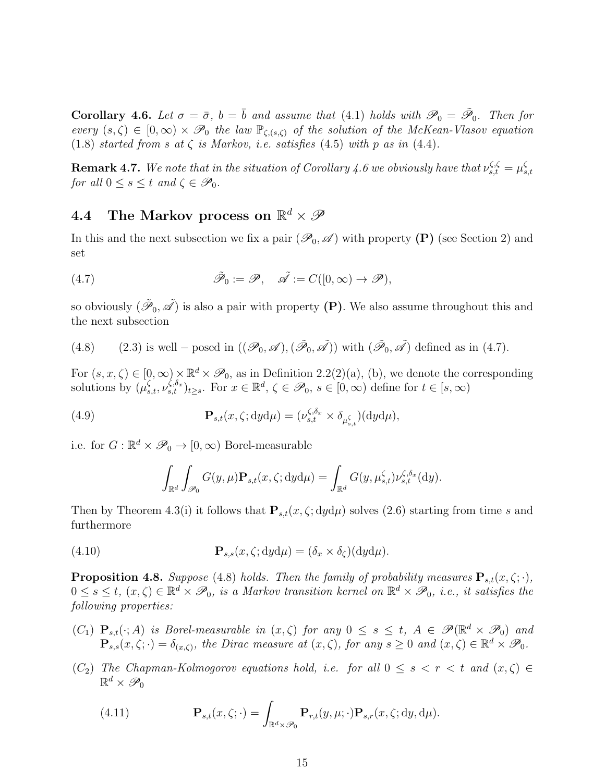**Corollary 4.6.** Let  $\sigma = \bar{\sigma}$ ,  $b = \bar{b}$  and assume that (4.1) holds with  $\mathscr{P}_0 = \tilde{\mathscr{P}}_0$ . Then for every  $(s,\zeta) \in [0,\infty) \times \mathscr{P}_0$  the law  $\mathbb{P}_{\zeta,(s,\zeta)}$  of the solution of the McKean-Vlasov equation (1.8) started from s at  $\zeta$  is Markov, i.e. satisfies (4.5) with p as in (4.4).

**Remark 4.7.** We note that in the situation of Corollary 4.6 we obviously have that  $\nu_{s,t}^{\zeta,\zeta} = \mu_s^{\zeta}$ s,t for all  $0 \leq s \leq t$  and  $\zeta \in \mathscr{P}_0$ .

# 4.4 The Markov process on  $\mathbb{R}^d \times \mathscr{P}$

In this and the next subsection we fix a pair  $(\mathscr{P}_0, \mathscr{A})$  with property (P) (see Section 2) and set

(4.7) 
$$
\tilde{\mathscr{P}}_0 := \mathscr{P}, \quad \tilde{\mathscr{A}} := C([0, \infty) \to \mathscr{P}),
$$

so obviously  $(\tilde{\mathscr{P}}_0, \tilde{\mathscr{A}})$  is also a pair with property  $(P)$ . We also assume throughout this and the next subsection

(4.8) (2.3) is well – posed in 
$$
((\mathcal{P}_0, \mathcal{A}), (\tilde{\mathcal{P}}_0, \tilde{\mathcal{A}}))
$$
 with  $(\tilde{\mathcal{P}}_0, \tilde{\mathcal{A}})$  defined as in (4.7).

For  $(s, x, \zeta) \in [0, \infty) \times \mathbb{R}^d \times \mathcal{P}_0$ , as in Definition 2.2(2)(a), (b), we denote the corresponding solutions by  $(\mu_{s,t}^{\zeta}, \nu_{s,t}^{\zeta, \delta_x})_{t \geq s}$ . For  $x \in \mathbb{R}^d$ ,  $\zeta \in \mathscr{P}_0$ ,  $s \in [0, \infty)$  define for  $t \in [s, \infty)$ 

(4.9) 
$$
\mathbf{P}_{s,t}(x,\zeta; dyd\mu) = (\nu_{s,t}^{\zeta,\delta_x} \times \delta_{\mu_{s,t}^{\zeta}})(dyd\mu),
$$

i.e. for  $G: \mathbb{R}^d \times \mathcal{P}_0 \to [0, \infty)$  Borel-measurable

$$
\int_{\mathbb{R}^d} \int_{\mathscr{P}_0} G(y,\mu) \mathbf{P}_{s,t}(x,\zeta; dyd\mu) = \int_{\mathbb{R}^d} G(y,\mu_{s,t}^{\zeta}) \nu_{s,t}^{\zeta,\delta_x}(dy).
$$

Then by Theorem 4.3(i) it follows that  $P_{s,t}(x, \zeta; dyd\mu)$  solves (2.6) starting from time s and furthermore

(4.10) 
$$
\mathbf{P}_{s,s}(x,\zeta;dyd\mu)=(\delta_x\times\delta_{\zeta})(dyd\mu).
$$

**Proposition 4.8.** Suppose (4.8) holds. Then the family of probability measures  $P_{s,t}(x, \zeta; \cdot)$ ,  $0 \leq s \leq t$ ,  $(x, \zeta) \in \mathbb{R}^d \times \mathscr{P}_0$ , is a Markov transition kernel on  $\mathbb{R}^d \times \mathscr{P}_0$ , i.e., it satisfies the following properties:

- $(C_1)$   $\mathbf{P}_{s,t}(\cdot; A)$  is Borel-measurable in  $(x, \zeta)$  for any  $0 \leq s \leq t$ ,  $A \in \mathscr{P}(\mathbb{R}^d \times \mathscr{P}_0)$  and  $\mathbf{P}_{s,s}(x,\zeta;\cdot)=\delta_{(x,\zeta)},$  the Dirac measure at  $(x,\zeta)$ , for any  $s\geq 0$  and  $(x,\zeta)\in\mathbb{R}^d\times\mathscr{P}_0$ .
- (C<sub>2</sub>) The Chapman-Kolmogorov equations hold, i.e. for all  $0 \leq s \leq r \leq t$  and  $(x, \zeta) \in$  $\mathbb{R}^d \times \mathscr{P}_0$

(4.11) 
$$
\mathbf{P}_{s,t}(x,\zeta;\cdot)=\int_{\mathbb{R}^d\times\mathscr{P}_0}\mathbf{P}_{r,t}(y,\mu;\cdot)\mathbf{P}_{s,r}(x,\zeta;dy,d\mu).
$$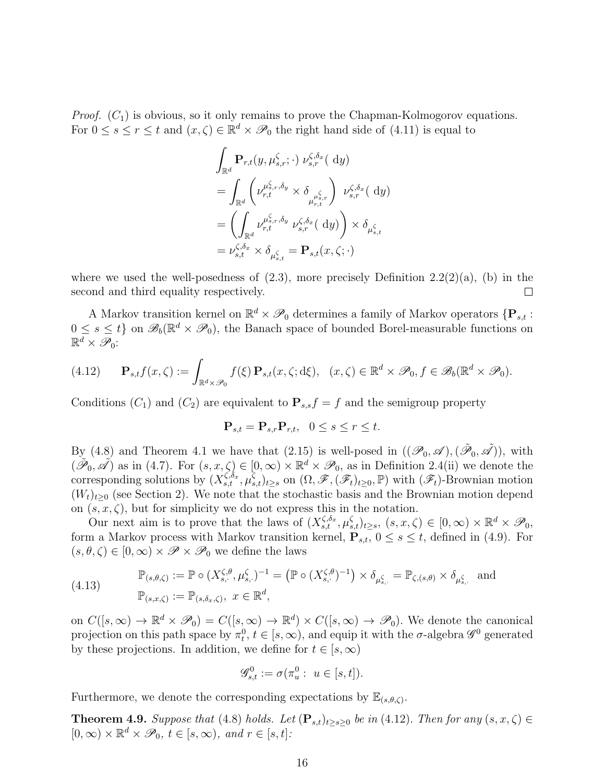*Proof.*  $(C_1)$  is obvious, so it only remains to prove the Chapman-Kolmogorov equations. For  $0 \leq s \leq r \leq t$  and  $(x, \zeta) \in \mathbb{R}^d \times \mathcal{P}_0$  the right hand side of  $(4.11)$  is equal to

$$
\int_{\mathbb{R}^d} \mathbf{P}_{r,t}(y, \mu_{s,r}^{\zeta}; \cdot) \, \nu_{s,r}^{\zeta, \delta_x} \, (\mathrm{d}y)
$$
\n
$$
= \int_{\mathbb{R}^d} \left( \nu_{r,t}^{\mu_{s,r}^{\zeta}, \delta_y} \times \delta_{\mu_{r,t}^{\zeta}, \cdot} \right) \, \nu_{s,r}^{\zeta, \delta_x} \, (\mathrm{d}y)
$$
\n
$$
= \left( \int_{\mathbb{R}^d} \nu_{r,t}^{\mu_{s,r}^{\zeta}, \delta_y} \, \nu_{s,r}^{\zeta, \delta_x} \, (\mathrm{d}y) \right) \times \delta_{\mu_{s,t}^{\zeta}}
$$
\n
$$
= \nu_{s,t}^{\zeta, \delta_x} \times \delta_{\mu_{s,t}^{\zeta}} = \mathbf{P}_{s,t}(x, \zeta; \cdot)
$$

where we used the well-posedness of  $(2.3)$ , more precisely Definition  $2.2(2)(a)$ , (b) in the second and third equality respectively.  $\Box$ 

A Markov transition kernel on  $\mathbb{R}^d \times \mathcal{P}_0$  determines a family of Markov operators  $\{P_{s,t}$ :  $0 \leq s \leq t$  on  $\mathscr{B}_b(\mathbb{R}^d \times \mathscr{P}_0)$ , the Banach space of bounded Borel-measurable functions on  $\mathbb{R}^d \times \mathscr{P}_0$ :

$$
(4.12) \qquad \mathbf{P}_{s,t}f(x,\zeta) := \int_{\mathbb{R}^d \times \mathcal{P}_0} f(\xi) \, \mathbf{P}_{s,t}(x,\zeta;d\xi), \quad (x,\zeta) \in \mathbb{R}^d \times \mathcal{P}_0, f \in \mathcal{B}_b(\mathbb{R}^d \times \mathcal{P}_0).
$$

Conditions  $(C_1)$  and  $(C_2)$  are equivalent to  $\mathbf{P}_{s,s}f = f$  and the semigroup property

$$
\mathbf{P}_{s,t} = \mathbf{P}_{s,r} \mathbf{P}_{r,t}, \quad 0 \le s \le r \le t.
$$

By (4.8) and Theorem 4.1 we have that (2.15) is well-posed in  $((\mathscr{P}_0, \mathscr{A}),(\tilde{\mathscr{P}}_0, \tilde{\mathscr{A}}))$ , with  $(\tilde{\mathscr{P}}_0, \tilde{\mathscr{A}})$  as in (4.7). For  $(s, x, \zeta) \in [0, \infty) \times \mathbb{R}^d \times \mathscr{P}_0$ , as in Definition 2.4(ii) we denote the corresponding solutions by  $(X_{s,t}^{\zeta,\delta_x}, \mu_{s,t}^{\zeta})_{t\geq s}$  on  $(\Omega, \mathscr{F}, (\mathscr{F}_t)_{t\geq 0}, \mathbb{P})$  with  $(\mathscr{F}_t)$ -Brownian motion  $(W_t)_{t\geq0}$  (see Section 2). We note that the stochastic basis and the Brownian motion depend on  $(s, x, \zeta)$ , but for simplicity we do not express this in the notation.

Our next aim is to prove that the laws of  $(X_{s,t}^{\zeta,\delta_x}, \mu_{s,t}^{\zeta})_{t\geq s}, (s, x, \zeta) \in [0, \infty) \times \mathbb{R}^d \times \mathscr{P}_0$ , form a Markov process with Markov transition kernel,  $\mathbf{P}_{s,t}$ ,  $0 \leq s \leq t$ , defined in (4.9). For  $(s, \theta, \zeta) \in [0, \infty) \times \mathscr{P} \times \mathscr{P}_0$  we define the laws

(4.13) 
$$
\mathbb{P}_{(s,\theta,\zeta)} := \mathbb{P} \circ (X_{s,\cdot}^{\zeta,\theta}, \mu_{s,\cdot}^{\zeta})^{-1} = (\mathbb{P} \circ (X_{s,\cdot}^{\zeta,\theta})^{-1}) \times \delta_{\mu_{s,\cdot}^{\zeta}} = \mathbb{P}_{\zeta,(s,\theta)} \times \delta_{\mu_{s,\cdot}^{\zeta}}
$$
 and 
$$
\mathbb{P}_{(s,x,\zeta)} := \mathbb{P}_{(s,\delta_x,\zeta)}, \ x \in \mathbb{R}^d,
$$

on  $C([s,\infty) \to \mathbb{R}^d \times \mathscr{P}_0) = C([s,\infty) \to \mathbb{R}^d) \times C([s,\infty) \to \mathscr{P}_0)$ . We denote the canonical projection on this path space by  $\pi_t^0$ ,  $t \in [s, \infty)$ , and equip it with the  $\sigma$ -algebra  $\mathscr{G}^0$  generated by these projections. In addition, we define for  $t \in [s, \infty)$ 

$$
\mathscr{G}_{s,t}^0 := \sigma(\pi_u^0 : u \in [s,t]).
$$

Furthermore, we denote the corresponding expectations by  $\mathbb{E}_{(s,\theta,\zeta)}$ .

**Theorem 4.9.** Suppose that (4.8) holds. Let  $(\mathbf{P}_{s,t})_{t\geq s\geq 0}$  be in (4.12). Then for any  $(s, x, \zeta) \in$  $[0, \infty) \times \mathbb{R}^d \times \mathscr{P}_0, t \in [s, \infty)$ , and  $r \in [s, t]$ :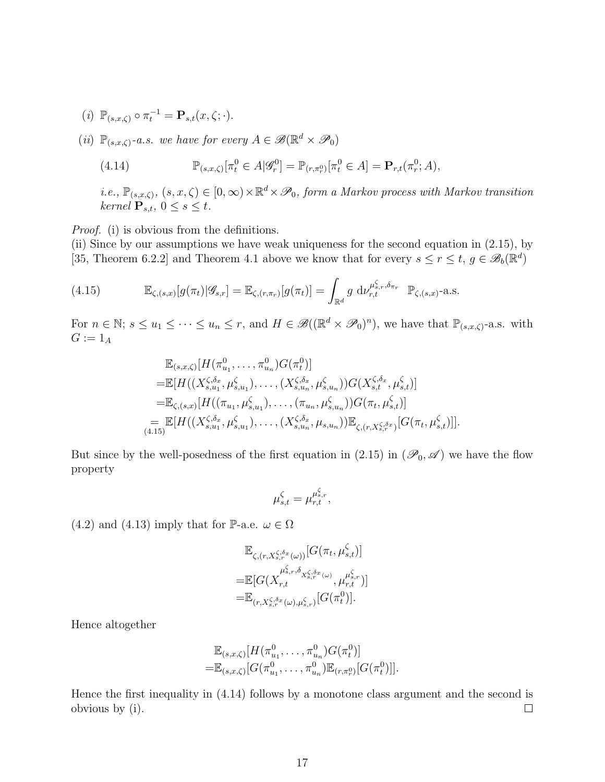- (*i*)  $\mathbb{P}_{(s,x,\zeta)} \circ \pi_t^{-1} = \mathbf{P}_{s,t}(x,\zeta;\cdot).$
- (ii)  $\mathbb{P}_{(s,x,\zeta)}$ -a.s. we have for every  $A \in \mathscr{B}(\mathbb{R}^d \times \mathscr{P}_0)$

(4.14) 
$$
\mathbb{P}_{(s,x,\zeta)}[\pi_t^0 \in A | \mathscr{G}_r^0] = \mathbb{P}_{(r,\pi_r^0)}[\pi_t^0 \in A] = \mathbf{P}_{r,t}(\pi_r^0; A),
$$

*i.e.*,  $\mathbb{P}_{(s,x,\zeta)}$ ,  $(s,x,\zeta) \in [0,\infty) \times \mathbb{R}^d \times \mathcal{P}_0$ , form a Markov process with Markov transition kernel  $\mathbf{P}_{s,t}$ ,  $0 \leq s \leq t$ .

Proof. (i) is obvious from the definitions.

(ii) Since by our assumptions we have weak uniqueness for the second equation in (2.15), by [35, Theorem 6.2.2] and Theorem 4.1 above we know that for every  $s \leq r \leq t$ ,  $g \in \mathscr{B}_b(\mathbb{R}^d)$ 

(4.15) 
$$
\mathbb{E}_{\zeta,(s,x)}[g(\pi_t)|\mathscr{G}_{s,r}] = \mathbb{E}_{\zeta,(r,\pi_r)}[g(\pi_t)] = \int_{\mathbb{R}^d} g \, d\nu_{r,t}^{\mu_{s,r}^{\zeta}, \delta_{\pi_r}} \mathbb{P}_{\zeta,(s,x)}\text{-a.s.}
$$

For  $n \in \mathbb{N}$ ;  $s \leq u_1 \leq \cdots \leq u_n \leq r$ , and  $H \in \mathscr{B}((\mathbb{R}^d \times \mathscr{P}_0)^n)$ , we have that  $\mathbb{P}_{(s,x,\zeta)}$ -a.s. with  $G := 1_A$ 

$$
\mathbb{E}_{(s,x,\zeta)}[H(\pi_{u_1}^0,\ldots,\pi_{u_n}^0)G(\pi_t^0)]
$$
\n
$$
=\mathbb{E}[H((X_{s,u_1}^{\zeta,\delta_x},\mu_{s,u_1}^{\zeta}),\ldots,(X_{s,u_n}^{\zeta,\delta_x},\mu_{s,u_n}^{\zeta}))G(X_{s,t}^{\zeta,\delta_x},\mu_{s,t}^{\zeta})]
$$
\n
$$
=\mathbb{E}_{\zeta,(s,x)}[H((\pi_{u_1},\mu_{s,u_1}^{\zeta}),\ldots,(\pi_{u_n},\mu_{s,u_n}^{\zeta}))G(\pi_t,\mu_{s,t}^{\zeta})]
$$
\n
$$
=\mathbb{E}[H((X_{s,u_1}^{\zeta,\delta_x},\mu_{s,u_1}^{\zeta}),\ldots,(X_{s,u_n}^{\zeta,\delta_x},\mu_{s,u_n}))\mathbb{E}_{\zeta,(r,X_{s,r}^{\zeta,\delta_x})}[G(\pi_t,\mu_{s,t}^{\zeta})]].
$$

But since by the well-posedness of the first equation in (2.15) in  $(\mathscr{P}_0, \mathscr{A})$  we have the flow property

$$
\mu_{s,t}^\zeta = \mu_{r,t}^{\mu_{s,r}^\zeta},
$$

 $(4.2)$  and  $(4.13)$  imply that for P-a.e.  $\omega \in \Omega$ 

$$
\mathbb{E}_{\zeta,(r,X_s^{\zeta,\delta_x}(\omega))}[G(\pi_t,\mu_{s,t}^{\zeta})]
$$
\n
$$
=\mathbb{E}[G(X_{r,t}^{\mu_{s,r}^{\zeta,\delta_{X_s^{\zeta,\delta_x}(\omega)}},\mu_{r,t}^{\mu_{s,r}^{\zeta}})]
$$
\n
$$
=\mathbb{E}_{(r,X_s^{\zeta,\delta_x}(\omega),\mu_{s,r}^{\zeta})}[G(\pi_t^0)].
$$

Hence altogether

$$
\mathbb{E}_{(s,x,\zeta)}[H(\pi_{u_1}^0,\ldots,\pi_{u_n}^0)G(\pi_t^0)]
$$
  
=
$$
\mathbb{E}_{(s,x,\zeta)}[G(\pi_{u_1}^0,\ldots,\pi_{u_n}^0)\mathbb{E}_{(r,\pi_r^0)}[G(\pi_t^0)]].
$$

Hence the first inequality in (4.14) follows by a monotone class argument and the second is obvious by (i).  $\Box$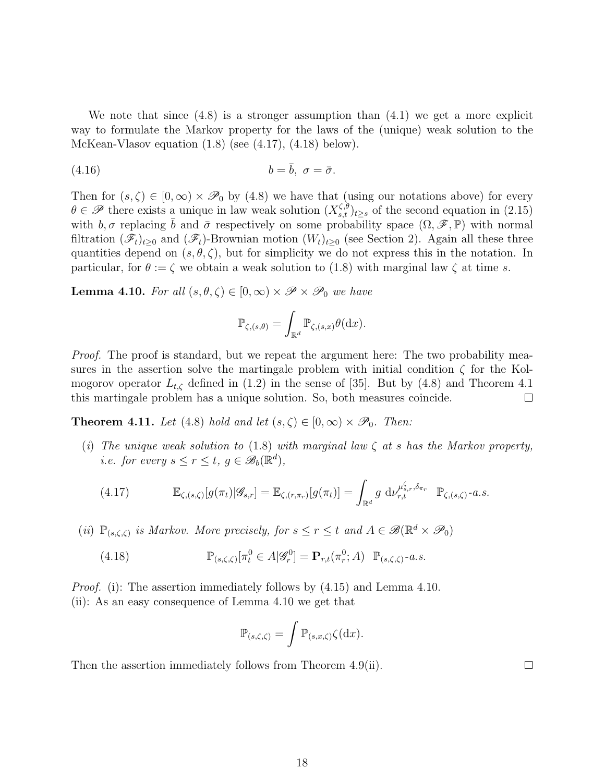We note that since (4.8) is a stronger assumption than (4.1) we get a more explicit way to formulate the Markov property for the laws of the (unique) weak solution to the McKean-Vlasov equation (1.8) (see (4.17), (4.18) below).

$$
(4.16) \t\t b = \bar{b}, \ \sigma = \bar{\sigma}.
$$

Then for  $(s, \zeta) \in [0, \infty) \times \mathcal{P}_0$  by (4.8) we have that (using our notations above) for every  $\theta \in \mathscr{P}$  there exists a unique in law weak solution  $(X_{s,t}^{\zeta,\theta})_{t\geq s}$  of the second equation in (2.15) with  $b, \sigma$  replacing b and  $\bar{\sigma}$  respectively on some probability space  $(\Omega, \mathscr{F}, \mathbb{P})$  with normal filtration  $(\mathscr{F}_t)_{t\geq0}$  and  $(\mathscr{F}_t)$ -Brownian motion  $(W_t)_{t\geq0}$  (see Section 2). Again all these three quantities depend on  $(s, \theta, \zeta)$ , but for simplicity we do not express this in the notation. In particular, for  $\theta := \zeta$  we obtain a weak solution to (1.8) with marginal law  $\zeta$  at time s.

**Lemma 4.10.** For all  $(s, \theta, \zeta) \in [0, \infty) \times \mathscr{P} \times \mathscr{P}_0$  we have

$$
\mathbb{P}_{\zeta,(s,\theta)} = \int_{\mathbb{R}^d} \mathbb{P}_{\zeta,(s,x)} \theta(\mathrm{d} x).
$$

*Proof.* The proof is standard, but we repeat the argument here: The two probability measures in the assertion solve the martingale problem with initial condition  $\zeta$  for the Kolmogorov operator  $L_{t,\zeta}$  defined in (1.2) in the sense of [35]. But by (4.8) and Theorem 4.1 this martingale problem has a unique solution. So, both measures coincide.  $\Box$ 

**Theorem 4.11.** Let (4.8) hold and let  $(s, \zeta) \in [0, \infty) \times \mathcal{P}_0$ . Then:

(i) The unique weak solution to (1.8) with marginal law  $\zeta$  at s has the Markov property, *i.e. for every*  $s \leq r \leq t$ ,  $g \in \mathscr{B}_b(\mathbb{R}^d)$ ,

$$
(4.17) \qquad \mathbb{E}_{\zeta,(s,\zeta)}[g(\pi_t)|\mathscr{G}_{s,r}] = \mathbb{E}_{\zeta,(r,\pi_r)}[g(\pi_t)] = \int_{\mathbb{R}^d} g \, \mathrm{d} \nu_{r,t}^{\mu_{s,r}^{\zeta},\delta_{\pi_r}} \; \mathbb{P}_{\zeta,(s,\zeta)} \, \text{-} a.s.
$$

(ii)  $\mathbb{P}_{(s,\zeta,\zeta)}$  is Markov. More precisely, for  $s \leq r \leq t$  and  $A \in \mathscr{B}(\mathbb{R}^d \times \mathscr{P}_0)$ 

(4.18) 
$$
\mathbb{P}_{(s,\zeta,\zeta)}[\pi_t^0 \in A|\mathscr{G}_r^0] = \mathbf{P}_{r,t}(\pi_r^0;A) \mathbb{P}_{(s,\zeta,\zeta)}\text{-}a.s.
$$

*Proof.* (i): The assertion immediately follows by  $(4.15)$  and Lemma 4.10. (ii): As an easy consequence of Lemma 4.10 we get that

$$
\mathbb{P}_{(s,\zeta,\zeta)} = \int \mathbb{P}_{(s,x,\zeta)} \zeta(\mathrm{d}x).
$$

 $\Box$ 

Then the assertion immediately follows from Theorem 4.9(ii).

18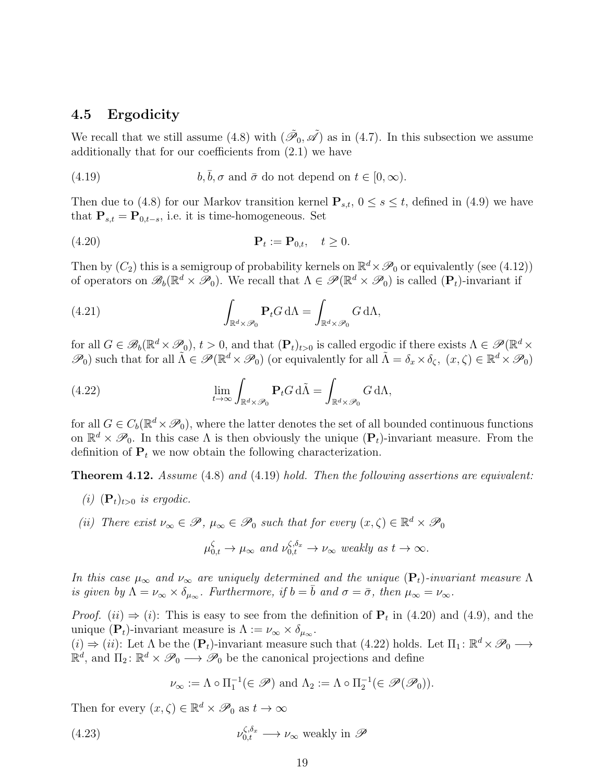#### 4.5 Ergodicity

We recall that we still assume (4.8) with  $(\tilde{\mathcal{P}}_0, \tilde{\mathcal{A}})$  as in (4.7). In this subsection we assume additionally that for our coefficients from (2.1) we have

(4.19) 
$$
b, \bar{b}, \sigma \text{ and } \bar{\sigma} \text{ do not depend on } t \in [0, \infty).
$$

Then due to (4.8) for our Markov transition kernel  $P_{s,t}$ ,  $0 \le s \le t$ , defined in (4.9) we have that  $\mathbf{P}_{s,t} = \mathbf{P}_{0,t-s}$ , i.e. it is time-homogeneous. Set

$$
\mathbf{P}_t := \mathbf{P}_{0,t}, \quad t \ge 0.
$$

Then by  $(C_2)$  this is a semigroup of probability kernels on  $\mathbb{R}^d \times \mathcal{P}_0$  or equivalently (see (4.12)) of operators on  $\mathscr{B}_b(\mathbb{R}^d \times \mathscr{P}_0)$ . We recall that  $\Lambda \in \mathscr{P}(\mathbb{R}^d \times \mathscr{P}_0)$  is called  $(\mathbf{P}_t)$ -invariant if

(4.21) 
$$
\int_{\mathbb{R}^d \times \mathscr{P}_0} \mathbf{P}_t G d\Lambda = \int_{\mathbb{R}^d \times \mathscr{P}_0} G d\Lambda,
$$

for all  $G \in \mathscr{B}_b(\mathbb{R}^d \times \mathscr{P}_0), t > 0$ , and that  $(\mathbf{P}_t)_{t>0}$  is called ergodic if there exists  $\Lambda \in \mathscr{P}(\mathbb{R}^d \times$  $\mathscr{P}_0$ ) such that for all  $\tilde{\Lambda} \in \mathscr{P}(\mathbb{R}^d \times \mathscr{P}_0)$  (or equivalently for all  $\tilde{\Lambda} = \delta_x \times \delta_{\zeta}$ ,  $(x, \zeta) \in \mathbb{R}^d \times \mathscr{P}_0$ )

(4.22) 
$$
\lim_{t \to \infty} \int_{\mathbb{R}^d \times \mathcal{P}_0} \mathbf{P}_t G d\tilde{\Lambda} = \int_{\mathbb{R}^d \times \mathcal{P}_0} G d\Lambda,
$$

for all  $G \in C_b(\mathbb{R}^d \times \mathcal{P}_0)$ , where the latter denotes the set of all bounded continuous functions on  $\mathbb{R}^d \times \mathscr{P}_0$ . In this case  $\Lambda$  is then obviously the unique  $(\mathbf{P}_t)$ -invariant measure. From the definition of  $P_t$  we now obtain the following characterization.

**Theorem 4.12.** Assume  $(4.8)$  and  $(4.19)$  hold. Then the following assertions are equivalent:

- (i)  $(\mathbf{P}_t)_{t>0}$  is ergodic.
- (ii) There exist  $\nu_{\infty} \in \mathscr{P}, \mu_{\infty} \in \mathscr{P}_0$  such that for every  $(x, \zeta) \in \mathbb{R}^d \times \mathscr{P}_0$

$$
\mu_{0,t}^{\zeta} \to \mu_{\infty} \text{ and } \nu_{0,t}^{\zeta, \delta_x} \to \nu_{\infty} \text{ weakly as } t \to \infty.
$$

In this case  $\mu_{\infty}$  and  $\nu_{\infty}$  are uniquely determined and the unique  $(\mathbf{P}_t)$ -invariant measure  $\Lambda$ is given by  $\Lambda = \nu_{\infty} \times \delta_{\mu_{\infty}}$ . Furthermore, if  $b = \overline{b}$  and  $\sigma = \overline{\sigma}$ , then  $\mu_{\infty} = \nu_{\infty}$ .

*Proof.* (*ii*)  $\Rightarrow$  (*i*): This is easy to see from the definition of  $P_t$  in (4.20) and (4.9), and the unique (P<sub>t</sub>)-invariant measure is  $\Lambda := \nu_{\infty} \times \delta_{\mu_{\infty}}$ .

 $(i) \Rightarrow (ii)$ : Let  $\Lambda$  be the  $(\mathbf{P}_t)$ -invariant measure such that  $(4.22)$  holds. Let  $\Pi_1: \mathbb{R}^d \times \mathscr{P}_0 \longrightarrow$  $\mathbb{R}^d$ , and  $\Pi_2: \mathbb{R}^d \times \mathscr{P}_0 \longrightarrow \mathscr{P}_0$  be the canonical projections and define

$$
\nu_{\infty} := \Lambda \circ \Pi_1^{-1} (\in \mathscr{P}) \text{ and } \Lambda_2 := \Lambda \circ \Pi_2^{-1} (\in \mathscr{P}(\mathscr{P}_0)).
$$

Then for every  $(x, \zeta) \in \mathbb{R}^d \times \mathcal{P}_0$  as  $t \to \infty$ 

(4.23) 
$$
\nu_{0,t}^{\zeta,\delta_x} \longrightarrow \nu_{\infty} \text{ weakly in } \mathscr{P}
$$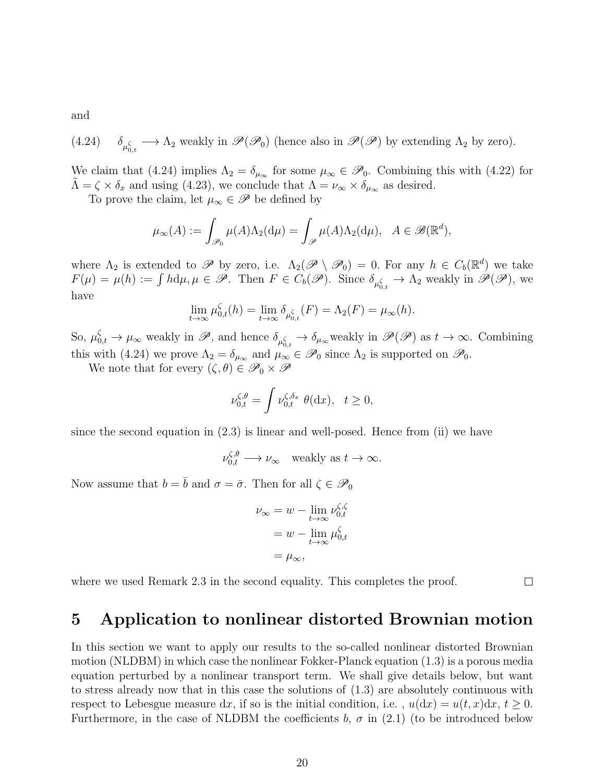and

(4.24) 
$$
\delta_{\mu_{0,t}^{\zeta}} \longrightarrow \Lambda_2
$$
 weakly in  $\mathscr{P}(\mathscr{P}_0)$  (hence also in  $\mathscr{P}(\mathscr{P})$  by extending  $\Lambda_2$  by zero).

We claim that (4.24) implies  $\Lambda_2 = \delta_{\mu_\infty}$  for some  $\mu_\infty \in \mathscr{P}_0$ . Combining this with (4.22) for  $\tilde{\Lambda} = \zeta \times \delta_x$  and using (4.23), we conclude that  $\Lambda = \nu_{\infty} \times \delta_{\mu_{\infty}}$  as desired.

To prove the claim, let  $\mu_{\infty} \in \mathscr{P}$  be defined by

$$
\mu_{\infty}(A) := \int_{\mathscr{P}_0} \mu(A) \Lambda_2(\mathrm{d}\mu) = \int_{\mathscr{P}} \mu(A) \Lambda_2(\mathrm{d}\mu), \quad A \in \mathscr{B}(\mathbb{R}^d),
$$

where  $\Lambda_2$  is extended to  $\mathscr{P}$  by zero, i.e.  $\Lambda_2(\mathscr{P} \setminus \mathscr{P}_0) = 0$ . For any  $h \in C_b(\mathbb{R}^d)$  we take  $F(\mu) = \mu(h) := \int h d\mu, \mu \in \mathscr{P}$ . Then  $F \in C_b(\mathscr{P})$ . Since  $\delta_{\mu_{0,t}^{\zeta}} \to \Lambda_2$  weakly in  $\mathscr{P}(\mathscr{P})$ , we have

$$
\lim_{t \to \infty} \mu_{0,t}^{\zeta}(h) = \lim_{t \to \infty} \delta_{\mu_{0,t}^{\zeta}}(F) = \Lambda_2(F) = \mu_{\infty}(h).
$$

So,  $\mu_{0,t}^{\zeta} \to \mu_{\infty}$  weakly in  $\mathscr{P}$ , and hence  $\delta_{\mu_{0,t}^{\zeta}} \to \delta_{\mu_{\infty}}$  weakly in  $\mathscr{P}(\mathscr{P})$  as  $t \to \infty$ . Combining this with (4.24) we prove  $\Lambda_2 = \delta_{\mu_\infty}$  and  $\mu_\infty \in \mathscr{P}_0$  since  $\Lambda_2$  is supported on  $\mathscr{P}_0$ .

We note that for every  $(\zeta, \theta) \in \mathscr{P}_0 \times \mathscr{P}$ 

$$
\nu_{0,t}^{\zeta,\theta} = \int \nu_{0,t}^{\zeta,\delta_x} \theta(\mathrm{d}x), \quad t \ge 0,
$$

since the second equation in (2.3) is linear and well-posed. Hence from (ii) we have

$$
\nu_{0,t}^{\zeta,\theta} \longrightarrow \nu_{\infty} \quad \text{weakly as } t \to \infty.
$$

Now assume that  $b = \overline{b}$  and  $\sigma = \overline{\sigma}$ . Then for all  $\zeta \in \mathscr{P}_0$ 

$$
\nu_{\infty} = w - \lim_{t \to \infty} \nu_{0,t}^{\zeta,\zeta}
$$

$$
= w - \lim_{t \to \infty} \mu_{0,t}^{\zeta}
$$

$$
= \mu_{\infty},
$$

where we used Remark 2.3 in the second equality. This completes the proof.

 $\Box$ 

# 5 Application to nonlinear distorted Brownian motion

In this section we want to apply our results to the so-called nonlinear distorted Brownian motion (NLDBM) in which case the nonlinear Fokker-Planck equation (1.3) is a porous media equation perturbed by a nonlinear transport term. We shall give details below, but want to stress already now that in this case the solutions of (1.3) are absolutely continuous with respect to Lebesgue measure dx, if so is the initial condition, i.e.,  $u(dx) = u(t, x)dx, t \ge 0$ . Furthermore, in the case of NLDBM the coefficients b,  $\sigma$  in (2.1) (to be introduced below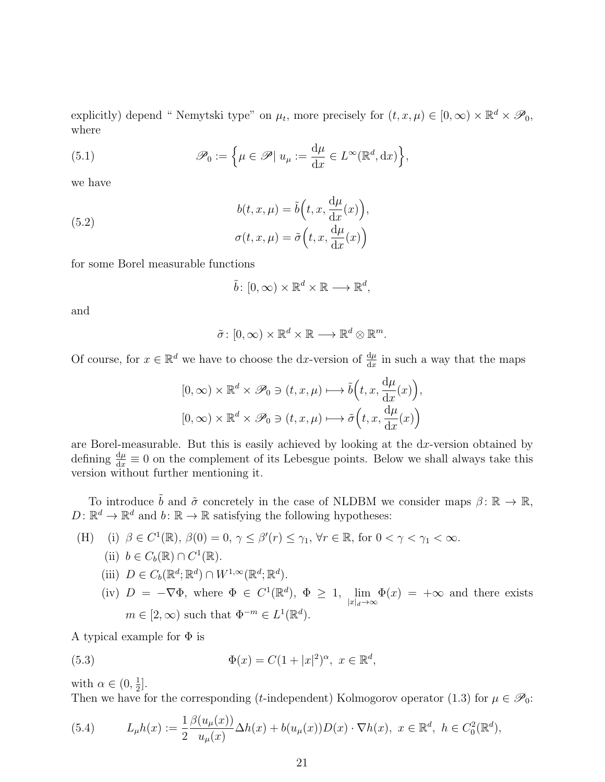explicitly) depend "Nemytski type" on  $\mu_t$ , more precisely for  $(t, x, \mu) \in [0, \infty) \times \mathbb{R}^d \times \mathcal{P}_0$ , where

(5.1) 
$$
\mathscr{P}_0 := \left\{ \mu \in \mathscr{P} | u_{\mu} := \frac{d\mu}{dx} \in L^{\infty}(\mathbb{R}^d, dx) \right\},
$$

we have

(5.2)  

$$
b(t, x, \mu) = \tilde{b}\left(t, x, \frac{d\mu}{dx}(x)\right),
$$

$$
\sigma(t, x, \mu) = \tilde{\sigma}\left(t, x, \frac{d\mu}{dx}(x)\right)
$$

for some Borel measurable functions

$$
\tilde{b}\colon [0,\infty)\times\mathbb{R}^d\times\mathbb{R}\longrightarrow\mathbb{R}^d,
$$

and

$$
\tilde{\sigma} \colon [0, \infty) \times \mathbb{R}^d \times \mathbb{R} \longrightarrow \mathbb{R}^d \otimes \mathbb{R}^m.
$$

Of course, for  $x \in \mathbb{R}^d$  we have to choose the dx-version of  $\frac{d\mu}{dx}$  in such a way that the maps

$$
[0, \infty) \times \mathbb{R}^d \times \mathcal{P}_0 \ni (t, x, \mu) \longmapsto \tilde{b}\Big(t, x, \frac{d\mu}{dx}(x)\Big),
$$
  

$$
[0, \infty) \times \mathbb{R}^d \times \mathcal{P}_0 \ni (t, x, \mu) \longmapsto \tilde{\sigma}\Big(t, x, \frac{d\mu}{dx}(x)\Big)
$$

are Borel-measurable. But this is easily achieved by looking at the  $dx$ -version obtained by defining  $\frac{d\mu}{dx} \equiv 0$  on the complement of its Lebesgue points. Below we shall always take this version without further mentioning it.

To introduce  $\tilde{b}$  and  $\tilde{\sigma}$  concretely in the case of NLDBM we consider maps  $\beta \colon \mathbb{R} \to \mathbb{R}$ ,  $D: \mathbb{R}^d \to \mathbb{R}^d$  and  $b: \mathbb{R} \to \mathbb{R}$  satisfying the following hypotheses:

\n- (H) (i) 
$$
\beta \in C^1(\mathbb{R}), \beta(0) = 0, \gamma \le \beta'(r) \le \gamma_1, \forall r \in \mathbb{R}, \text{ for } 0 < \gamma < \gamma_1 < \infty.
$$
\n- (ii)  $b \in C_b(\mathbb{R}) \cap C^1(\mathbb{R}).$
\n- (iii)  $D \in C_b(\mathbb{R}^d; \mathbb{R}^d) \cap W^{1,\infty}(\mathbb{R}^d; \mathbb{R}^d).$
\n

(iv)  $D = -\nabla \Phi$ , where  $\Phi \in C^1(\mathbb{R}^d)$ ,  $\Phi \geq 1$ , lim  $|x|_d\rightarrow\infty$  $\Phi(x) = +\infty$  and there exists  $m \in [2, \infty)$  such that  $\Phi^{-m} \in L^1(\mathbb{R}^d)$ .

A typical example for  $\Phi$  is

(5.3) 
$$
\Phi(x) = C(1+|x|^2)^{\alpha}, \ x \in \mathbb{R}^d,
$$

with  $\alpha \in (0, \frac{1}{2})$  $\frac{1}{2}$ .

Then we have for the corresponding (t-independent) Kolmogorov operator (1.3) for  $\mu \in \mathscr{P}_0$ :

(5.4) 
$$
L_{\mu}h(x) := \frac{1}{2} \frac{\beta(u_{\mu}(x))}{u_{\mu}(x)} \Delta h(x) + b(u_{\mu}(x))D(x) \cdot \nabla h(x), \ x \in \mathbb{R}^d, \ h \in C_0^2(\mathbb{R}^d),
$$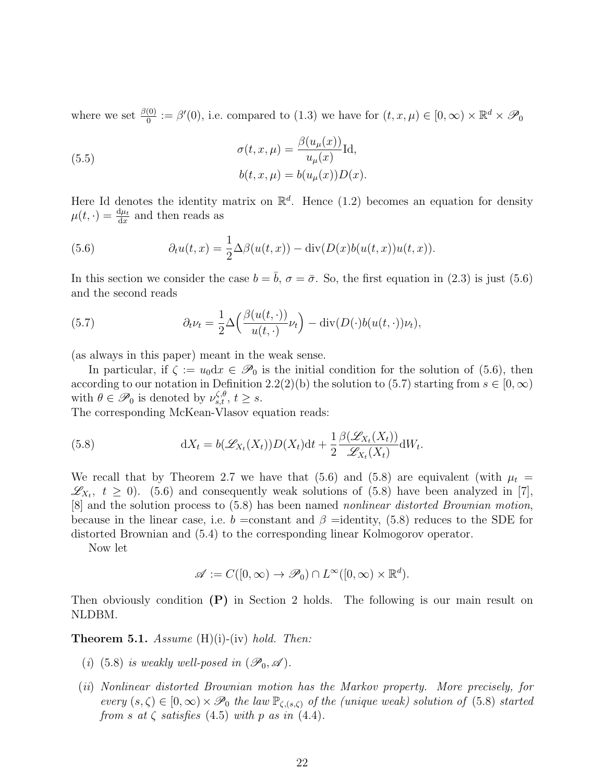where we set  $\frac{\beta(0)}{0} := \beta'(0)$ , i.e. compared to  $(1.3)$  we have for  $(t, x, \mu) \in [0, \infty) \times \mathbb{R}^d \times \mathcal{P}_0$ 

(5.5) 
$$
\sigma(t, x, \mu) = \frac{\beta(u_{\mu}(x))}{u_{\mu}(x)} \text{Id},
$$

$$
b(t, x, \mu) = b(u_{\mu}(x))D(x).
$$

Here Id denotes the identity matrix on  $\mathbb{R}^d$ . Hence (1.2) becomes an equation for density  $\mu(t,\cdot) = \frac{d\mu_t}{dx}$  and then reads as

(5.6) 
$$
\partial_t u(t,x) = \frac{1}{2} \Delta \beta(u(t,x)) - \text{div}(D(x)b(u(t,x))u(t,x)).
$$

In this section we consider the case  $b = \bar{b}$ ,  $\sigma = \bar{\sigma}$ . So, the first equation in (2.3) is just (5.6) and the second reads

(5.7) 
$$
\partial_t \nu_t = \frac{1}{2} \Delta \left( \frac{\beta(u(t, \cdot))}{u(t, \cdot)} \nu_t \right) - \text{div}(D(\cdot)b(u(t, \cdot))\nu_t),
$$

(as always in this paper) meant in the weak sense.

In particular, if  $\zeta := u_0 dx \in \mathscr{P}_0$  is the initial condition for the solution of (5.6), then according to our notation in Definition 2.2(2)(b) the solution to (5.7) starting from  $s \in [0, \infty)$ with  $\theta \in \mathscr{P}_0$  is denoted by  $\nu_{s,t}^{\zeta,\theta}, t \geq s$ .

The corresponding McKean-Vlasov equation reads:

(5.8) 
$$
dX_t = b(\mathscr{L}_{X_t}(X_t))D(X_t)dt + \frac{1}{2}\frac{\beta(\mathscr{L}_{X_t}(X_t))}{\mathscr{L}_{X_t}(X_t)}dW_t.
$$

We recall that by Theorem 2.7 we have that (5.6) and (5.8) are equivalent (with  $\mu_t =$  $\mathscr{L}_{X_t}$ ,  $t \geq 0$ ). (5.6) and consequently weak solutions of (5.8) have been analyzed in [7], [8] and the solution process to (5.8) has been named nonlinear distorted Brownian motion, because in the linear case, i.e. b = constant and  $\beta$  = identity, (5.8) reduces to the SDE for distorted Brownian and (5.4) to the corresponding linear Kolmogorov operator.

Now let

$$
\mathscr{A} := C([0, \infty) \to \mathscr{P}_0) \cap L^{\infty}([0, \infty) \times \mathbb{R}^d).
$$

Then obviously condition  $(P)$  in Section 2 holds. The following is our main result on NLDBM.

**Theorem 5.1.** Assume  $(H)(i)$ -(iv) hold. Then:

- (i) (5.8) is weakly well-posed in  $(\mathscr{P}_0, \mathscr{A})$ .
- (ii) Nonlinear distorted Brownian motion has the Markov property. More precisely, for every  $(s,\zeta) \in [0,\infty) \times \mathscr{P}_0$  the law  $\mathbb{P}_{\zeta,(s,\zeta)}$  of the (unique weak) solution of (5.8) started from s at  $\zeta$  satisfies (4.5) with p as in (4.4).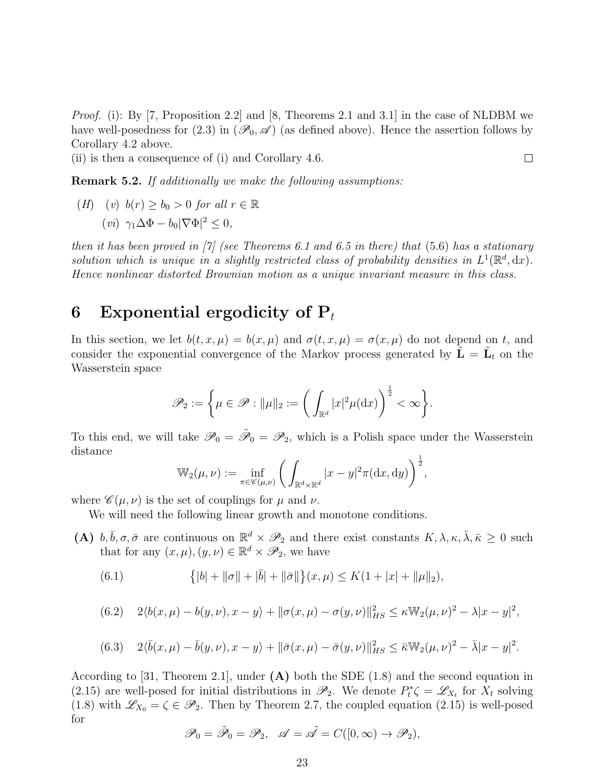*Proof.* (i): By [7, Proposition 2.2] and [8, Theorems 2.1 and 3.1] in the case of NLDBM we have well-posedness for (2.3) in  $(\mathscr{P}_0, \mathscr{A})$  (as defined above). Hence the assertion follows by Corollary 4.2 above.

(ii) is then a consequence of (i) and Corollary 4.6.

Remark 5.2. If additionally we make the following assumptions:

(H) (v)  $b(r) > b_0 > 0$  for all  $r \in \mathbb{R}$ (*vi*)  $\gamma_1 \Delta \Phi - b_0 |\nabla \Phi|^2 \leq 0$ ,

then it has been proved in [7] (see Theorems 6.1 and 6.5 in there) that  $(5.6)$  has a stationary solution which is unique in a slightly restricted class of probability densities in  $L^1(\mathbb{R}^d, dx)$ . Hence nonlinear distorted Brownian motion as a unique invariant measure in this class.

# 6 Exponential ergodicity of  $P_t$

In this section, we let  $b(t, x, \mu) = b(x, \mu)$  and  $\sigma(t, x, \mu) = \sigma(x, \mu)$  do not depend on t, and consider the exponential convergence of the Markov process generated by  $\tilde{\mathbf{L}} = \tilde{\mathbf{L}}_t$  on the Wasserstein space

$$
\mathscr{P}_2:=\bigg\{\mu\in\mathscr{P}: \|\mu\|_2:=\bigg(\int_{\mathbb{R}^d}|x|^2\mu(\mathrm{d} x)\bigg)^{\frac{1}{2}}<\infty\bigg\}.
$$

To this end, we will take  $\mathscr{P}_0 = \tilde{\mathscr{P}}_0 = \mathscr{P}_2$ , which is a Polish space under the Wasserstein distance

$$
\mathbb{W}_{2}(\mu,\nu) := \inf_{\pi \in \mathscr{C}(\mu,\nu)} \bigg( \int_{\mathbb{R}^d \times \mathbb{R}^d} |x - y|^2 \pi(\mathrm{d}x,\mathrm{d}y) \bigg)^{\frac{1}{2}},
$$

where  $\mathscr{C}(\mu,\nu)$  is the set of couplings for  $\mu$  and  $\nu$ .

We will need the following linear growth and monotone conditions.

(A)  $b, \bar{b}, \sigma, \bar{\sigma}$  are continuous on  $\mathbb{R}^d \times \mathscr{P}_2$  and there exist constants  $K, \lambda, \kappa, \bar{\lambda}, \bar{\kappa} \geq 0$  such that for any  $(x, \mu), (y, \nu) \in \mathbb{R}^d \times \mathscr{P}_2$ , we have

(6.1) 
$$
\{ |b| + ||\sigma|| + |\bar{b}| + ||\bar{\sigma}|| \} (x, \mu) \leq K(1 + |x| + ||\mu||_2),
$$

$$
(6.2) \quad 2\langle b(x,\mu) - b(y,\nu), x - y \rangle + ||\sigma(x,\mu) - \sigma(y,\nu)||_{HS}^2 \le \kappa \mathbb{W}_2(\mu,\nu)^2 - \lambda |x - y|^2,
$$

(6.3) 
$$
2\langle \bar{b}(x,\mu) - \bar{b}(y,\nu), x - y \rangle + ||\bar{\sigma}(x,\mu) - \bar{\sigma}(y,\nu)||_{HS}^2 \le \bar{\kappa} \mathbb{W}_2(\mu,\nu)^2 - \bar{\lambda}|x - y|^2.
$$

According to [31, Theorem 2.1], under  $(A)$  both the SDE (1.8) and the second equation in (2.15) are well-posed for initial distributions in  $\mathcal{P}_2$ . We denote  $P_t^*\zeta = \mathcal{L}_{X_t}$  for  $X_t$  solving (1.8) with  $\mathscr{L}_{X_0} = \zeta \in \mathscr{P}_2$ . Then by Theorem 2.7, the coupled equation (2.15) is well-posed for

$$
\mathscr{P}_0=\tilde{\mathscr{P}}_0=\mathscr{P}_2,\quad \mathscr{A}=\tilde{\mathscr{A}}=C([0,\infty)\rightarrow \mathscr{P}_2),
$$

 $\Box$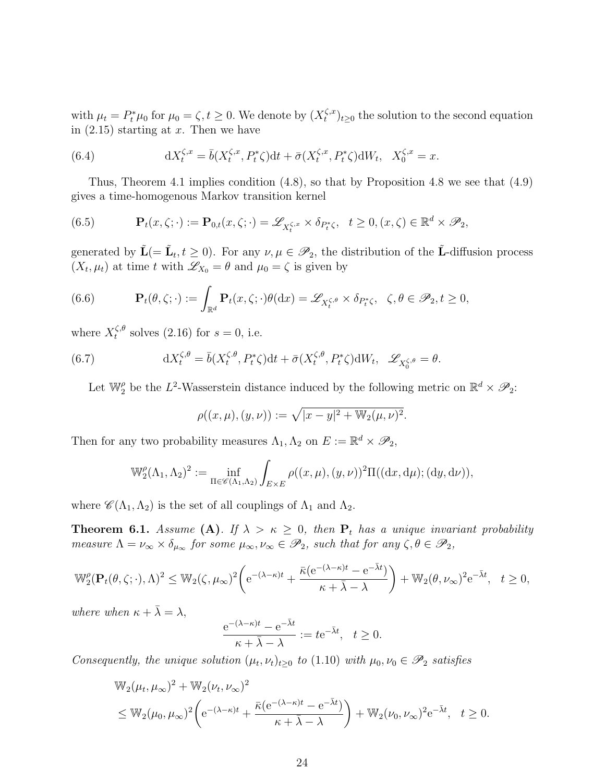with  $\mu_t = P_t^* \mu_0$  for  $\mu_0 = \zeta, t \ge 0$ . We denote by  $(X_t^{\zeta, x})$  $(t^{(s,x)}_t)_{t\geq 0}$  the solution to the second equation in  $(2.15)$  starting at x. Then we have

(6.4) 
$$
dX_t^{\zeta,x} = \bar{b}(X_t^{\zeta,x}, P_t^*\zeta)dt + \bar{\sigma}(X_t^{\zeta,x}, P_t^*\zeta)dW_t, \quad X_0^{\zeta,x} = x.
$$

Thus, Theorem 4.1 implies condition (4.8), so that by Proposition 4.8 we see that (4.9) gives a time-homogenous Markov transition kernel

(6.5) 
$$
\mathbf{P}_t(x,\zeta;\cdot) := \mathbf{P}_{0,t}(x,\zeta;\cdot) = \mathscr{L}_{X_t^{\zeta,x}} \times \delta_{P_t^*\zeta}, \quad t \geq 0, (x,\zeta) \in \mathbb{R}^d \times \mathscr{P}_2,
$$

generated by  $\tilde{\mathbf{L}}(=\tilde{\mathbf{L}}_t, t \geq 0)$ . For any  $\nu, \mu \in \mathscr{P}_2$ , the distribution of the  $\tilde{\mathbf{L}}$ -diffusion process  $(X_t, \mu_t)$  at time t with  $\mathscr{L}_{X_0} = \theta$  and  $\mu_0 = \zeta$  is given by

(6.6) 
$$
\mathbf{P}_t(\theta,\zeta;\cdot):=\int_{\mathbb{R}^d} \mathbf{P}_t(x,\zeta;\cdot)\theta(\mathrm{d}x)=\mathscr{L}_{X_t^{\zeta,\theta}}\times \delta_{P_t^*\zeta}, \quad \zeta,\theta\in\mathscr{P}_2,t\geq 0,
$$

where  $X_t^{\zeta,\theta}$  $t^{6,\theta}$  solves (2.16) for  $s = 0$ , i.e.

(6.7) 
$$
dX_t^{\zeta,\theta} = \bar{b}(X_t^{\zeta,\theta}, P_t^*\zeta)dt + \bar{\sigma}(X_t^{\zeta,\theta}, P_t^*\zeta)dW_t, \quad \mathscr{L}_{X_0^{\zeta,\theta}} = \theta.
$$

Let  $\mathbb{W}_{2}^{\rho}$  be the L<sup>2</sup>-Wasserstein distance induced by the following metric on  $\mathbb{R}^{d} \times \mathscr{P}_{2}$ :

$$
\rho((x,\mu),(y,\nu)) := \sqrt{|x-y|^2 + \mathbb{W}_2(\mu,\nu)^2}.
$$

Then for any two probability measures  $\Lambda_1, \Lambda_2$  on  $E := \mathbb{R}^d \times \mathscr{P}_2$ ,

$$
\mathbb{W}_{2}^{\rho}(\Lambda_{1},\Lambda_{2})^{2} := \inf_{\Pi \in \mathscr{C}(\Lambda_{1},\Lambda_{2})} \int_{E \times E} \rho((x,\mu),(y,\nu))^{2} \Pi((\mathrm{d}x,\mathrm{d}\mu);(\mathrm{d}y,\mathrm{d}\nu)),
$$

where  $\mathscr{C}(\Lambda_1,\Lambda_2)$  is the set of all couplings of  $\Lambda_1$  and  $\Lambda_2$ .

**Theorem 6.1.** Assume (A). If  $\lambda > \kappa \geq 0$ , then  $P_t$  has a unique invariant probability measure  $\Lambda = \nu_{\infty} \times \delta_{\mu_{\infty}}$  for some  $\mu_{\infty}, \nu_{\infty} \in \mathscr{P}_2$ , such that for any  $\zeta, \theta \in \mathscr{P}_2$ ,

$$
\mathbb{W}_{2}^{\rho}(\mathbf{P}_{t}(\theta,\zeta;\cdot),\Lambda)^{2} \leq \mathbb{W}_{2}(\zeta,\mu_{\infty})^{2}\bigg(\mathrm{e}^{-(\lambda-\kappa)t}+\frac{\bar{\kappa}(\mathrm{e}^{-(\lambda-\kappa)t}-\mathrm{e}^{-\bar{\lambda}t})}{\kappa+\bar{\lambda}-\lambda}\bigg)+\mathbb{W}_{2}(\theta,\nu_{\infty})^{2}\mathrm{e}^{-\bar{\lambda}t},\quad t\geq 0,
$$

where when  $\kappa + \bar{\lambda} = \lambda$ ,

$$
\frac{e^{-(\lambda - \kappa)t} - e^{-\bar{\lambda}t}}{\kappa + \bar{\lambda} - \lambda} := t e^{-\bar{\lambda}t}, \quad t \ge 0.
$$

Consequently, the unique solution  $(\mu_t, \nu_t)_{t\geq 0}$  to (1.10) with  $\mu_0, \nu_0 \in \mathscr{P}_2$  satisfies

$$
\mathbb{W}_{2}(\mu_{t}, \mu_{\infty})^{2} + \mathbb{W}_{2}(\nu_{t}, \nu_{\infty})^{2}
$$
\n
$$
\leq \mathbb{W}_{2}(\mu_{0}, \mu_{\infty})^{2} \bigg( e^{-(\lambda - \kappa)t} + \frac{\bar{\kappa}(e^{-(\lambda - \kappa)t} - e^{-\bar{\lambda}t})}{\kappa + \bar{\lambda} - \lambda} \bigg) + \mathbb{W}_{2}(\nu_{0}, \nu_{\infty})^{2} e^{-\bar{\lambda}t}, \quad t \geq 0.
$$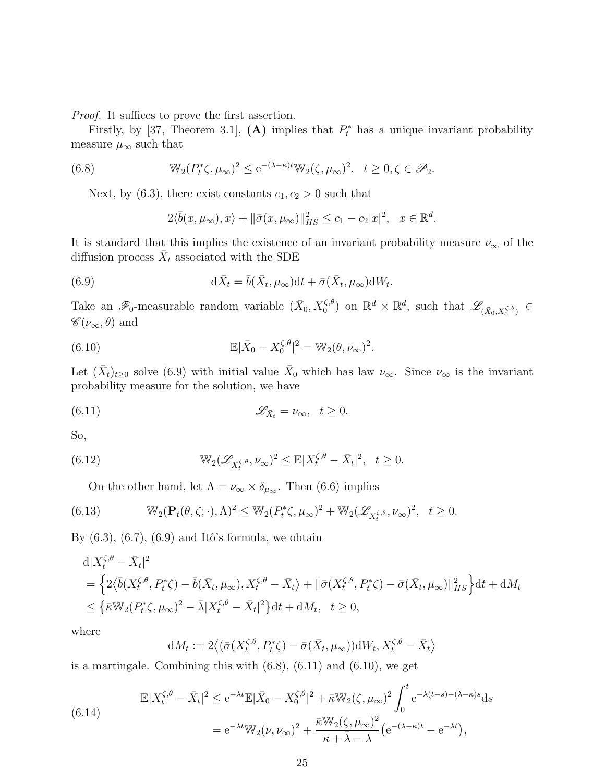Proof. It suffices to prove the first assertion.

Firstly, by [37, Theorem 3.1], (A) implies that  $P_t^*$  has a unique invariant probability measure  $\mu_{\infty}$  such that

(6.8) 
$$
\mathbb{W}_2(P_t^*\zeta,\mu_\infty)^2 \leq e^{-(\lambda-\kappa)t}\mathbb{W}_2(\zeta,\mu_\infty)^2, \quad t \geq 0, \zeta \in \mathscr{P}_2.
$$

Next, by (6.3), there exist constants  $c_1, c_2 > 0$  such that

$$
2\langle \bar{b}(x,\mu_{\infty}),x\rangle + \|\bar{\sigma}(x,\mu_{\infty})\|_{HS}^2 \le c_1 - c_2|x|^2, \quad x \in \mathbb{R}^d.
$$

It is standard that this implies the existence of an invariant probability measure  $\nu_{\infty}$  of the diffusion process  $\bar{X}_t$  associated with the SDE

(6.9) 
$$
d\bar{X}_t = \bar{b}(\bar{X}_t, \mu_\infty)dt + \bar{\sigma}(\bar{X}_t, \mu_\infty)dW_t.
$$

Take an  $\mathscr{F}_0$ -measurable random variable  $(\bar{X}_0, X_0^{\zeta,\theta})$  on  $\mathbb{R}^d \times \mathbb{R}^d$ , such that  $\mathscr{L}_{(\bar{X}_0, X_0^{\zeta,\theta})} \in$  $\mathscr{C}(\nu_\infty,\theta)$  and

(6.10) 
$$
\mathbb{E}|\bar{X}_0 - X_0^{\zeta,\theta}|^2 = \mathbb{W}_2(\theta,\nu_\infty)^2.
$$

Let  $(\bar{X}_t)_{t\geq0}$  solve (6.9) with initial value  $\bar{X}_0$  which has law  $\nu_{\infty}$ . Since  $\nu_{\infty}$  is the invariant probability measure for the solution, we have

(6.11) 
$$
\mathscr{L}_{\bar{X}_t} = \nu_{\infty}, \quad t \geq 0.
$$

So,

(6.12) 
$$
\mathbb{W}_2(\mathscr{L}_{X_t^{\zeta,\theta}}, \nu_\infty)^2 \leq \mathbb{E}|X_t^{\zeta,\theta} - \bar{X}_t|^2, \quad t \geq 0.
$$

On the other hand, let  $\Lambda = \nu_{\infty} \times \delta_{\mu_{\infty}}$ . Then (6.6) implies

(6.13) 
$$
\mathbb{W}_2(\mathbf{P}_t(\theta,\zeta;\cdot),\Lambda)^2 \leq \mathbb{W}_2(P_t^*\zeta,\mu_\infty)^2 + \mathbb{W}_2(\mathscr{L}_{X_t^{\zeta,\theta}},\nu_\infty)^2, \quad t \geq 0.
$$

By  $(6.3)$ ,  $(6.7)$ ,  $(6.9)$  and Itô's formula, we obtain

$$
\begin{split} & \mathrm{d}|X_t^{\zeta,\theta} - \bar{X}_t|^2 \\ &= \left\{ 2\langle \bar{b}(X_t^{\zeta,\theta}, P_t^*\zeta) - \bar{b}(\bar{X}_t, \mu_\infty), X_t^{\zeta,\theta} - \bar{X}_t \rangle + \|\bar{\sigma}(X_t^{\zeta,\theta}, P_t^*\zeta) - \bar{\sigma}(\bar{X}_t, \mu_\infty) \|_{HS}^2 \right\} \mathrm{d}t + \mathrm{d}M_t \\ &\leq \left\{ \bar{\kappa} \mathbb{W}_2(P_t^*\zeta, \mu_\infty)^2 - \bar{\lambda}|X_t^{\zeta,\theta} - \bar{X}_t|^2 \right\} \mathrm{d}t + \mathrm{d}M_t, \quad t \geq 0, \end{split}
$$

where

$$
dM_t := 2\big\langle (\bar{\sigma}(X_t^{\zeta,\theta}, P_t^*\zeta) - \bar{\sigma}(\bar{X}_t, \mu_\infty))dW_t, X_t^{\zeta,\theta} - \bar{X}_t \big\rangle
$$

is a martingale. Combining this with  $(6.8)$ ,  $(6.11)$  and  $(6.10)$ , we get

(6.14)  
\n
$$
\mathbb{E}|X_t^{\zeta,\theta} - \bar{X}_t|^2 \le e^{-\bar{\lambda}t}\mathbb{E}|\bar{X}_0 - X_0^{\zeta,\theta}|^2 + \bar{\kappa}\mathbb{W}_2(\zeta,\mu_\infty)^2 \int_0^t e^{-\bar{\lambda}(t-s) - (\lambda-\kappa)s}ds
$$
\n
$$
= e^{-\bar{\lambda}t}\mathbb{W}_2(\nu,\nu_\infty)^2 + \frac{\bar{\kappa}\mathbb{W}_2(\zeta,\mu_\infty)^2}{\kappa + \bar{\lambda} - \lambda}(e^{-(\lambda-\kappa)t} - e^{-\bar{\lambda}t}),
$$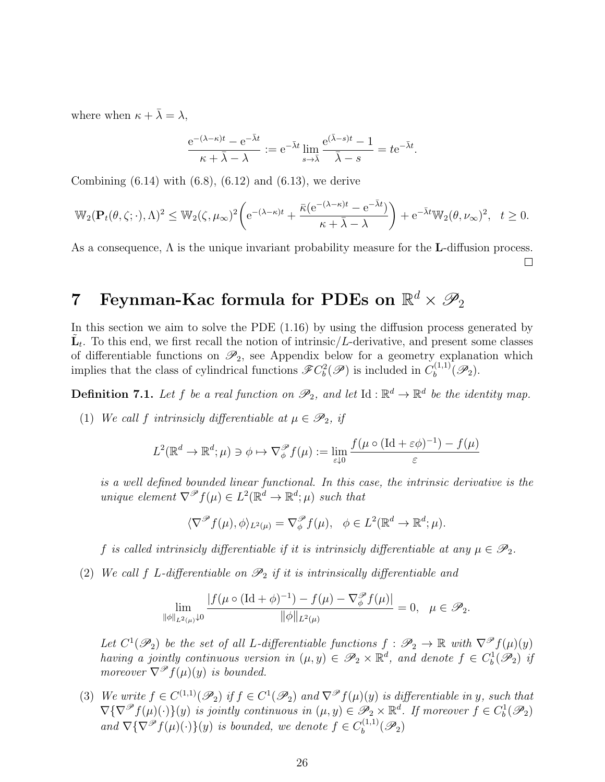where when  $\kappa + \bar{\lambda} = \lambda$ ,

$$
\frac{e^{-(\lambda-\kappa)t} - e^{-\bar{\lambda}t}}{\kappa + \bar{\lambda} - \lambda} := e^{-\bar{\lambda}t} \lim_{s \to \bar{\lambda}} \frac{e^{(\bar{\lambda}-s)t} - 1}{\bar{\lambda} - s} = t e^{-\bar{\lambda}t}.
$$

Combining  $(6.14)$  with  $(6.8)$ ,  $(6.12)$  and  $(6.13)$ , we derive

$$
\mathbb{W}_2(\mathbf{P}_t(\theta,\zeta;\cdot),\Lambda)^2 \leq \mathbb{W}_2(\zeta,\mu_\infty)^2 \bigg( e^{-(\lambda-\kappa)t} + \frac{\bar{\kappa}(e^{-(\lambda-\kappa)t}-e^{-\bar{\lambda}t})}{\kappa+\bar{\lambda}-\lambda} \bigg) + e^{-\bar{\lambda}t} \mathbb{W}_2(\theta,\nu_\infty)^2, \quad t \geq 0.
$$

As a consequence,  $\Lambda$  is the unique invariant probability measure for the L-diffusion process.  $\Box$ 

# 7 Feynman-Kac formula for PDEs on  $\mathbb{R}^d \times \mathscr{P}_2$

In this section we aim to solve the PDE (1.16) by using the diffusion process generated by  $\tilde{\mathbf{L}}_t$ . To this end, we first recall the notion of intrinsic/L-derivative, and present some classes of differentiable functions on  $\mathscr{P}_2$ , see Appendix below for a geometry explanation which implies that the class of cylindrical functions  $\mathscr{F}C_b^2(\mathscr{P})$  is included in  $C_b^{(1,1)}$  $\mathscr{P}_b^{(1,1)}(\mathscr{P}_2).$ 

**Definition 7.1.** Let f be a real function on  $\mathscr{P}_2$ , and let  $Id : \mathbb{R}^d \to \mathbb{R}^d$  be the identity map.

(1) We call f intrinsicly differentiable at  $\mu \in \mathscr{P}_2$ , if

$$
L^2(\mathbb{R}^d \to \mathbb{R}^d; \mu) \ni \phi \mapsto \nabla_{\phi}^{\mathcal{P}} f(\mu) := \lim_{\varepsilon \downarrow 0} \frac{f(\mu \circ (\mathrm{Id} + \varepsilon \phi)^{-1}) - f(\mu)}{\varepsilon}
$$

is a well defined bounded linear functional. In this case, the intrinsic derivative is the unique element  $\nabla^{\mathscr{P}} f(\mu) \in L^2(\mathbb{R}^d \to \mathbb{R}^d; \mu)$  such that

$$
\langle \nabla^{\mathscr{P}} f(\mu), \phi \rangle_{L^2(\mu)} = \nabla^{\mathscr{P}}_{\phi} f(\mu), \quad \phi \in L^2(\mathbb{R}^d \to \mathbb{R}^d; \mu).
$$

f is called intrinsicly differentiable if it is intrinsicly differentiable at any  $\mu \in \mathscr{P}_2$ .

(2) We call f L-differentiable on  $\mathcal{P}_2$  if it is intrinsically differentiable and

$$
\lim_{\|\phi\|_{L^2(\mu)}\downarrow 0} \frac{|f(\mu\circ (\mathrm{Id} + \phi)^{-1}) - f(\mu) - \nabla_\phi^\mathscr{P} f(\mu)|}{\|\phi\|_{L^2(\mu)}} = 0, \quad \mu \in \mathscr{P}_2.
$$

Let  $C^1(\mathscr{P}_2)$  be the set of all L-differentiable functions  $f : \mathscr{P}_2 \to \mathbb{R}$  with  $\nabla^{\mathscr{P}} f(\mu)(y)$ having a jointly continuous version in  $(\mu, y) \in \mathscr{P}_2 \times \mathbb{R}^d$ , and denote  $f \in C_b^1(\mathscr{P}_2)$  if moreover  $\nabla^{\mathscr{P}} f(\mu)(y)$  is bounded.

(3) We write  $f \in C^{(1,1)}(\mathscr{P}_2)$  if  $f \in C^1(\mathscr{P}_2)$  and  $\nabla^{\mathscr{P}} f(\mu)(y)$  is differentiable in y, such that  $\nabla \{\nabla^{\mathscr{P}} f(\mu)(\cdot)\}(y)$  is jointly continuous in  $(\mu, y) \in \mathscr{P}_2 \times \mathbb{R}^d$ . If moreover  $f \in C_b^1(\mathscr{P}_2)$ and  $\nabla \{\nabla^{\mathscr{P}} f(\mu)(\cdot)\}(y)$  is bounded, we denote  $f \in C_b^{(1,1)}$  $\mathscr{P}_b^{(1,1)}(\mathscr{P}_2)$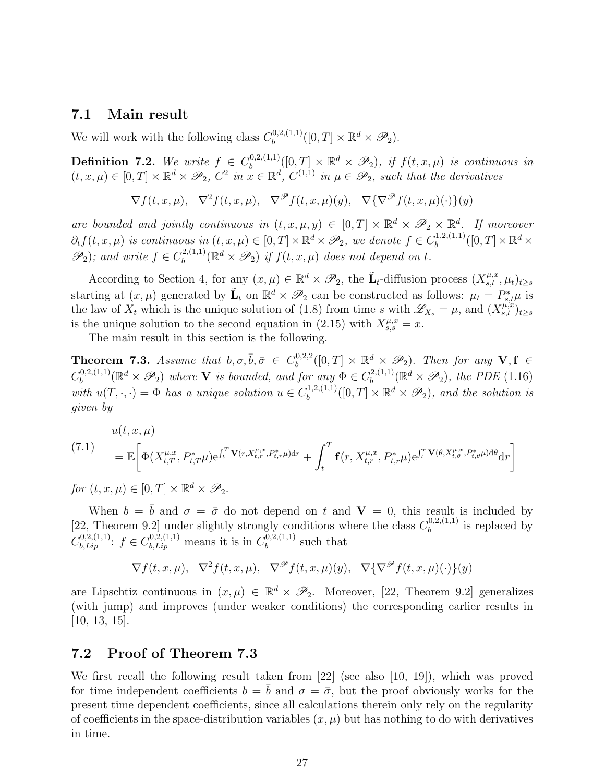#### 7.1 Main result

We will work with the following class  $C_b^{0,2,(1,1)}$  $\mathbb{D}_{b}^{0,2,(1,1)}([0,T]\times\mathbb{R}^d\times\mathscr{P}_2).$ 

**Definition 7.2.** We write  $f \in C_b^{0,2,(1,1)}$  $\mathbb{E}_{b}^{0,2,(1,1)}([0,T]\times\mathbb{R}^d\times\mathscr{P}_2),$  if  $f(t,x,\mu)$  is continuous in  $(t, x, \mu) \in [0, T] \times \mathbb{R}^d \times \mathscr{P}_2$ ,  $C^2$  in  $x \in \mathbb{R}^d$ ,  $C^{(1,1)}$  in  $\mu \in \mathscr{P}_2$ , such that the derivatives

$$
\nabla f(t, x, \mu), \nabla^2 f(t, x, \mu), \nabla^{\mathscr{P}} f(t, x, \mu)(y), \nabla \{\nabla^{\mathscr{P}} f(t, x, \mu)(\cdot)\}(y)
$$

are bounded and jointly continuous in  $(t, x, \mu, y) \in [0, T] \times \mathbb{R}^d \times \mathscr{P}_2 \times \mathbb{R}^d$ . If moreover  $\partial_t f(t, x, \mu)$  is continuous in  $(t, x, \mu) \in [0, T] \times \mathbb{R}^d \times \mathscr{P}_2$ , we denote  $f \in C_b^{1,2,(1,1)}$  $b^{(1,2,(1,1))}([0,T]\times\mathbb{R}^d\times$  $\mathscr{P}_2$ ); and write  $f \in C_b^{2,(1,1)}$  $b^{(2,(1,1)}_b(\mathbb{R}^d\times\mathscr{P}_2)$  if  $f(t,x,\mu)$  does not depend on t.

According to Section 4, for any  $(x,\mu) \in \mathbb{R}^d \times \mathscr{P}_2$ , the  $\tilde{\mathbf{L}}_t$ -diffusion process  $(X_{s,t}^{\mu,x}, \mu_t)_{t\geq s}$ starting at  $(x, \mu)$  generated by  $\tilde{\mathbf{L}}_t$  on  $\mathbb{R}^d \times \mathscr{P}_2$  can be constructed as follows:  $\mu_t = P_{s,t}^* \mu$  is the law of  $X_t$  which is the unique solution of (1.8) from time s with  $\mathscr{L}_{X_s} = \mu$ , and  $(X_{s,t}^{\mu,x})_{t\geq s}$ is the unique solution to the second equation in (2.15) with  $X_{s,s}^{\mu,x} = x$ .

The main result in this section is the following.

**Theorem 7.3.** Assume that  $b, \sigma, \bar{b}, \bar{\sigma} \in C_b^{0,2,2}$  $\mathbb{B}^{0,2,2}_b([0,T]\times\mathbb{R}^d\times\mathscr{P}_2)$ . Then for any  $\mathbf{V},\mathbf{f}\in\mathbb{R}$  $C_b^{0,2,(1,1)}$  $\mathbb{R}^{0,2,(1,1)}_{b}(\mathbb{R}^d\times\mathscr{P}_2)$  where **V** is bounded, and for any  $\Phi\in C_b^{2,(1,1)}$  $b_b^{(2,(1,1)}(\mathbb{R}^d \times \mathscr{P}_2), \text{ the } PDE(1.16)$ with  $u(T, \cdot, \cdot) = \Phi$  has a unique solution  $u \in C_b^{1,2,(1,1)}$  $\mathbb{B}^{(1,2,(1,1)}_b([0,T]\times\mathbb{R}^d\times\mathscr{P}_2)$ , and the solution is given by

(7.1) 
$$
u(t, x, \mu) = \mathbb{E}\bigg[\Phi(X_{t, T}^{\mu, x}, P_{t, T}^*\mu)e^{\int_t^T \mathbf{V}(r, X_{t, r}^{\mu, x}, P_{t, r}^*\mu)dr} + \int_t^T \mathbf{f}(r, X_{t, r}^{\mu, x}, P_{t, r}^*\mu)e^{\int_t^T \mathbf{V}(\theta, X_{t, \theta}^{\mu, x}, P_{t, \theta}^*\mu)d\theta}dr\bigg]
$$

for  $(t, x, \mu) \in [0, T] \times \mathbb{R}^d \times \mathscr{P}_2$ .

When  $b = \bar{b}$  and  $\sigma = \bar{\sigma}$  do not depend on t and  $V = 0$ , this result is included by [22, Theorem 9.2] under slightly strongly conditions where the class  $C_b^{0,2,(1,1)}$  $b^{(0,2,(1,1))}$  is replaced by  $C_{b, Lip}^{0,2,(1,1)}$ :  $f \in C_{b, Lip}^{0,2,(1,1)}$  means it is in  $C_b^{0,2,(1,1)}$  $b^{(0,2,(1,1))}$  such that

$$
\nabla f(t, x, \mu), \nabla^2 f(t, x, \mu), \nabla^{\mathcal{P}} f(t, x, \mu)(y), \nabla \{\nabla^{\mathcal{P}} f(t, x, \mu)(\cdot)\}(y)
$$

are Lipschtiz continuous in  $(x, \mu) \in \mathbb{R}^d \times \mathcal{P}_2$ . Moreover, [22, Theorem 9.2] generalizes (with jump) and improves (under weaker conditions) the corresponding earlier results in  $[10, 13, 15]$ .

### 7.2 Proof of Theorem 7.3

We first recall the following result taken from [22] (see also [10, 19]), which was proved for time independent coefficients  $b = \bar{b}$  and  $\sigma = \bar{\sigma}$ , but the proof obviously works for the present time dependent coefficients, since all calculations therein only rely on the regularity of coefficients in the space-distribution variables  $(x, \mu)$  but has nothing to do with derivatives in time.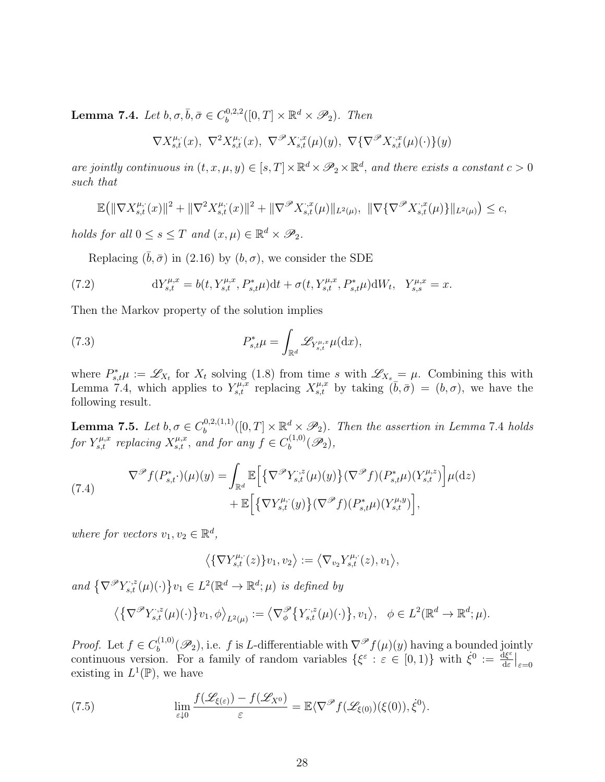Lemma 7.4. Let  $b, \sigma, \bar{b}, \bar{\sigma} \in C_b^{0,2,2}$  $b^{0,2,2}([0,T] \times \mathbb{R}^d \times \mathscr{P}_2)$ . Then

$$
\nabla X_{s,t}^{\mu,\cdot}(x), \ \nabla^2 X_{s,t}^{\mu,\cdot}(x), \ \nabla^{\mathscr{P}} X_{s,t}^{\cdot,x}(\mu)(y), \ \nabla \{\nabla^{\mathscr{P}} X_{s,t}^{\cdot,x}(\mu)(\cdot)\}(y)
$$

are jointly continuous in  $(t, x, \mu, y) \in [s, T] \times \mathbb{R}^d \times \mathscr{P}_2 \times \mathbb{R}^d$ , and there exists a constant  $c > 0$ such that

$$
\mathbb{E}\big(\|\nabla X_{s,t}^{\mu,\cdot}(x)\|^2 + \|\nabla^2 X_{s,t}^{\mu,\cdot}(x)\|^2 + \|\nabla^{\mathcal{P}} X_{s,t}^{\cdot,x}(\mu)\|_{L^2(\mu)}, \ \|\nabla \{\nabla^{\mathcal{P}} X_{s,t}^{\cdot,x}(\mu)\}\|_{L^2(\mu)}\big) \leq c,
$$

holds for all  $0 \leq s \leq T$  and  $(x, \mu) \in \mathbb{R}^d \times \mathscr{P}_2$ .

Replacing  $(\bar{b}, \bar{\sigma})$  in (2.16) by  $(b, \sigma)$ , we consider the SDE

(7.2) 
$$
dY_{s,t}^{\mu,x} = b(t, Y_{s,t}^{\mu,x}, P_{s,t}^*\mu)dt + \sigma(t, Y_{s,t}^{\mu,x}, P_{s,t}^*\mu) dW_t, \quad Y_{s,s}^{\mu,x} = x.
$$

Then the Markov property of the solution implies

(7.3) 
$$
P_{s,t}^* \mu = \int_{\mathbb{R}^d} \mathscr{L}_{Y_{s,t}^{\mu,x}} \mu(\mathrm{d}x),
$$

where  $P_{s,t}^* \mu := \mathscr{L}_{X_t}$  for  $X_t$  solving (1.8) from time s with  $\mathscr{L}_{X_s} = \mu$ . Combining this with Lemma 7.4, which applies to  $Y_{s,t}^{\mu,x}$  replacing  $X_{s,t}^{\mu,x}$  by taking  $(\bar{b}, \bar{\sigma}) = (b, \sigma)$ , we have the following result.

Lemma 7.5. Let  $b, \sigma \in C_b^{0,2,(1,1)}$  $\mathbb{B}^{0,2,(1,1)}_b([0,T]\times\mathbb{R}^d\times\mathscr{P}_2)$ . Then the assertion in Lemma 7.4 holds for  $Y_{s,t}^{\mu,x}$  replacing  $X_{s,t}^{\mu,x}$ , and for any  $f \in C_b^{(1,0)}$  $\mathscr{P}_b^{(1,0)}(\mathscr{P}_2),$ 

(7.4) 
$$
\nabla^{\mathscr{P}} f(P_{s,t}^*) (\mu)(y) = \int_{\mathbb{R}^d} \mathbb{E} \Big[ \{ \nabla^{\mathscr{P}} Y_{s,t}^{,\zeta}(\mu)(y) \} (\nabla^{\mathscr{P}} f)(P_{s,t}^* \mu)(Y_{s,t}^{\mu,z}) \Big] \mu(\mathrm{d}z) + \mathbb{E} \Big[ \{ \nabla Y_{s,t}^{\mu,\zeta}(y) \} (\nabla^{\mathscr{P}} f)(P_{s,t}^* \mu)(Y_{s,t}^{\mu,y}) \Big],
$$

where for vectors  $v_1, v_2 \in \mathbb{R}^d$ ,

$$
\big\langle \{\nabla Y_{s,t}^{\mu,\cdot}(z)\}v_1,v_2\big\rangle := \big\langle \nabla_{v_2} Y_{s,t}^{\mu,\cdot}(z),v_1\big\rangle,
$$

and  $\{\nabla^{\mathscr{P}}Y_{s,t}^{,\,z}(\mu)(\cdot)\}_{{v_1}}\in L^2(\mathbb{R}^d\to\mathbb{R}^d;\mu)$  is defined by

$$
\left\langle \left\{ \nabla^{\mathscr{P}} Y_{s,t}^{,\,z}(\mu)(\cdot) \right\} v_1, \phi \right\rangle_{L^2(\mu)} := \left\langle \nabla^{\mathscr{P}}_{\phi} \left\{ Y_{s,t}^{,\,z}(\mu)(\cdot) \right\}, v_1 \right\rangle, \quad \phi \in L^2(\mathbb{R}^d \to \mathbb{R}^d; \mu).
$$

*Proof.* Let  $f \in C_h^{(1,0)}$  $b_b^{(1,0)}(\mathscr{P}_2)$ , i.e. f is L-differentiable with  $\nabla^{\mathscr{P}} f(\mu)(y)$  having a bounded jointly continuous version. For a family of random variables  $\{\xi^{\varepsilon}: \varepsilon \in [0,1)\}$  with  $\xi^0 := \frac{d\xi^{\varepsilon}}{ds}$  $\frac{\mathrm{d} \xi^{\varepsilon}}{\mathrm{d} \varepsilon}\Big|_{\varepsilon=0}$ existing in  $L^1(\mathbb{P})$ , we have

(7.5) 
$$
\lim_{\varepsilon \downarrow 0} \frac{f(\mathscr{L}_{\xi(\varepsilon)}) - f(\mathscr{L}_{X^0})}{\varepsilon} = \mathbb{E}\langle \nabla^{\mathscr{P}} f(\mathscr{L}_{\xi(0)})(\xi(0)), \dot{\xi}^0 \rangle.
$$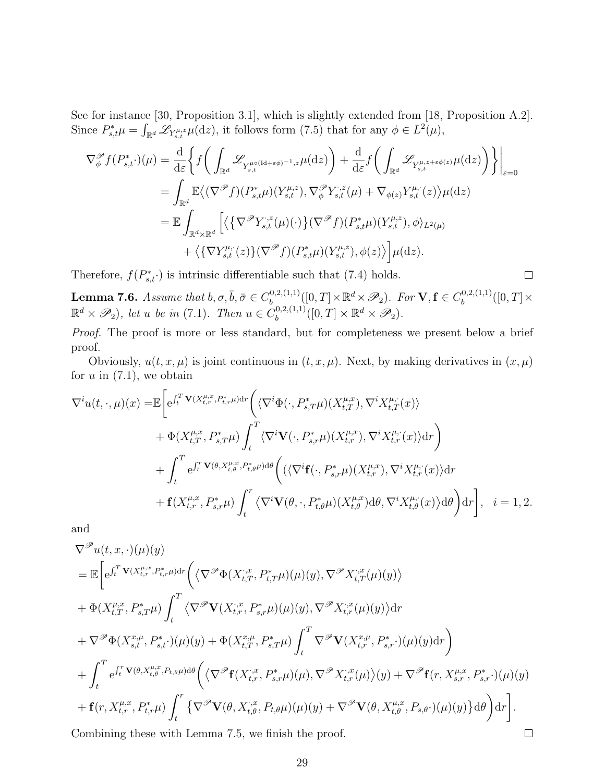See for instance [30, Proposition 3.1], which is slightly extended from [18, Proposition A.2]. Since  $P_{s,t}^* \mu = \int_{\mathbb{R}^d} \mathscr{L}_{Y_{s,t}^{\mu,z}} \mu(\mathrm{d}z)$ , it follows form (7.5) that for any  $\phi \in L^2(\mu)$ ,

$$
\nabla_{\phi}^{\mathscr{P}} f(P_{s,t}^{*} \cdot)(\mu) = \frac{\mathrm{d}}{\mathrm{d}\varepsilon} \bigg\{ f\bigg(\int_{\mathbb{R}^{d}} \mathscr{L}_{Y_{s,t}^{\mu\circ(\mathrm{Id}+\varepsilon\phi)^{-1},z}\mu(\mathrm{d}z)\bigg) + \frac{\mathrm{d}}{\mathrm{d}\varepsilon} f\bigg(\int_{\mathbb{R}^{d}} \mathscr{L}_{Y_{s,t}^{\mu,z+\varepsilon\phi(z)}\mu(\mathrm{d}z)\bigg) \bigg\} \bigg|_{\varepsilon=0}
$$
  
\n
$$
= \int_{\mathbb{R}^{d}} \mathbb{E} \big\langle (\nabla^{\mathscr{P}} f)(P_{s,t}^{*}\mu)(Y_{s,t}^{\mu,z}), \nabla_{\phi}^{\mathscr{P}} Y_{s,t}^{*,z}(\mu) + \nabla_{\phi(z)} Y_{s,t}^{\mu,*}(z) \big\rangle \mu(\mathrm{d}z)
$$
  
\n
$$
= \mathbb{E} \int_{\mathbb{R}^{d} \times \mathbb{R}^{d}} \bigg[ \big\langle \big\{ \nabla^{\mathscr{P}} Y_{s,t}^{*,z}(\mu)(\cdot) \big\} (\nabla^{\mathscr{P}} f)(P_{s,t}^{*}\mu)(Y_{s,t}^{\mu,z}), \phi \big\rangle_{L^{2}(\mu)} + \big\langle \big\{ \nabla Y_{s,t}^{\mu,*}(z) \big\} (\nabla^{\mathscr{P}} f)(P_{s,t}^{*}\mu)(Y_{s,t}^{\mu,z}), \phi(z) \big\rangle \bigg] \mu(\mathrm{d}z).
$$

Therefore,  $f(P_{s,t}^*)$  is intrinsic differentiable such that (7.4) holds.

**Lemma 7.6.** Assume that  $b, \sigma, \bar{b}, \bar{\sigma} \in C_b^{0,2,(1,1)}$  $\mathcal{B}_b^{0,2,(1,1)}([0,T]\times \mathbb{R}^d \times \mathscr{P}_2)$ . For  $\mathbf{V}, \mathbf{f} \in C_b^{0,2,(1,1)}$  $b^{(0,2,(1,1))}([0,T] \times$  $\mathbb{R}^d \times \mathscr{P}_2$ , let u be in (7.1). Then  $u \in C_b^{0,2,(1,1)}$  $\mathbb{D}_{b}^{(0,2,(1,1)}([0,T]\times\mathbb{R}^d\times\mathscr{P}_2).$ 

Proof. The proof is more or less standard, but for completeness we present below a brief proof.

Obviously,  $u(t, x, \mu)$  is joint continuous in  $(t, x, \mu)$ . Next, by making derivatives in  $(x, \mu)$ for  $u$  in  $(7.1)$ , we obtain

$$
\nabla^{i}u(t,\cdot,\mu)(x) = \mathbb{E}\bigg[e^{\int_{t}^{T}\mathbf{V}(X_{t,r}^{\mu,x},P_{t,r}^{*}\mu)\mathrm{d}r}\bigg(\langle\nabla^{i}\Phi(\cdot,P_{s,T}^{*}\mu)(X_{t,T}^{\mu,x}),\nabla^{i}X_{t,T}^{\mu,\cdot}(x)\rangle
$$
  
+  $\Phi(X_{t,T}^{\mu,x},P_{s,T}^{*}\mu)\int_{t}^{T}\langle\nabla^{i}\mathbf{V}(\cdot,P_{s,r}^{*}\mu)(X_{t,r}^{\mu,x}),\nabla^{i}X_{t,r}^{\mu,\cdot}(x)\rangle\mathrm{d}r\bigg)$   
+  $\int_{t}^{T}e^{\int_{t}^{T}\mathbf{V}(\theta,X_{t,\theta}^{\mu,x},P_{t,\theta}^{*}\mu)\mathrm{d}\theta}\bigg(\langle\langle\nabla^{i}\mathbf{f}(\cdot,P_{s,r}^{*}\mu)(X_{t,r}^{\mu,x}),\nabla^{i}X_{t,r}^{\mu,\cdot}(x)\rangle\mathrm{d}r$   
+  $\mathbf{f}(X_{t,r}^{\mu,x},P_{s,r}^{*}\mu)\int_{t}^{r}\langle\nabla^{i}\mathbf{V}(\theta,\cdot,P_{t,\theta}^{*}\mu)(X_{t,\theta}^{\mu,x})\mathrm{d}\theta,\nabla^{i}X_{t,\theta}^{\mu,\cdot}(x)\rangle\mathrm{d}\theta\bigg)\mathrm{d}r\bigg], i=1,2.$ 

and

$$
\nabla^{\mathcal{P}} u(t, x, \cdot)(\mu)(y)
$$
\n
$$
= \mathbb{E}\bigg[e^{\int_t^T \mathbf{V}(X_{t,r}^{\mu,x}, P_{t,r}^*)\mathrm{d}r}\bigg(\big\langle \nabla^{\mathcal{P}} \Phi(X_{t,T}^{\cdot,x}, P_{t,T}^*\mu)(\mu)(y), \nabla^{\mathcal{P}} X_{t,T}^{\cdot,x}(\mu)(y)\big\rangle
$$
\n
$$
+ \Phi(X_{t,T}^{\mu,x}, P_{s,T}^*\mu)\int_t^T \big\langle \nabla^{\mathcal{P}} \mathbf{V}(X_{t,r}^{\cdot,x}, P_{s,r}^*\mu)(\mu)(y), \nabla^{\mathcal{P}} X_{t,r}^{\cdot,x}(\mu)(y)\big\rangle \mathrm{d}r
$$
\n
$$
+ \nabla^{\mathcal{P}} \Phi(X_{s,t}^{x,\mu}, P_{s,t}^*) (\mu)(y) + \Phi(X_{t,T}^{x,\mu}, P_{s,T}^*\mu)\int_t^T \nabla^{\mathcal{P}} \mathbf{V}(X_{t,r}^{x,\mu}, P_{s,r}^*) (\mu)(y)\mathrm{d}r\bigg)
$$
\n
$$
+ \int_t^T e^{\int_t^T \mathbf{V}(\theta, X_{t,\theta}^{\mu,x}, P_{t,\theta}\mu) \mathrm{d}\theta} \bigg(\big\langle \nabla^{\mathcal{P}} \mathbf{f}(X_{t,r}^{\cdot,x}, P_{s,r}^*\mu)(\mu), \nabla^{\mathcal{P}} X_{t,r}^{\cdot,x}(\mu)(y) + \nabla^{\mathcal{P}} \mathbf{f}(r, X_{s,r}^{\mu,x}, P_{s,r}^*) (\mu)(y) + \mathbf{f}(r, X_{t,r}^{\mu,x}, P_{t,r}^*\mu)\int_t^r \big\{\nabla^{\mathcal{P}} \mathbf{V}(\theta, X_{t,\theta}^{\cdot,x}, P_{t,\theta}\mu)(\mu)(y) + \nabla^{\mathcal{P}} \mathbf{V}(\theta, X_{t,\theta}^{\mu,x}, P_{s,\theta}^*) (\mu)(y)\big\} \mathrm{d}\theta\bigg)\mathrm{d}r\bigg].
$$
\nCombining these with Lemma 7.5, we finish the proof.

Combining these with Lemma 7.5, we finish the proof.

 $\Box$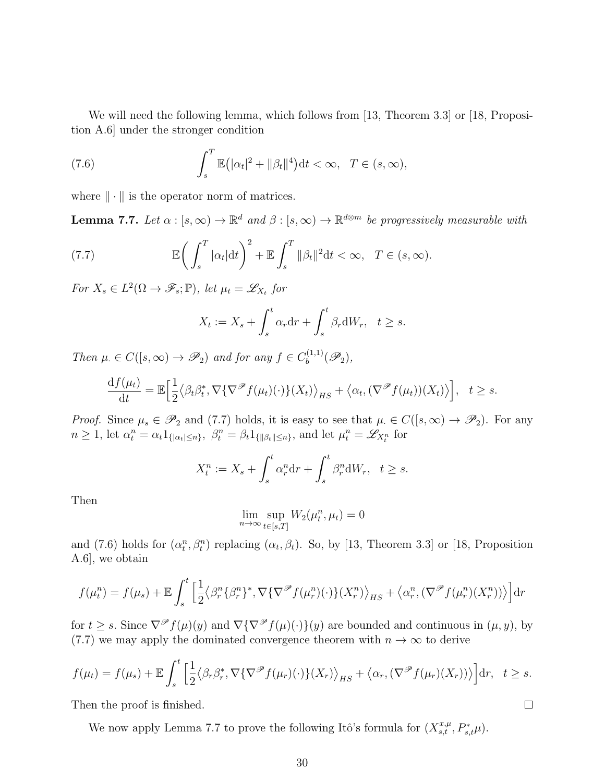We will need the following lemma, which follows from [13, Theorem 3.3] or [18, Proposition A.6] under the stronger condition

(7.6) 
$$
\int_{s}^{T} \mathbb{E}(|\alpha_{t}|^{2} + ||\beta_{t}||^{4}) dt < \infty, \quad T \in (s, \infty),
$$

where  $\|\cdot\|$  is the operator norm of matrices.

**Lemma 7.7.** Let  $\alpha : [s, \infty) \to \mathbb{R}^d$  and  $\beta : [s, \infty) \to \mathbb{R}^{d \otimes m}$  be progressively measurable with

(7.7) 
$$
\mathbb{E}\left(\int_{s}^{T}|\alpha_{t}|\mathrm{d}t\right)^{2}+\mathbb{E}\int_{s}^{T}||\beta_{t}||^{2}\mathrm{d}t<\infty, T\in(s,\infty).
$$

For  $X_s \in L^2(\Omega \to \mathscr{F}_s; \mathbb{P})$ , let  $\mu_t = \mathscr{L}_{X_t}$  for

$$
X_t := X_s + \int_s^t \alpha_r dr + \int_s^t \beta_r dW_r, \quad t \ge s.
$$

Then  $\mu \in C([s,\infty) \to \mathscr{P}_2)$  and for any  $f \in C_b^{(1,1)}$  $\mathscr{P}_b^{(1,1)}(\mathscr{P}_2),$ 

$$
\frac{\mathrm{d}f(\mu_t)}{\mathrm{d}t} = \mathbb{E}\Big[\frac{1}{2}\big\langle \beta_t \beta_t^*, \nabla \{\nabla^{\mathcal{P}} f(\mu_t)(\cdot)\}(X_t) \big\rangle_{HS} + \big\langle \alpha_t, (\nabla^{\mathcal{P}} f(\mu_t))(X_t)\big\rangle\Big], \quad t \geq s.
$$

*Proof.* Since  $\mu_s \in \mathscr{P}_2$  and (7.7) holds, it is easy to see that  $\mu \in C([s,\infty) \to \mathscr{P}_2)$ . For any  $n \geq 1$ , let  $\alpha_t^n = \alpha_t 1_{\{|\alpha_t| \leq n\}}, \ \beta_t^n = \beta_t 1_{\{\|\beta_t\| \leq n\}}, \text{ and let } \mu_t^n = \mathscr{L}_{X_t^n}$  for

$$
X_t^n := X_s + \int_s^t \alpha_r^n \mathrm{d}r + \int_s^t \beta_r^n \mathrm{d}W_r, \quad t \ge s.
$$

Then

$$
\lim_{n \to \infty} \sup_{t \in [s,T]} W_2(\mu_t^n, \mu_t) = 0
$$

and (7.6) holds for  $(\alpha_t^n, \beta_t^n)$  replacing  $(\alpha_t, \beta_t)$ . So, by [13, Theorem 3.3] or [18, Proposition A.6], we obtain

$$
f(\mu_t^n) = f(\mu_s) + \mathbb{E} \int_s^t \left[ \frac{1}{2} \langle \beta_r^n \{ \beta_r^n \}^*, \nabla \{ \nabla^\mathscr{P} f(\mu_r^n)(\cdot) \} (X_r^n) \rangle_{HS} + \langle \alpha_r^n, (\nabla^\mathscr{P} f(\mu_r^n)(X_r^n)) \rangle \right] dr
$$

for  $t \geq s$ . Since  $\nabla^{\mathscr{P}} f(\mu)(y)$  and  $\nabla {\nabla^{\mathscr{P}} f(\mu)(\cdot)}(y)$  are bounded and continuous in  $(\mu, y)$ , by (7.7) we may apply the dominated convergence theorem with  $n \to \infty$  to derive

$$
f(\mu_t) = f(\mu_s) + \mathbb{E} \int_s^t \left[ \frac{1}{2} \langle \beta_r \beta_r^*, \nabla \{\nabla^{\mathcal{P}} f(\mu_r)(\cdot) \} (X_r) \rangle_{HS} + \langle \alpha_r, (\nabla^{\mathcal{P}} f(\mu_r)(X_r)) \rangle \right] dr, \quad t \geq s.
$$

 $\Box$ 

Then the proof is finished.

We now apply Lemma 7.7 to prove the following Itô's formula for  $(X_{s,t}^{x,\mu}, P_{s,t}^{*}\mu)$ .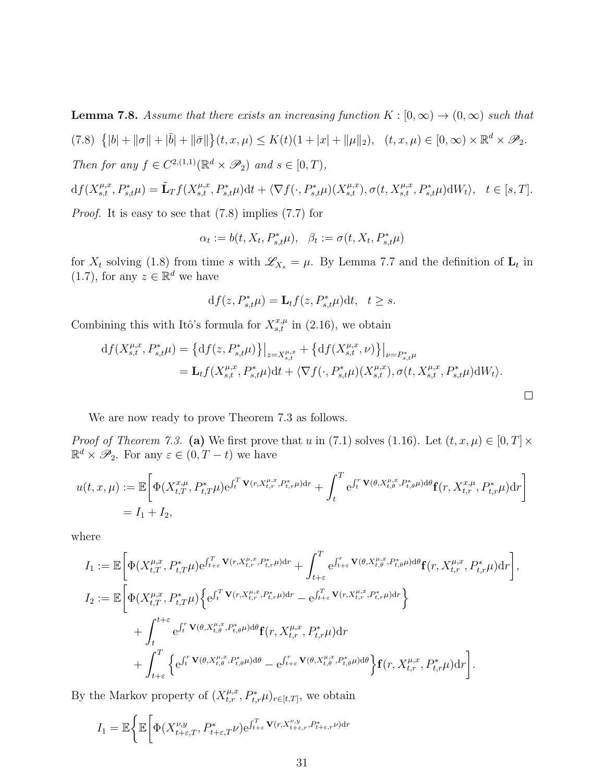**Lemma 7.8.** Assume that there exists an increasing function  $K : [0, \infty) \to (0, \infty)$  such that  $(7.8) \{ |b| + ||\sigma|| + |\bar{b}| + ||\bar{\sigma}|| \} (t, x, \mu) \leq K(t)(1 + |x| + ||\mu||_2), \quad (t, x, \mu) \in [0, \infty) \times \mathbb{R}^d \times \mathscr{P}_2.$ Then for any  $f \in C^{2,(1,1)}(\mathbb{R}^d \times \mathcal{P}_2)$  and  $s \in [0,T)$ ,  $\mu, x$  $\mu, x$  $\mu, x$ 

$$
df(X_{s,t}^{\mu,x}, P_{s,t}^*\mu) = \tilde{\mathbf{L}}_T f(X_{s,t}^{\mu,x}, P_{s,t}^*\mu) dt + \langle \nabla f(\cdot, P_{s,t}^*\mu)(X_{s,t}^{\mu,x}), \sigma(t, X_{s,t}^{\mu,x}, P_{s,t}^*\mu) dW_t \rangle, \quad t \in [s, T].
$$

Proof. It is easy to see that (7.8) implies (7.7) for

$$
\alpha_t:=b(t,X_t,P_{s,t}^*\mu),\ \ \beta_t:=\sigma(t,X_t,P_{s,t}^*\mu)
$$

for  $X_t$  solving (1.8) from time s with  $\mathscr{L}_{X_s} = \mu$ . By Lemma 7.7 and the definition of  $\mathbf{L}_t$  in  $(1.7)$ , for any  $z \in \mathbb{R}^d$  we have

$$
\mathrm{d} f(z,P_{s,t}^*\mu)=\mathbf{L}_t f(z,P_{s,t}^*\mu)\mathrm{d} t,\ \ t\geq s.
$$

Combining this with Itô's formula for  $X_{s,t}^{x,\mu}$  in (2.16), we obtain

$$
df(X_{s,t}^{\mu,x}, P_{s,t}^*\mu) = \left\{ df(z, P_{s,t}^*\mu) \right\}\Big|_{z=X_{s,t}^{\mu,x}} + \left\{ df(X_{s,t}^{\mu,x}, \nu) \right\}\Big|_{\nu=P_{s,t}^*\mu} = L_t f(X_{s,t}^{\mu,x}, P_{s,t}^*\mu) dt + \left\langle \nabla f(\cdot, P_{s,t}^*\mu)(X_{s,t}^{\mu,x}), \sigma(t, X_{s,t}^{\mu,x}, P_{s,t}^*\mu) dW_t \right\rangle.
$$

We are now ready to prove Theorem 7.3 as follows.

*Proof of Theorem 7.3.* (a) We first prove that u in (7.1) solves (1.16). Let  $(t, x, \mu) \in [0, T] \times$  $\mathbb{R}^d \times \mathscr{P}_2$ . For any  $\varepsilon \in (0, T - t)$  we have

$$
u(t, x, \mu) := \mathbb{E}\bigg[\Phi(X_{t, T}^{x, \mu}, P_{t, T}^{*}\mu)e^{\int_t^T \mathbf{V}(r, X_{t, r}^{\mu, x}, P_{t, r}^{*}\mu)dr} + \int_t^T e^{\int_t^r \mathbf{V}(\theta, X_{t, \theta}^{\mu, x}, P_{t, \theta}^{*}\mu)d\theta}\mathbf{f}(r, X_{t, r}^{x, \mu}, P_{t, r}^{*}\mu)dr\bigg]
$$
  
= I<sub>1</sub> + I<sub>2</sub>,

where

$$
I_1 := \mathbb{E}\bigg[\Phi(X_{t,T}^{\mu,x}, P_{t,T}^*\mu)e^{\int_{t+\varepsilon}^T \mathbf{V}(r,X_{t,r}^{\mu,x}, P_{t,r}^*\mu)dr} + \int_{t+\varepsilon}^T e^{\int_{t+\varepsilon}^r \mathbf{V}(\theta,X_{t,\theta}^{\mu,x}, P_{t,\theta}^*\mu) d\theta} \mathbf{f}(r,X_{t,r}^{\mu,x}, P_{t,r}^*\mu) dr\bigg],
$$
  
\n
$$
I_2 := \mathbb{E}\bigg[\Phi(X_{t,T}^{\mu,x}, P_{t,T}^*\mu)\bigg\{e^{\int_t^T \mathbf{V}(r,X_{t,r}^{\mu,x}, P_{t,r}^*\mu) dr} - e^{\int_{t+\varepsilon}^T \mathbf{V}(r,X_{t,r}^{\mu,x}, P_{t,r}^*\mu) dr}\bigg\} + \int_t^{t+\varepsilon} e^{\int_t^r \mathbf{V}(\theta,X_{t,\theta}^{\mu,x}, P_{t,\theta}^*\mu) d\theta} \mathbf{f}(r,X_{t,r}^{\mu,x}, P_{t,r}^*\mu) dr + \int_{t+\varepsilon}^T \bigg\{e^{\int_t^r \mathbf{V}(\theta,X_{t,\theta}^{\mu,x}, P_{t,\theta}^*\mu) d\theta} - e^{\int_{t+\varepsilon}^r \mathbf{V}(\theta,X_{t,\theta}^{\mu,x}, P_{t,\theta}^*\mu) d\theta}\bigg\} \mathbf{f}(r,X_{t,r}^{\mu,x}, P_{t,r}^*\mu) dr\bigg].
$$

By the Markov property of  $(X_{t,r}^{\mu,x}, P_{t,r}^* \mu)_{r \in [t,T]}$ , we obtain

$$
I_1 = \mathbb{E}\bigg\{\mathbb{E}\bigg[\Phi(X_{t+\varepsilon,T}^{\nu,y}, P_{t+\varepsilon,T}^*\nu)e^{\int_{t+\varepsilon}^T \mathbf{V}(r,X_{t+\varepsilon,r}^{\nu,y},P_{t+\varepsilon,r}^*\nu)\mathrm{d}r}
$$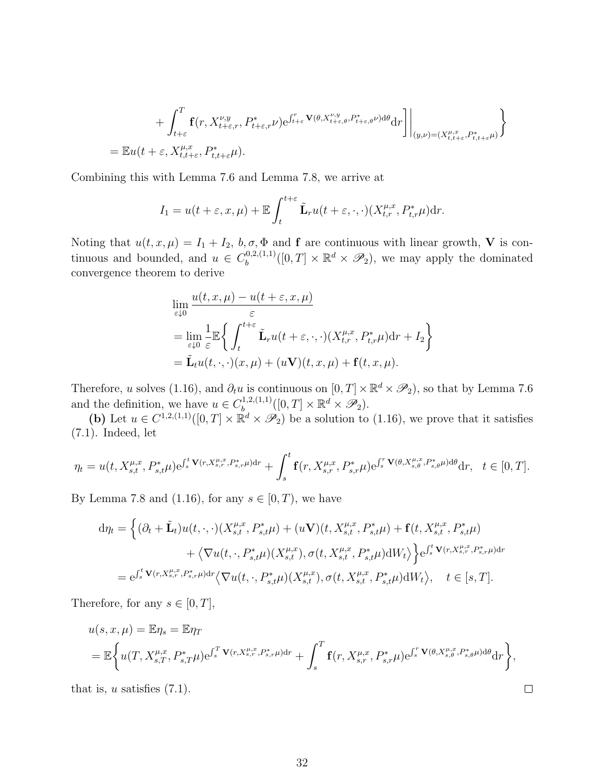$$
+\int_{t+\varepsilon}^{T} \mathbf{f}(r, X_{t+\varepsilon,r}^{\nu,y}, P_{t+\varepsilon,r}^{*} \nu) e^{\int_{t+\varepsilon}^{r} \mathbf{V}(\theta, X_{t+\varepsilon,\theta}^{\nu,y}, P_{t+\varepsilon,\theta}^{*} \nu) d\theta} dr \bigg] \bigg|_{(y,\nu)=(X_{t,t+\varepsilon}^{\mu,x}, P_{t,t+\varepsilon}^{*} \mu)} \bigg\} = \mathbb{E}u(t+\varepsilon, X_{t,t+\varepsilon}^{\mu,x}, P_{t,t+\varepsilon}^{*} \mu).
$$

Combining this with Lemma 7.6 and Lemma 7.8, we arrive at

$$
I_1 = u(t + \varepsilon, x, \mu) + \mathbb{E} \int_t^{t + \varepsilon} \tilde{\mathbf{L}}_r u(t + \varepsilon, \cdot, \cdot) (X_{t,r}^{\mu, x}, P_{t,r}^{\ast} \mu) dr.
$$

Noting that  $u(t, x, \mu) = I_1 + I_2$ ,  $b, \sigma, \Phi$  and **f** are continuous with linear growth, **V** is continuous and bounded, and  $u \in C_b^{0,2,(1,1)}$  $\mathbb{B}_{b}^{0,2,(1,1)}([0,T] \times \mathbb{R}^{d} \times \mathscr{P}_2)$ , we may apply the dominated convergence theorem to derive

$$
\lim_{\varepsilon \downarrow 0} \frac{u(t, x, \mu) - u(t + \varepsilon, x, \mu)}{\varepsilon}
$$
\n
$$
= \lim_{\varepsilon \downarrow 0} \frac{1}{\varepsilon} \mathbb{E} \left\{ \int_{t}^{t + \varepsilon} \tilde{\mathbf{L}}_{r} u(t + \varepsilon, \cdot, \cdot) (X_{t,r}^{\mu, x}, P_{t,r}^{*} \mu) dr + I_{2} \right\}
$$
\n
$$
= \tilde{\mathbf{L}}_{t} u(t, \cdot, \cdot) (x, \mu) + (u \mathbf{V})(t, x, \mu) + \mathbf{f}(t, x, \mu).
$$

Therefore, u solves (1.16), and  $\partial_t u$  is continuous on  $[0, T] \times \mathbb{R}^d \times \mathcal{P}_2$ ), so that by Lemma 7.6 and the definition, we have  $u \in C_b^{1,2,(1,1)}$  $\mathbb{R}^{d,2,(1,1)}([0,T]\times \mathbb{R}^d\times \mathscr{P}_2).$ 

(b) Let  $u \in C^{1,2,(1,1)}([0,T] \times \mathbb{R}^d \times \mathscr{P}_2)$  be a solution to (1.16), we prove that it satisfies (7.1). Indeed, let

$$
\eta_t = u(t, X_{s,t}^{\mu,x}, P_{s,t}^* \mu) e^{\int_s^t \mathbf{V}(r, X_{s,r}^{\mu,x}, P_{s,r}^* \mu) dr} + \int_s^t \mathbf{f}(r, X_{s,r}^{\mu,x}, P_{s,r}^* \mu) e^{\int_s^r \mathbf{V}(\theta, X_{s,\theta}^{\mu,x}, P_{s,\theta}^* \mu) d\theta} dr, \quad t \in [0, T].
$$

By Lemma 7.8 and (1.16), for any  $s \in [0, T)$ , we have

$$
d\eta_{t} = \left\{ (\partial_{t} + \tilde{\mathbf{L}}_{t}) u(t, \cdot, \cdot) (X_{s,t}^{\mu,x}, P_{s,t}^{*} \mu) + (u\mathbf{V})(t, X_{s,t}^{\mu,x}, P_{s,t}^{*} \mu) + \mathbf{f}(t, X_{s,t}^{\mu,x}, P_{s,t}^{*} \mu) + \langle \nabla u(t, \cdot, P_{s,t}^{*} \mu) (X_{s,t}^{\mu,x}), \sigma(t, X_{s,t}^{\mu,x}, P_{s,t}^{*} \mu) dW_{t} \rangle \right\} e^{\int_{s}^{t} \mathbf{V}(r, X_{s,r}^{\mu,x}, P_{s,r}^{*} \mu) dr} = e^{\int_{s}^{t} \mathbf{V}(r, X_{s,r}^{\mu,x}, P_{s,r}^{*} \mu) dr} \langle \nabla u(t, \cdot, P_{s,t}^{*} \mu) (X_{s,t}^{\mu,x}), \sigma(t, X_{s,t}^{\mu,x}, P_{s,t}^{*} \mu) dW_{t} \rangle, \quad t \in [s, T].
$$

Therefore, for any  $s \in [0, T]$ ,

$$
u(s,x,\mu) = \mathbb{E}\eta_s = \mathbb{E}\eta_T
$$
  
=  $\mathbb{E}\bigg\{u(T, X_{s,T}^{\mu,x}, P_{s,T}^*\mu)e^{\int_s^T \mathbf{V}(r,X_{s,r}^{\mu,x},P_{s,r}^*\mu)dr} + \int_s^T \mathbf{f}(r,X_{s,r}^{\mu,x}, P_{s,r}^*\mu)e^{\int_s^T \mathbf{V}(\theta,X_{s,\theta}^{\mu,x},P_{s,\theta}^*\mu)d\theta}dr\bigg\},$ 

 $\Box$ 

that is,  $u$  satisfies  $(7.1)$ .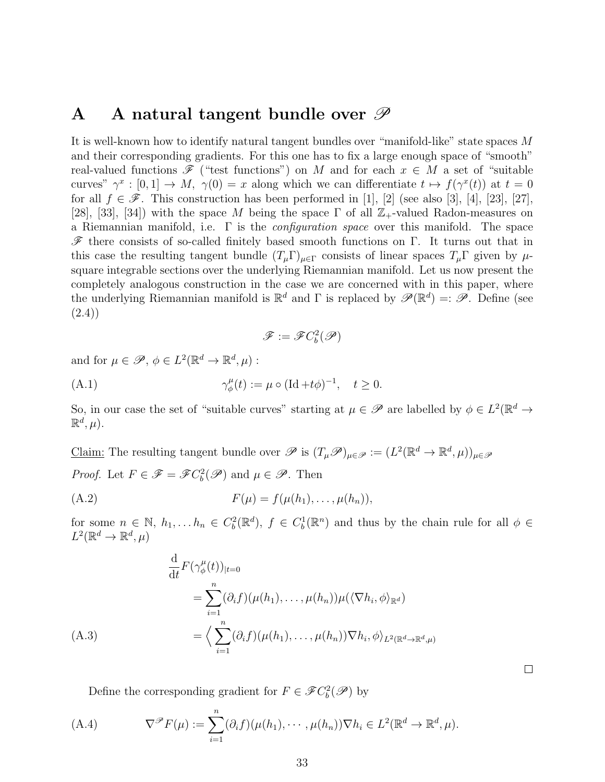# A A natural tangent bundle over  $\mathscr P$

It is well-known how to identify natural tangent bundles over "manifold-like" state spaces M and their corresponding gradients. For this one has to fix a large enough space of "smooth" real-valued functions  $\mathscr F$  ("test functions") on M and for each  $x \in M$  a set of "suitable curves"  $\gamma^x : [0,1] \to M$ ,  $\gamma(0) = x$  along which we can differentiate  $t \mapsto f(\gamma^x(t))$  at  $t = 0$ for all  $f \in \mathscr{F}$ . This construction has been performed in [1], [2] (see also [3], [4], [23], [27], [28], [33], [34]) with the space M being the space  $\Gamma$  of all  $\mathbb{Z}_+$ -valued Radon-measures on a Riemannian manifold, i.e.  $\Gamma$  is the *configuration space* over this manifold. The space  $\mathscr F$  there consists of so-called finitely based smooth functions on Γ. It turns out that in this case the resulting tangent bundle  $(T_{\mu} \Gamma)_{\mu \in \Gamma}$  consists of linear spaces  $T_{\mu} \Gamma$  given by  $\mu$ square integrable sections over the underlying Riemannian manifold. Let us now present the completely analogous construction in the case we are concerned with in this paper, where the underlying Riemannian manifold is  $\mathbb{R}^d$  and  $\Gamma$  is replaced by  $\mathscr{P}(\mathbb{R}^d) =: \mathscr{P}$ . Define (see (2.4))

$$
\mathscr{F}:=\mathscr{F}C^2_b(\mathscr{P})
$$

and for  $\mu \in \mathscr{P}, \phi \in L^2(\mathbb{R}^d \to \mathbb{R}^d, \mu)$ :

 $\gamma^{\mu}_{\phi}$ (A.1)  $\gamma_{\phi}^{\mu}(t) := \mu \circ (\text{Id} + t\phi)^{-1}, \quad t \ge 0.$ 

So, in our case the set of "suitable curves" starting at  $\mu \in \mathscr{P}$  are labelled by  $\phi \in L^2(\mathbb{R}^d \to$  $\mathbb{R}^d, \mu$ ).

Claim: The resulting tangent bundle over  $\mathscr P$  is  $(T_\mu \mathscr P)_{\mu \in \mathscr P} := (L^2(\mathbb R^d \to \mathbb R^d, \mu))_{\mu \in \mathscr P}$ *Proof.* Let  $F \in \mathscr{F} = \mathscr{F}C_b^2(\mathscr{P})$  and  $\mu \in \mathscr{P}$ . Then

$$
(A.2) \tF(\mu) = f(\mu(h_1), \ldots, \mu(h_n)),
$$

for some  $n \in \mathbb{N}$ ,  $h_1, \ldots h_n \in C_b^2(\mathbb{R}^d)$ ,  $f \in C_b^1(\mathbb{R}^n)$  and thus by the chain rule for all  $\phi \in$  $L^2(\mathbb{R}^d \to \mathbb{R}^d, \mu)$ 

$$
\frac{\mathrm{d}}{\mathrm{d}t} F(\gamma_{\phi}^{\mu}(t))_{|t=0}
$$
\n
$$
= \sum_{i=1}^{n} (\partial_{i}f)(\mu(h_{1}), \dots, \mu(h_{n})) \mu(\langle \nabla h_{i}, \phi \rangle_{\mathbb{R}^{d}})
$$
\n
$$
= \left\langle \sum_{i=1}^{n} (\partial_{i}f)(\mu(h_{1}), \dots, \mu(h_{n})) \nabla h_{i}, \phi \right\rangle_{L^{2}(\mathbb{R}^{d} \to \mathbb{R}^{d}, \mu)}
$$
\n(A.3)

Define the corresponding gradient for  $F \in \mathscr{F}C_b^2(\mathscr{P})$  by

(A.4) 
$$
\nabla^{\mathscr{P}} F(\mu) := \sum_{i=1}^{n} (\partial_i f)(\mu(h_1), \cdots, \mu(h_n)) \nabla h_i \in L^2(\mathbb{R}^d \to \mathbb{R}^d, \mu).
$$

 $\Box$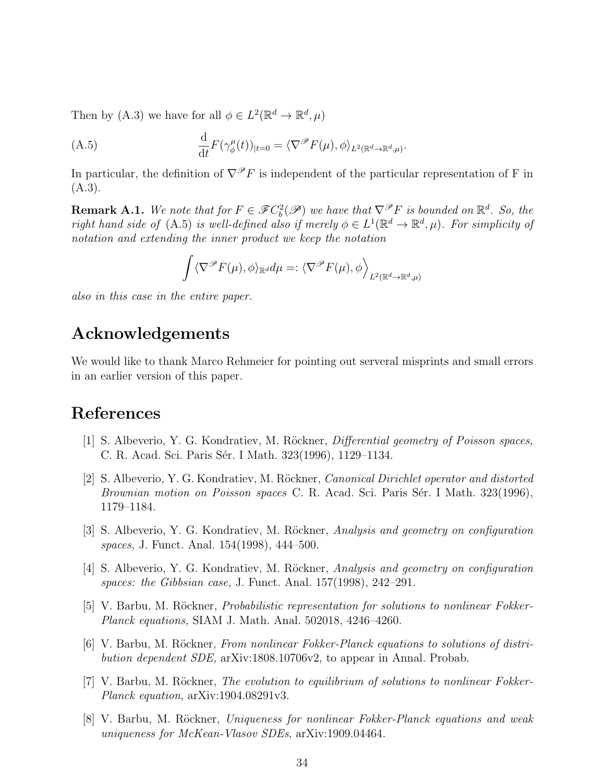Then by (A.3) we have for all  $\phi \in L^2(\mathbb{R}^d \to \mathbb{R}^d, \mu)$ 

(A.5) 
$$
\frac{\mathrm{d}}{\mathrm{d}t} F(\gamma_{\phi}^{\mu}(t))_{|t=0} = \langle \nabla^{\mathscr{P}} F(\mu), \phi \rangle_{L^{2}(\mathbb{R}^{d} \to \mathbb{R}^{d}, \mu)}.
$$

In particular, the definition of  $\nabla^{\mathcal{P}} F$  is independent of the particular representation of F in (A.3).

**Remark A.1.** We note that for  $F \in \mathscr{F}C_b^2(\mathscr{P})$  we have that  $\nabla^{\mathscr{P}}F$  is bounded on  $\mathbb{R}^d$ . So, the right hand side of (A.5) is well-defined also if merely  $\phi \in L^1(\mathbb{R}^d \to \mathbb{R}^d, \mu)$ . For simplicity of notation and extending the inner product we keep the notation

$$
\int \langle \nabla^{\mathscr{P}} F(\mu), \phi \rangle_{\mathbb{R}^d} d\mu =: \langle \nabla^{\mathscr{P}} F(\mu), \phi \rangle_{L^2(\mathbb{R}^d \to \mathbb{R}^d, \mu)}
$$

also in this case in the entire paper.

# Acknowledgements

We would like to thank Marco Rehmeier for pointing out serveral misprints and small errors in an earlier version of this paper.

## References

- [1] S. Albeverio, Y. G. Kondratiev, M. Röckner, *Differential geometry of Poisson spaces*, C. R. Acad. Sci. Paris Sér. I Math. 323(1996), 1129–1134.
- [2] S. Albeverio, Y. G. Kondratiev, M. Röckner, *Canonical Dirichlet operator and distorted* Brownian motion on Poisson spaces C. R. Acad. Sci. Paris Sér. I Math. 323(1996), 1179–1184.
- [3] S. Albeverio, Y. G. Kondratiev, M. Röckner, Analysis and geometry on configuration spaces, J. Funct. Anal. 154(1998), 444–500.
- [4] S. Albeverio, Y. G. Kondratiev, M. Röckner, Analysis and geometry on configuration spaces: the Gibbsian case, J. Funct. Anal. 157(1998), 242–291.
- [5] V. Barbu, M. Röckner, *Probabilistic representation for solutions to nonlinear Fokker-*Planck equations, SIAM J. Math. Anal. 502018, 4246–4260.
- [6] V. Barbu, M. Röckner, *From nonlinear Fokker-Planck equations to solutions of distri*bution dependent SDE, arXiv:1808.10706v2, to appear in Annal. Probab.
- [7] V. Barbu, M. Röckner, *The evolution to equilibrium of solutions to nonlinear Fokker-*Planck equation, arXiv:1904.08291v3.
- [8] V. Barbu, M. Röckner, Uniqueness for nonlinear Fokker-Planck equations and weak uniqueness for McKean-Vlasov SDEs, arXiv:1909.04464.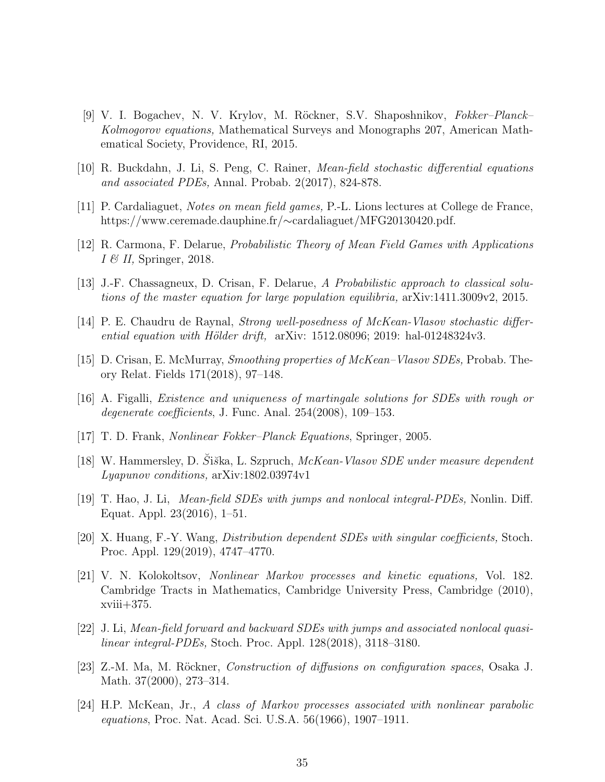- [9] V. I. Bogachev, N. V. Krylov, M. R¨ockner, S.V. Shaposhnikov, Fokker–Planck– Kolmogorov equations, Mathematical Surveys and Monographs 207, American Mathematical Society, Providence, RI, 2015.
- [10] R. Buckdahn, J. Li, S. Peng, C. Rainer, Mean-field stochastic differential equations and associated PDEs, Annal. Probab. 2(2017), 824-878.
- [11] P. Cardaliaguet, Notes on mean field games, P.-L. Lions lectures at College de France, https://www.ceremade.dauphine.fr/∼cardaliaguet/MFG20130420.pdf.
- [12] R. Carmona, F. Delarue, Probabilistic Theory of Mean Field Games with Applications  $I \mathcal{B}$  II, Springer, 2018.
- [13] J.-F. Chassagneux, D. Crisan, F. Delarue, A Probabilistic approach to classical solutions of the master equation for large population equilibria, arXiv:1411.3009v2, 2015.
- [14] P. E. Chaudru de Raynal, Strong well-posedness of McKean-Vlasov stochastic differential equation with Hölder drift,  $arXiv: 1512.08096; 2019:$  hal-01248324v3.
- [15] D. Crisan, E. McMurray, Smoothing properties of McKean–Vlasov SDEs, Probab. Theory Relat. Fields 171(2018), 97–148.
- [16] A. Figalli, Existence and uniqueness of martingale solutions for SDEs with rough or degenerate coefficients, J. Func. Anal. 254(2008), 109–153.
- [17] T. D. Frank, Nonlinear Fokker–Planck Equations, Springer, 2005.
- [18] W. Hammersley, D. Šiška, L. Szpruch, McKean-Vlasov SDE under measure dependent Lyapunov conditions, arXiv:1802.03974v1
- [19] T. Hao, J. Li, Mean-field SDEs with jumps and nonlocal integral-PDEs, Nonlin. Diff. Equat. Appl. 23(2016), 1–51.
- [20] X. Huang, F.-Y. Wang, Distribution dependent SDEs with singular coefficients, Stoch. Proc. Appl. 129(2019), 4747–4770.
- [21] V. N. Kolokoltsov, Nonlinear Markov processes and kinetic equations, Vol. 182. Cambridge Tracts in Mathematics, Cambridge University Press, Cambridge (2010),  $xviii+375.$
- [22] J. Li, Mean-field forward and backward SDEs with jumps and associated nonlocal quasilinear integral-PDEs, Stoch. Proc. Appl. 128(2018), 3118–3180.
- [23] Z.-M. Ma, M. Röckner, *Construction of diffusions on configuration spaces*, Osaka J. Math. 37(2000), 273-314.
- [24] H.P. McKean, Jr., A class of Markov processes associated with nonlinear parabolic equations, Proc. Nat. Acad. Sci. U.S.A. 56(1966), 1907–1911.